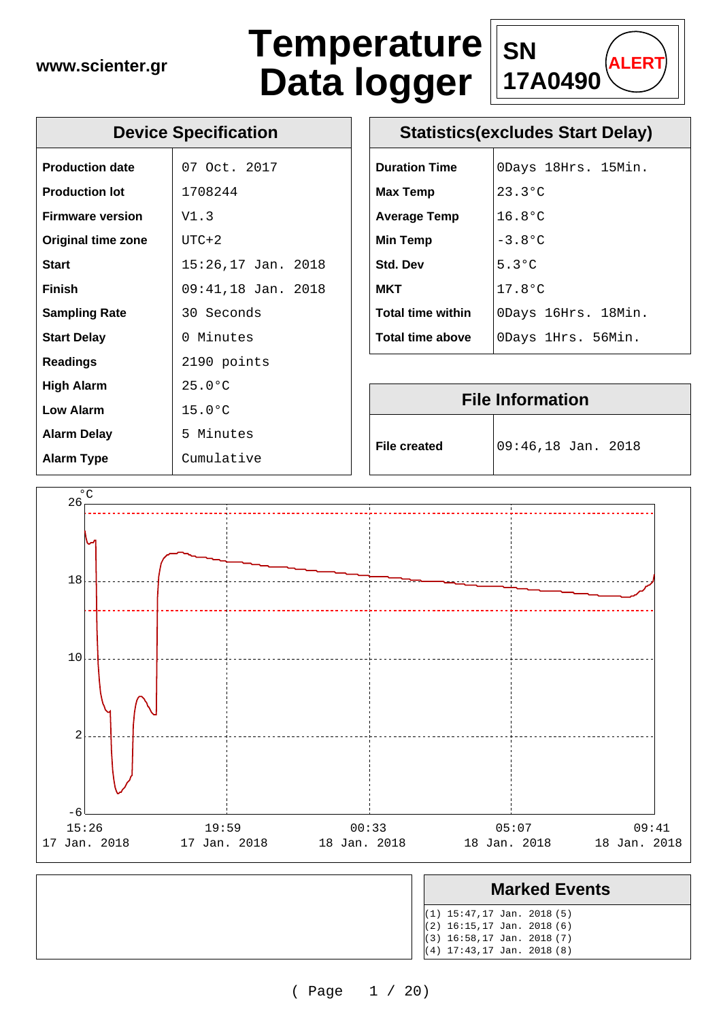

### **Device Specification**

| <b>Production date</b>    | 07 Oct. 2017       |
|---------------------------|--------------------|
| <b>Production lot</b>     | 1708244            |
| <b>Firmware version</b>   | V1.3               |
| <b>Original time zone</b> | $UTC+2$            |
| <b>Start</b>              | 15:26,17 Jan. 2018 |
| Finish                    | 09:41,18 Jan. 2018 |
| <b>Sampling Rate</b>      | 30 Seconds         |
| <b>Start Delay</b>        | 0 Minutes          |
| <b>Readings</b>           | 2190 points        |
| <b>High Alarm</b>         | $25.0^{\circ}$ C   |
| Low Alarm                 | $15.0$ °C          |
| <b>Alarm Delay</b>        | 5 Minutes          |
| Alarm Type                | Cumulative         |

| <b>Statistics(excludes Start Delay)</b> |                       |                                    |  |
|-----------------------------------------|-----------------------|------------------------------------|--|
| anticipal <del>ext</del> ension         | $\sqrt{2}$ $\sqrt{2}$ | $\sim$ $\sim$ $\sim$ $\sim$ $\sim$ |  |

| <b>Duration Time</b>     | ODays 18Hrs. 15Min. |
|--------------------------|---------------------|
| <b>Max Temp</b>          | $23.3^{\circ}$ C    |
| <b>Average Temp</b>      | $16.8^{\circ}$ C    |
| <b>Min Temp</b>          | $-3.8^{\circ}$ C    |
| <b>Std. Dev</b>          | $5.3^{\circ}$ C     |
| MKT                      | $17.8^{\circ}$ C    |
| <b>Total time within</b> | ODays 16Hrs. 18Min. |
| <b>Total time above</b>  | ODays 1Hrs. 56Min.  |

| <b>File Information</b> |                    |  |  |  |  |  |
|-------------------------|--------------------|--|--|--|--|--|
| <b>File created</b>     | 09:46,18 Jan. 2018 |  |  |  |  |  |



| (1) 15:47,17 Jan. 2018 (5)   |  |  |
|------------------------------|--|--|
| $(2)$ 16:15,17 Jan. 2018 (6) |  |  |
| $(3)$ 16:58,17 Jan. 2018 (7) |  |  |
| $(4)$ 17:43,17 Jan. 2018 (8) |  |  |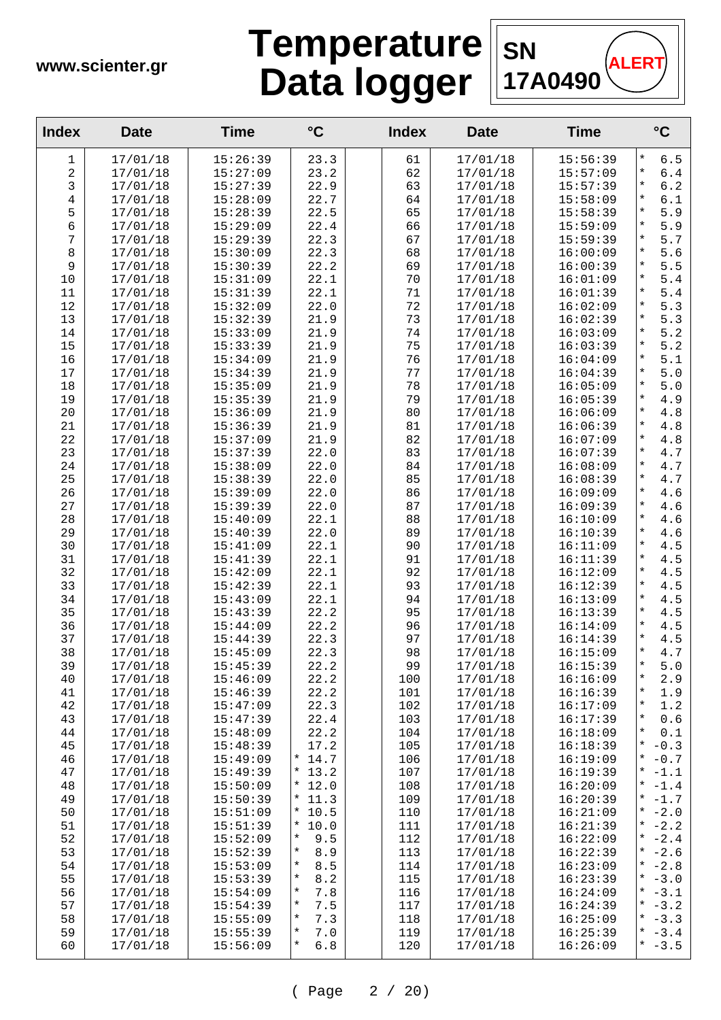

| <b>Index</b>   | <b>Date</b>          | <b>Time</b>          | $\rm ^{\circ}C$                       | <b>Index</b> | <b>Date</b>          | <b>Time</b>          | $\rm ^{\circ}C$           |
|----------------|----------------------|----------------------|---------------------------------------|--------------|----------------------|----------------------|---------------------------|
| 1              | 17/01/18             | 15:26:39             | 23.3                                  | 61           | 17/01/18             | 15:56:39             | $\star$<br>6.5            |
| 2              | 17/01/18             | 15:27:09             | 23.2                                  | 62           | 17/01/18             | 15:57:09             | $\star$<br>$6.4\,$        |
| 3              | 17/01/18             | 15:27:39             | 22.9                                  | 63           | 17/01/18             | 15:57:39             | $\star$<br>$6.2$          |
| $\overline{4}$ | 17/01/18             | 15:28:09             | 22.7                                  | 64           | 17/01/18             | 15:58:09             | $\star$<br>6.1            |
| 5              | 17/01/18             | 15:28:39             | 22.5                                  | 65           | 17/01/18             | 15:58:39             | 5.9<br>$^\star$           |
| $\epsilon$     | 17/01/18             | 15:29:09             | 22.4                                  | 66           | 17/01/18             | 15:59:09             | 5.9<br>$^\star$           |
| 7              | 17/01/18             | 15:29:39             | 22.3                                  | 67           | 17/01/18             | 15:59:39             | 5.7<br>$\star$            |
| 8              | 17/01/18             | 15:30:09             | 22.3                                  | 68           | 17/01/18             | 16:00:09             | 5.6<br>$\star$            |
| 9              | 17/01/18             | 15:30:39             | 22.2                                  | 69           | 17/01/18             | 16:00:39             | $\star$<br>5.5            |
| 10             | 17/01/18             | 15:31:09             | 22.1                                  | 70           | 17/01/18             | 16:01:09             | $\star$<br>5.4            |
| 11             | 17/01/18             | 15:31:39             | 22.1                                  | 71           | 17/01/18             | 16:01:39             | $5.4$<br>$\star$          |
| 12             | 17/01/18             | 15:32:09             | 22.0                                  | 72           | 17/01/18             | 16:02:09             | 5.3<br>$^\star$           |
| 13             | 17/01/18             | 15:32:39             | 21.9                                  | 73           | 17/01/18             | 16:02:39             | 5.3<br>$\star$            |
| 14             | 17/01/18             | 15:33:09             | 21.9                                  | 74           | 17/01/18             | 16:03:09             | 5.2<br>$\ast$             |
| 15             | 17/01/18             | 15:33:39             | 21.9                                  | 75           | 17/01/18             | 16:03:39             | $\star$<br>5.2            |
| 16             | 17/01/18             | 15:34:09             | 21.9                                  | 76           | 17/01/18             | 16:04:09             | $\star$<br>5.1            |
| 17             | 17/01/18             | 15:34:39             | 21.9                                  | 77           | 17/01/18             | 16:04:39             | 5.0<br>$^\star$           |
| 18             | 17/01/18             | 15:35:09             | 21.9                                  | 78           | 17/01/18             | 16:05:09             | 5.0<br>$^\star$           |
| 19             | 17/01/18             | 15:35:39             | 21.9                                  | 79           | 17/01/18             | 16:05:39             | 4.9<br>$\star$            |
| 20             | 17/01/18             | 15:36:09             | 21.9                                  | 80           | 17/01/18             | 16:06:09             | 4.8<br>$\ast$<br>$\star$  |
| 21             | 17/01/18             | 15:36:39             | 21.9                                  | 81           | 17/01/18             | 16:06:39             | $4.8\,$<br>$\star$        |
| 22             | 17/01/18             | 15:37:09             | 21.9                                  | 82           | 17/01/18             | 16:07:09             | $4.8\,$<br>$\star$        |
| 23             | 17/01/18             | 15:37:39             | 22.0                                  | 83           | 17/01/18             | 16:07:39             | 4.7<br>$^\star$           |
| 24<br>25       | 17/01/18             | 15:38:09             | 22.0<br>22.0                          | 84<br>85     | 17/01/18             | 16:08:09             | $4.7\,$<br>$\star$<br>4.7 |
| 26             | 17/01/18<br>17/01/18 | 15:38:39<br>15:39:09 |                                       |              | 17/01/18             | 16:08:39<br>16:09:09 | $\star$<br>4.6            |
| 27             | 17/01/18             | 15:39:39             | 22.0<br>22.0                          | 86<br>87     | 17/01/18<br>17/01/18 | 16:09:39             | $\star$<br>4.6            |
| 28             | 17/01/18             | 15:40:09             | 22.1                                  | 88           | 17/01/18             | 16:10:09             | $\star$<br>4.6            |
| 29             | 17/01/18             | 15:40:39             | 22.0                                  | 89           | 17/01/18             | 16:10:39             | 4.6<br>$^\star$           |
| 30             | 17/01/18             | 15:41:09             | 22.1                                  | 90           | 17/01/18             | 16:11:09             | $\star$<br>4.5            |
| 31             | 17/01/18             | 15:41:39             | 22.1                                  | 91           | 17/01/18             | 16:11:39             | $\star$<br>4.5            |
| 32             | 17/01/18             | 15:42:09             | 22.1                                  | 92           | 17/01/18             | 16:12:09             | 4.5<br>$\ast$             |
| 33             | 17/01/18             | 15:42:39             | 22.1                                  | 93           | 17/01/18             | 16:12:39             | $\star$<br>4.5            |
| 34             | 17/01/18             | 15:43:09             | 22.1                                  | 94           | 17/01/18             | 16:13:09             | $\star$<br>4.5            |
| 35             | 17/01/18             | 15:43:39             | 22.2                                  | 95           | 17/01/18             | 16:13:39             | 4.5<br>$\star$            |
| 36             | 17/01/18             | 15:44:09             | 22.2                                  | 96           | 17/01/18             | 16:14:09             | 4.5<br>$^\star$           |
| 37             | 17/01/18             | 15:44:39             | 22.3                                  | 97           | 17/01/18             | 16:14:39             | $\star$<br>4.5            |
| 38             | 17/01/18             | 15:45:09             | 22.3                                  | 98           | 17/01/18             | 16:15:09             | $\star$<br>4.7            |
| 39             | 17/01/18             | 15:45:39             | 22.2                                  | 99           | 17/01/18             | 16:15:39             | $\star$<br>$5.0$          |
| 40             | 17/01/18             | 15:46:09             | 22.2                                  | 100          | 17/01/18             | 16:16:09             | $^\star$<br>2.9           |
| 41             | 17/01/18             | 15:46:39             | 22.2                                  | 101          | 17/01/18             | 16:16:39             | $\ast$<br>1.9             |
| 42             | 17/01/18             | 15:47:09             | 22.3                                  | 102          | 17/01/18             | 16:17:09             | $\ast$<br>1.2             |
| 43             | 17/01/18             | 15:47:39             | 22.4                                  | 103          | 17/01/18             | 16:17:39             | $^\star$<br>0.6           |
| 44             | 17/01/18             | 15:48:09             | 22.2                                  | 104          | 17/01/18             | 16:18:09             | $\ast$<br>$0.1\,$         |
| 45             | 17/01/18             | 15:48:39             | 17.2                                  | 105          | 17/01/18             | 16:18:39             | $^\star$<br>$-0.3$        |
| 46             | 17/01/18             | 15:49:09             | $* 14.7$                              | 106          | 17/01/18             | 16:19:09             | $-0.7$<br>*               |
| 47             | 17/01/18             | 15:49:39             | $* 13.2$                              | 107          | 17/01/18             | 16:19:39             | $* -1.1$                  |
| 48             | 17/01/18             | 15:50:09             | $* 12.0$                              | 108          | 17/01/18             | 16:20:09             | $-1.4$<br>$\star$         |
| 49             | 17/01/18             | 15:50:39             | $* 11.3$                              | 109          | 17/01/18             | 16:20:39             | $-1.7$<br>$\star$         |
| 50             | 17/01/18             | 15:51:09             | 10.5<br>$\star$                       | 110          | 17/01/18             | 16:21:09             | $* -2.0$                  |
| 51             | 17/01/18             | 15:51:39             | $*10.0$                               | 111          | 17/01/18             | 16:21:39             | $^\star$<br>$-2.2$        |
| 52             | 17/01/18             | 15:52:09             | $^\star$<br>9.5                       | 112          | 17/01/18             | 16:22:09             | $-2.4$<br>$^{\star}$      |
| 53             | 17/01/18             | 15:52:39             | 8.9<br>$^\star$                       | 113          | 17/01/18             | 16:22:39             | $* -2.6$                  |
| 54             | 17/01/18             | 15:53:09             | $\ast$<br>$8.5\,$                     | 114          | 17/01/18             | 16:23:09             | $* -2.8$                  |
| 55             | 17/01/18             | 15:53:39             | $8.2\,$<br>$^\star$                   | 115          | 17/01/18             | 16:23:39             | $* -3.0$                  |
| 56             | 17/01/18             | 15:54:09             | $^\star$<br>$7.8\,$                   | 116          | 17/01/18             | 16:24:09             | * $-3.1$                  |
| 57             | 17/01/18             | 15:54:39             | $^\star$<br>$7.5$                     | 117          | 17/01/18             | 16:24:39             | $* -3.2$                  |
| 58             | 17/01/18             | 15:55:09             | $\star$<br>7.3                        | 118          | 17/01/18             | 16:25:09             | $-3.3$<br>$\star$         |
| 59             | 17/01/18             | 15:55:39             | $^\star$<br>$7 \, . \, 0$<br>$^\star$ | 119          | 17/01/18             | 16:25:39             | * $-3.4$                  |
| 60             | 17/01/18             | 15:56:09             | $6.8$                                 | 120          | 17/01/18             | 16:26:09             | $* -3.5$                  |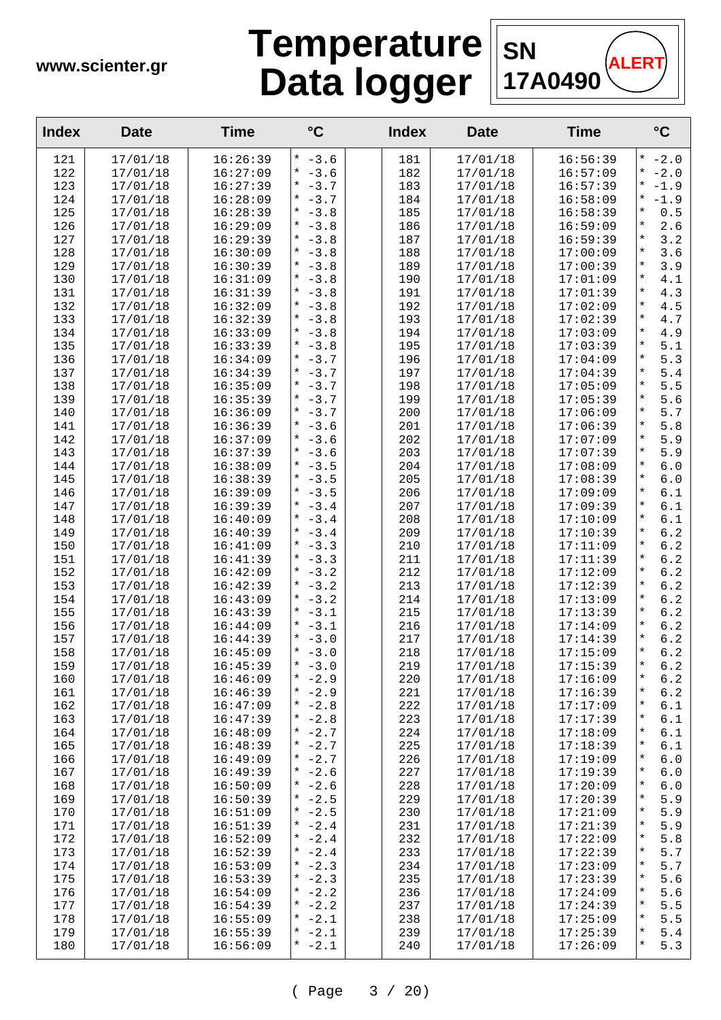

| <b>Index</b> | <b>Date</b>          | <b>Time</b>          | $\rm ^{\circ}C$      | <b>Index</b> | <b>Date</b>          | <b>Time</b>          | $\rm ^{\circ}C$                  |
|--------------|----------------------|----------------------|----------------------|--------------|----------------------|----------------------|----------------------------------|
| 121          | 17/01/18             | 16:26:39             | $* -3.6$             | 181          | 17/01/18             | 16:56:39             | $* -2.0$                         |
| 122          | 17/01/18             | 16:27:09             | $* -3.6$             | 182          | 17/01/18             | 16:57:09             | $-2.0$<br>$^\star$               |
| 123          | 17/01/18             | 16:27:39             | * $-3.7$             | 183          | 17/01/18             | 16:57:39             | $-1.9$<br>$^\star$               |
| 124          | 17/01/18             | 16:28:09             | $* -3.7$<br>* $-3.8$ | 184          | 17/01/18             | 16:58:09             | $\star$<br>$-1.9$<br>$\star$     |
| 125<br>126   | 17/01/18<br>17/01/18 | 16:28:39<br>16:29:09 | $* -3.8$             | 185<br>186   | 17/01/18<br>17/01/18 | 16:58:39<br>16:59:09 | $0.5$<br>2.6<br>$^\star$         |
| 127          | 17/01/18             | 16:29:39             | $* -3.8$             | 187          | 17/01/18             | 16:59:39             | 3.2<br>$\star$                   |
| 128          | 17/01/18             | 16:30:09             | $* -3.8$             | 188          | 17/01/18             | 17:00:09             | 3.6<br>$\star$                   |
| 129          | 17/01/18             | 16:30:39             | $* -3.8$             | 189          | 17/01/18             | 17:00:39             | $\star$<br>3.9                   |
| 130          | 17/01/18             | 16:31:09             | * $-3.8$             | 190          | 17/01/18             | 17:01:09             | $\star$<br>4.1                   |
| 131          | 17/01/18             | 16:31:39             | $* -3.8$             | 191          | 17/01/18             | 17:01:39             | $\star$<br>4.3                   |
| 132          | 17/01/18             | 16:32:09             | $* -3.8$             | 192          | 17/01/18             | 17:02:09             | 4.5<br>$^\star$                  |
| 133          | 17/01/18             | 16:32:39             | $* -3.8$             | 193          | 17/01/18             | 17:02:39             | $\star$<br>4.7                   |
| 134          | 17/01/18             | 16:33:09             | $* -3.8$             | 194          | 17/01/18             | 17:03:09             | $\star$<br>4.9                   |
| 135<br>136   | 17/01/18<br>17/01/18 | 16:33:39<br>16:34:09 | $* -3.8$<br>$* -3.7$ | 195<br>196   | 17/01/18<br>17/01/18 | 17:03:39<br>17:04:09 | $\star$<br>5.1<br>$\star$<br>5.3 |
| 137          | 17/01/18             | 16:34:39             | * $-3.7$             | 197          | 17/01/18             | 17:04:39             | $\star$<br>5.4                   |
| 138          | 17/01/18             | 16:35:09             | $* -3.7$             | 198          | 17/01/18             | 17:05:09             | 5.5<br>$^\star$                  |
| 139          | 17/01/18             | 16:35:39             | $* -3.7$             | 199          | 17/01/18             | 17:05:39             | 5.6<br>$\star$                   |
| 140          | 17/01/18             | 16:36:09             | $* -3.7$             | 200          | 17/01/18             | 17:06:09             | 5.7<br>$\star$                   |
| 141          | 17/01/18             | 16:36:39             | $* -3.6$             | 201          | 17/01/18             | 17:06:39             | 5.8<br>$^\star$                  |
| 142          | 17/01/18             | 16:37:09             | $* -3.6$             | 202          | 17/01/18             | 17:07:09             | $\star$<br>5.9                   |
| 143          | 17/01/18             | 16:37:39             | $* -3.6$             | 203          | 17/01/18             | 17:07:39             | $\star$<br>5.9                   |
| 144          | 17/01/18             | 16:38:09             | $* -3.5$             | 204          | 17/01/18             | 17:08:09             | $^\star$<br>6.0                  |
| 145          | 17/01/18             | 16:38:39             | $* -3.5$<br>$* -3.5$ | 205          | 17/01/18             | 17:08:39             | $\star$<br>$6.0$<br>$\star$      |
| 146<br>147   | 17/01/18<br>17/01/18 | 16:39:09<br>16:39:39 | * $-3.4$             | 206<br>207   | 17/01/18<br>17/01/18 | 17:09:09<br>17:09:39 | 6.1<br>$\star$<br>$6.1$          |
| 148          | 17/01/18             | 16:40:09             | * $-3.4$             | 208          | 17/01/18             | 17:10:09             | $\star$<br>$6.1$                 |
| 149          | 17/01/18             | 16:40:39             | * $-3.4$             | 209          | 17/01/18             | 17:10:39             | $\star$<br>6.2                   |
| 150          | 17/01/18             | 16:41:09             | $* -3.3$             | 210          | 17/01/18             | 17:11:09             | $6.2$<br>$^\star$                |
| 151          | 17/01/18             | 16:41:39             | $* -3.3$             | 211          | 17/01/18             | 17:11:39             | $6.2\,$<br>$\star$               |
| 152          | 17/01/18             | 16:42:09             | $* -3.2$             | 212          | 17/01/18             | 17:12:09             | 6.2<br>$\star$                   |
| 153          | 17/01/18             | 16:42:39             | $* -3.2$             | 213          | 17/01/18             | 17:12:39             | $6.2$<br>$^\star$                |
| 154          | 17/01/18             | 16:43:09             | * $-3.2$             | 214          | 17/01/18             | 17:13:09             | $\star$<br>$6.2$                 |
| 155          | 17/01/18             | 16:43:39             | $* -3.1$             | 215          | 17/01/18             | 17:13:39             | $\star$<br>$6.2$<br>$^\star$     |
| 156<br>157   | 17/01/18<br>17/01/18 | 16:44:09<br>16:44:39 | $* -3.1$<br>$* -3.0$ | 216<br>217   | 17/01/18<br>17/01/18 | 17:14:09<br>17:14:39 | $6.2$<br>$6.2$<br>$\star$        |
| 158          | 17/01/18             | 16:45:09             | $* -3.0$             | 218          | 17/01/18             | 17:15:09             | $\star$<br>6.2                   |
| 159          | 17/01/18             | 16:45:39             | $* -3.0$             | 219          | 17/01/18             | 17:15:39             | $\star$<br>6.2                   |
| 160          | 17/01/18             | 16:46:09             | $* -2.9$             | 220          | 17/01/18             | 17:16:09             | $^\star$<br>6.2                  |
| 161          | 17/01/18             | 16:46:39             | $* -2.9$             | 221          | 17/01/18             | 17:16:39             | $\star$<br>6.2                   |
| 162          | 17/01/18             | 16:47:09             | * $-2.8$             | 222          | 17/01/18             | 17:17:09             | $^\star$<br>6.1                  |
| 163          | 17/01/18             | 16:47:39             | * $-2.8$             | 223          | 17/01/18             | 17:17:39             | $^\star$<br>6.1                  |
| 164          | 17/01/18             | 16:48:09             | $* -2.7$             | 224          | 17/01/18             | 17:18:09             | $^\star$<br>6.1                  |
| 165          | 17/01/18             | 16:48:39             | * $-2.7$             | 225          | 17/01/18             | 17:18:39             | $^\star$<br>6.1<br>$\star$       |
| 166<br>167   | 17/01/18             | 16:49:09<br>16:49:39 | $* -2.7$<br>$* -2.6$ | 226<br>227   | 17/01/18<br>17/01/18 | 17:19:09<br>17:19:39 | 6.0<br>$^\star$<br>6.0           |
| 168          | 17/01/18<br>17/01/18 | 16:50:09             | $* -2.6$             | 228          | 17/01/18             | 17:20:09             | $^\star$<br>6.0                  |
| 169          | 17/01/18             | 16:50:39             | $* -2.5$             | 229          | 17/01/18             | 17:20:39             | 5.9<br>$^\star$                  |
| 170          | 17/01/18             | 16:51:09             | $* -2.5$             | 230          | 17/01/18             | 17:21:09             | 5.9<br>$^\star$                  |
| 171          | 17/01/18             | 16:51:39             | * $-2.4$             | 231          | 17/01/18             | 17:21:39             | 5.9<br>$^\star$                  |
| 172          | 17/01/18             | 16:52:09             | * $-2.4$             | 232          | 17/01/18             | 17:22:09             | $\star$<br>5.8                   |
| 173          | 17/01/18             | 16:52:39             | * $-2.4$             | 233          | 17/01/18             | 17:22:39             | $^\star$<br>5.7                  |
| 174          | 17/01/18             | 16:53:09             | $* -2.3$             | 234          | 17/01/18             | 17:23:09             | 5.7<br>$^\star$                  |
| 175          | 17/01/18             | 16:53:39             | * $-2.3$             | 235          | 17/01/18             | 17:23:39             | 5.6<br>$^\star$<br>$^\star$      |
| 176<br>177   | 17/01/18             | 16:54:09             | * $-2.2$<br>* $-2.2$ | 236<br>237   | 17/01/18             | 17:24:09             | 5.6<br>5.5<br>$^\star$           |
| 178          | 17/01/18<br>17/01/18 | 16:54:39<br>16:55:09 | * $-2.1$             | 238          | 17/01/18<br>17/01/18 | 17:24:39<br>17:25:09 | $\star$<br>5.5                   |
| 179          | 17/01/18             | 16:55:39             | * $-2.1$             | 239          | 17/01/18             | 17:25:39             | $^\star$<br>5.4                  |
| 180          | 17/01/18             | 16:56:09             | $* -2.1$             | 240          | 17/01/18             | 17:26:09             | 5.3<br>$^\star$                  |
|              |                      |                      |                      |              |                      |                      |                                  |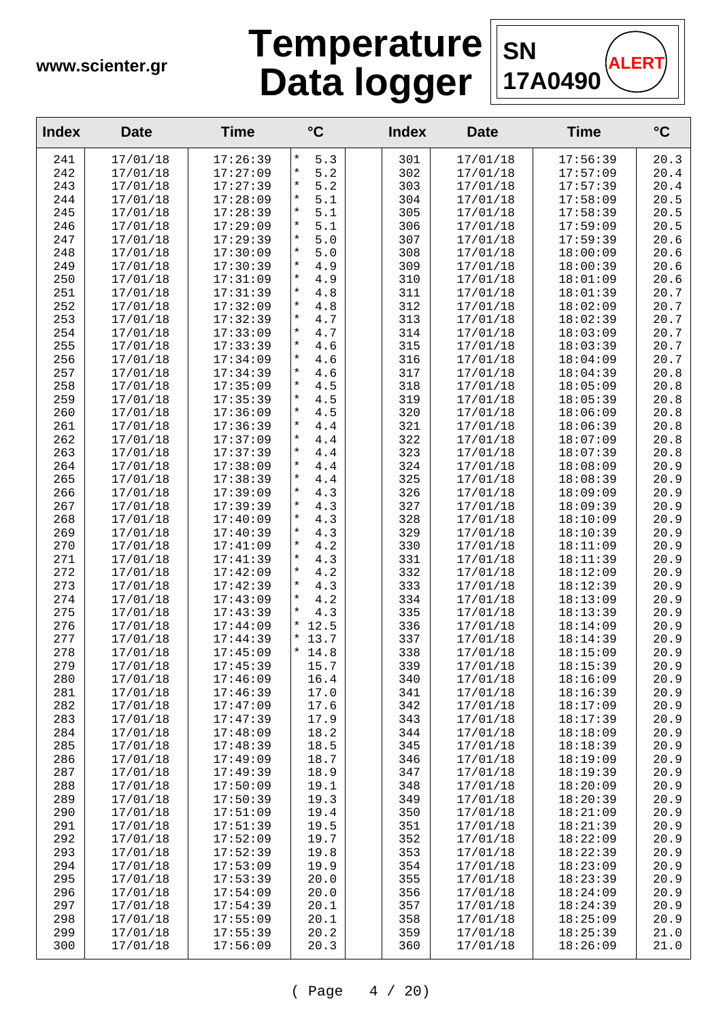

| <b>Index</b> | <b>Date</b>          | <b>Time</b>          | $\rm ^{\circ}C$           | <b>Index</b> | <b>Date</b>          | <b>Time</b>          | $\rm ^{\circ}C$ |
|--------------|----------------------|----------------------|---------------------------|--------------|----------------------|----------------------|-----------------|
| 241          | 17/01/18             | 17:26:39             | $\ast$<br>5.3             | 301          | 17/01/18             | 17:56:39             | 20.3            |
| 242          | 17/01/18             | 17:27:09             | 5.2<br>$^\star$           | 302          | 17/01/18             | 17:57:09             | 20.4            |
| 243          | 17/01/18             | 17:27:39             | $\star$<br>5.2            | 303          | 17/01/18             | 17:57:39             | 20.4            |
| 244          | 17/01/18             | 17:28:09             | $\star$<br>5.1            | 304          | 17/01/18             | 17:58:09             | 20.5            |
| 245          | 17/01/18             | 17:28:39             | $\star$<br>5.1            | 305          | 17/01/18             | 17:58:39             | 20.5            |
| 246          | 17/01/18             | 17:29:09             | $\star$<br>5.1            | 306          | 17/01/18             | 17:59:09             | 20.5            |
| 247          | 17/01/18             | 17:29:39             | 5.0<br>$\star$            | 307          | 17/01/18             | 17:59:39             | 20.6            |
| 248          | 17/01/18             | 17:30:09             | $5.0$<br>$^\star$         | 308          | 17/01/18             | 18:00:09             | 20.6            |
| 249          | 17/01/18             | 17:30:39             | $\star$<br>4.9            | 309          | 17/01/18             | 18:00:39             | 20.6            |
| 250          | 17/01/18             | 17:31:09             | $\star$<br>4.9            | 310          | 17/01/18             | 18:01:09             | 20.6            |
| 251          | 17/01/18             | 17:31:39             | $\star$<br>4.8            | 311          | 17/01/18             | 18:01:39             | 20.7            |
| 252          | 17/01/18             | 17:32:09             | $\star$<br>$4.8$          | 312          | 17/01/18             | 18:02:09             | 20.7            |
| 253          | 17/01/18             | 17:32:39             | $\star$<br>$4.7\,$        | 313          | 17/01/18             | 18:02:39             | 20.7            |
| 254          | 17/01/18             | 17:33:09             | $\star$<br>$4.7\,$        | 314          | 17/01/18             | 18:03:09             | 20.7            |
| 255          | 17/01/18             | 17:33:39             | $\star$<br>4.6            | 315          | 17/01/18             | 18:03:39             | 20.7            |
| 256          | 17/01/18             | 17:34:09             | $\star$<br>$4.6\,$        | 316          | 17/01/18             | 18:04:09             | 20.7            |
| 257          | 17/01/18             | 17:34:39             | $\star$<br>4.6            | 317          | 17/01/18             | 18:04:39             | 20.8            |
| 258          | 17/01/18             | 17:35:09             | $\star$<br>4.5            | 318          | 17/01/18             | 18:05:09             | 20.8            |
| 259          | 17/01/18             | 17:35:39             | $\star$<br>4.5            | 319          | 17/01/18             | 18:05:39             | 20.8            |
| 260          | 17/01/18             | 17:36:09             | 4.5<br>$^\star$           | 320          | 17/01/18             | 18:06:09             | 20.8            |
| 261          | 17/01/18             | 17:36:39             | $\star$<br>4.4<br>$\star$ | 321          | 17/01/18             | 18:06:39             | 20.8            |
| 262          | 17/01/18             | 17:37:09             | 4.4<br>$\star$            | 322          | 17/01/18             | 18:07:09             | 20.8            |
| 263          | 17/01/18             | 17:37:39             | 4.4<br>$\star$            | 323          | 17/01/18             | 18:07:39             | 20.8            |
| 264          | 17/01/18             | 17:38:09             | 4.4<br>$\star$<br>$4.4$   | 324          | 17/01/18             | 18:08:09             | 20.9<br>20.9    |
| 265<br>266   | 17/01/18             | 17:38:39<br>17:39:09 | $\star$<br>4.3            | 325<br>326   | 17/01/18<br>17/01/18 | 18:08:39<br>18:09:09 | 20.9            |
| 267          | 17/01/18<br>17/01/18 | 17:39:39             | $\star$<br>4.3            | 327          | 17/01/18             | 18:09:39             | 20.9            |
| 268          | 17/01/18             | 17:40:09             | $\star$<br>4.3            | 328          | 17/01/18             | 18:10:09             | 20.9            |
| 269          | 17/01/18             | 17:40:39             | $\star$<br>4.3            | 329          | 17/01/18             | 18:10:39             | 20.9            |
| 270          | 17/01/18             | 17:41:09             | 4.2<br>$^\star$           | 330          | 17/01/18             | 18:11:09             | 20.9            |
| 271          | 17/01/18             | 17:41:39             | 4.3<br>$\star$            | 331          | 17/01/18             | 18:11:39             | 20.9            |
| 272          | 17/01/18             | 17:42:09             | 4.2<br>$\star$            | 332          | 17/01/18             | 18:12:09             | 20.9            |
| 273          | 17/01/18             | 17:42:39             | $\star$<br>4.3            | 333          | 17/01/18             | 18:12:39             | 20.9            |
| 274          | 17/01/18             | 17:43:09             | $\star$<br>4.2            | 334          | 17/01/18             | 18:13:09             | 20.9            |
| 275          | 17/01/18             | 17:43:39             | $\star$<br>4.3            | 335          | 17/01/18             | 18:13:39             | 20.9            |
| 276          | 17/01/18             | 17:44:09             | $* 12.5$                  | 336          | 17/01/18             | 18:14:09             | 20.9            |
| 277          | 17/01/18             | 17:44:39             | $* 13.7$                  | 337          | 17/01/18             | 18:14:39             | 20.9            |
| 278          | 17/01/18             | 17:45:09             | $* 14.8$                  | 338          | 17/01/18             | 18:15:09             | 20.9            |
| 279          | 17/01/18             | 17:45:39             | 15.7                      | 339          | 17/01/18             | 18:15:39             | 20.9            |
| 280          | 17/01/18             | 17:46:09             | 16.4                      | 340          | 17/01/18             | 18:16:09             | 20.9            |
| 281          | 17/01/18             | 17:46:39             | 17.0                      | 341          | 17/01/18             | 18:16:39             | 20.9            |
| 282          | 17/01/18             | 17:47:09             | 17.6                      | 342          | 17/01/18             | 18:17:09             | 20.9            |
| 283          | 17/01/18             | 17:47:39             | 17.9                      | 343          | 17/01/18             | 18:17:39             | 20.9            |
| 284          | 17/01/18             | 17:48:09             | 18.2                      | 344          | 17/01/18             | 18:18:09             | 20.9            |
| 285          | 17/01/18             | 17:48:39             | 18.5                      | 345          | 17/01/18             | 18:18:39             | 20.9            |
| 286          | 17/01/18             | 17:49:09             | 18.7                      | 346          | 17/01/18             | 18:19:09             | 20.9            |
| 287          | 17/01/18             | 17:49:39             | 18.9                      | 347          | 17/01/18             | 18:19:39             | 20.9            |
| 288          | 17/01/18             | 17:50:09             | 19.1                      | 348          | 17/01/18             | 18:20:09             | 20.9            |
| 289          | 17/01/18             | 17:50:39             | 19.3                      | 349          | 17/01/18             | 18:20:39             | 20.9            |
| 290          | 17/01/18             | 17:51:09             | 19.4                      | 350          | 17/01/18             | 18:21:09             | 20.9            |
| 291          | 17/01/18             | 17:51:39             | 19.5                      | 351          | 17/01/18             | 18:21:39             | 20.9            |
| 292          | 17/01/18             | 17:52:09             | 19.7                      | 352          | 17/01/18             | 18:22:09             | 20.9            |
| 293          | 17/01/18             | 17:52:39             | 19.8                      | 353          | 17/01/18             | 18:22:39             | 20.9            |
| 294          | 17/01/18             | 17:53:09             | 19.9                      | 354          | 17/01/18             | 18:23:09             | 20.9            |
| 295          | 17/01/18             | 17:53:39             | 20.0                      | 355          | 17/01/18             | 18:23:39             | 20.9            |
| 296          | 17/01/18             | 17:54:09             | 20.0                      | 356          | 17/01/18             | 18:24:09             | 20.9            |
| 297          | 17/01/18             | 17:54:39             | 20.1                      | 357          | 17/01/18             | 18:24:39             | 20.9            |
| 298          | 17/01/18             | 17:55:09             | 20.1                      | 358          | 17/01/18             | 18:25:09             | 20.9            |
| 299          | 17/01/18             | 17:55:39             | 20.2                      | 359          | 17/01/18             | 18:25:39             | 21.0            |
| 300          | 17/01/18             | 17:56:09             | 20.3                      | 360          | 17/01/18             | 18:26:09             | 21.0            |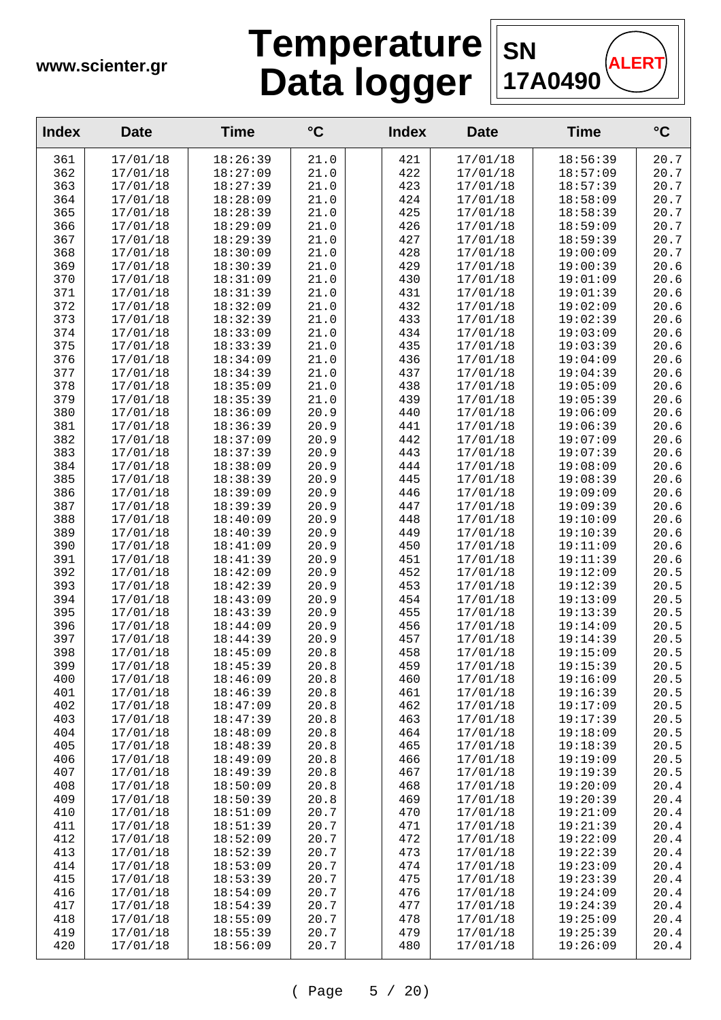

| <b>Index</b> | <b>Date</b>          | <b>Time</b>          | $\rm ^{\circ}C$ | <b>Index</b> | <b>Date</b>          | <b>Time</b>          | $\rm ^{\circ}C$ |
|--------------|----------------------|----------------------|-----------------|--------------|----------------------|----------------------|-----------------|
| 361          | 17/01/18             | 18:26:39             | 21.0            | 421          | 17/01/18             | 18:56:39             | 20.7            |
| 362          | 17/01/18             | 18:27:09             | 21.0            | 422          | 17/01/18             | 18:57:09             | 20.7            |
| 363          | 17/01/18             | 18:27:39             | 21.0            | 423          | 17/01/18             | 18:57:39             | 20.7            |
| 364          | 17/01/18             | 18:28:09             | 21.0            | 424          | 17/01/18             | 18:58:09             | 20.7            |
| 365          | 17/01/18             | 18:28:39             | 21.0            | 425          | 17/01/18             | 18:58:39             | 20.7            |
| 366          | 17/01/18             | 18:29:09             | 21.0            | 426          | 17/01/18             | 18:59:09             | 20.7            |
| 367          | 17/01/18             | 18:29:39             | 21.0            | 427          | 17/01/18             | 18:59:39             | 20.7            |
| 368          | 17/01/18             | 18:30:09             | 21.0            | 428          | 17/01/18             | 19:00:09             | 20.7            |
| 369          | 17/01/18             | 18:30:39             | 21.0            | 429          | 17/01/18             | 19:00:39             | 20.6            |
| 370          | 17/01/18             | 18:31:09             | 21.0            | 430          | 17/01/18             | 19:01:09             | 20.6            |
| 371          | 17/01/18             | 18:31:39             | 21.0            | 431          | 17/01/18             | 19:01:39             | 20.6            |
| 372          | 17/01/18             | 18:32:09             | 21.0            | 432          | 17/01/18             | 19:02:09             | 20.6            |
| 373          | 17/01/18             | 18:32:39             | 21.0            | 433          | 17/01/18             | 19:02:39             | 20.6            |
| 374          | 17/01/18             | 18:33:09             | 21.0            | 434          | 17/01/18             | 19:03:09             | 20.6            |
| 375          | 17/01/18             | 18:33:39             | 21.0            | 435          | 17/01/18             | 19:03:39             | 20.6            |
| 376          | 17/01/18             | 18:34:09             | 21.0            | 436          | 17/01/18             | 19:04:09             | 20.6            |
| 377          | 17/01/18             | 18:34:39             | 21.0            | 437          | 17/01/18             | 19:04:39             | 20.6            |
| 378          | 17/01/18             | 18:35:09             | 21.0            | 438          | 17/01/18             | 19:05:09             | 20.6            |
| 379          | 17/01/18             | 18:35:39             | 21.0            | 439          | 17/01/18             | 19:05:39             | 20.6            |
| 380          | 17/01/18             | 18:36:09             | 20.9            | 440          | 17/01/18             | 19:06:09             | 20.6            |
| 381          | 17/01/18             | 18:36:39             | 20.9            | 441          | 17/01/18             | 19:06:39             | 20.6            |
| 382          | 17/01/18             | 18:37:09             | 20.9            | 442          | 17/01/18             | 19:07:09             | 20.6            |
| 383          | 17/01/18             | 18:37:39             | 20.9            | 443          | 17/01/18             | 19:07:39<br>19:08:09 | 20.6<br>20.6    |
| 384<br>385   | 17/01/18<br>17/01/18 | 18:38:09<br>18:38:39 | 20.9<br>20.9    | 444<br>445   | 17/01/18<br>17/01/18 | 19:08:39             | 20.6            |
| 386          | 17/01/18             | 18:39:09             | 20.9            | 446          | 17/01/18             | 19:09:09             | 20.6            |
| 387          | 17/01/18             | 18:39:39             | 20.9            | 447          | 17/01/18             | 19:09:39             | 20.6            |
| 388          | 17/01/18             | 18:40:09             | 20.9            | 448          | 17/01/18             | 19:10:09             | 20.6            |
| 389          | 17/01/18             | 18:40:39             | 20.9            | 449          | 17/01/18             | 19:10:39             | 20.6            |
| 390          | 17/01/18             | 18:41:09             | 20.9            | 450          | 17/01/18             | 19:11:09             | 20.6            |
| 391          | 17/01/18             | 18:41:39             | 20.9            | 451          | 17/01/18             | 19:11:39             | 20.6            |
| 392          | 17/01/18             | 18:42:09             | 20.9            | 452          | 17/01/18             | 19:12:09             | 20.5            |
| 393          | 17/01/18             | 18:42:39             | 20.9            | 453          | 17/01/18             | 19:12:39             | 20.5            |
| 394          | 17/01/18             | 18:43:09             | 20.9            | 454          | 17/01/18             | 19:13:09             | 20.5            |
| 395          | 17/01/18             | 18:43:39             | 20.9            | 455          | 17/01/18             | 19:13:39             | 20.5            |
| 396          | 17/01/18             | 18:44:09             | 20.9            | 456          | 17/01/18             | 19:14:09             | 20.5            |
| 397          | 17/01/18             | 18:44:39             | 20.9            | 457          | 17/01/18             | 19:14:39             | 20.5            |
| 398          | 17/01/18             | 18:45:09             | 20.8            | 458          | 17/01/18             | 19:15:09             | 20.5            |
| 399          | 17/01/18             | 18:45:39             | 20.8            | 459          | 17/01/18             | 19:15:39             | 20.5            |
| 400          | 17/01/18             | 18:46:09             | 20.8            | 460          | 17/01/18             | 19:16:09             | 20.5            |
| 401          | 17/01/18             | 18:46:39             | 20.8            | 461          | 17/01/18             | 19:16:39             | 20.5            |
| 402          | 17/01/18             | 18:47:09             | 20.8            | 462          | 17/01/18             | 19:17:09             | 20.5            |
| 403          | 17/01/18             | 18:47:39             | 20.8            | 463          | 17/01/18             | 19:17:39             | 20.5            |
| 404          | 17/01/18             | 18:48:09             | 20.8            | 464          | 17/01/18             | 19:18:09             | 20.5            |
| 405          | 17/01/18             | 18:48:39             | 20.8            | 465          | 17/01/18             | 19:18:39             | 20.5            |
| 406          | 17/01/18             | 18:49:09             | 20.8            | 466          | 17/01/18             | 19:19:09             | 20.5            |
| 407          | 17/01/18             | 18:49:39             | 20.8            | 467          | 17/01/18             | 19:19:39             | 20.5            |
| 408          | 17/01/18             | 18:50:09<br>18:50:39 | 20.8            | 468          | 17/01/18             | 19:20:09             | 20.4            |
| 409<br>410   | 17/01/18<br>17/01/18 | 18:51:09             | 20.8<br>20.7    | 469<br>470   | 17/01/18<br>17/01/18 | 19:20:39<br>19:21:09 | 20.4<br>20.4    |
| 411          | 17/01/18             | 18:51:39             | 20.7            | 471          | 17/01/18             | 19:21:39             | 20.4            |
| 412          | 17/01/18             | 18:52:09             | 20.7            | 472          | 17/01/18             | 19:22:09             | 20.4            |
| 413          | 17/01/18             | 18:52:39             | 20.7            | 473          | 17/01/18             | 19:22:39             | 20.4            |
| 414          | 17/01/18             | 18:53:09             | 20.7            | 474          | 17/01/18             | 19:23:09             | 20.4            |
| 415          | 17/01/18             | 18:53:39             | 20.7            | 475          | 17/01/18             | 19:23:39             | 20.4            |
| 416          | 17/01/18             | 18:54:09             | 20.7            | 476          | 17/01/18             | 19:24:09             | 20.4            |
| 417          | 17/01/18             | 18:54:39             | 20.7            | 477          | 17/01/18             | 19:24:39             | 20.4            |
| 418          | 17/01/18             | 18:55:09             | 20.7            | 478          | 17/01/18             | 19:25:09             | 20.4            |
| 419          | 17/01/18             | 18:55:39             | 20.7            | 479          | 17/01/18             | 19:25:39             | 20.4            |
| 420          | 17/01/18             | 18:56:09             | 20.7            | 480          | 17/01/18             | 19:26:09             | 20.4            |
|              |                      |                      |                 |              |                      |                      |                 |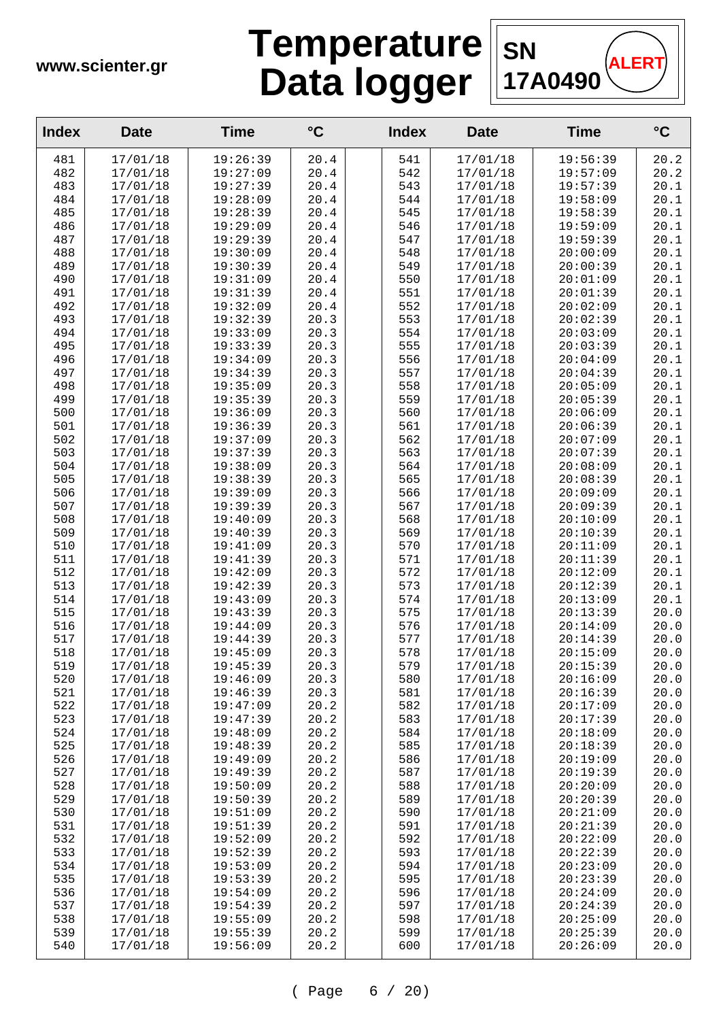

| <b>Index</b> | <b>Date</b>          | <b>Time</b>          | $^{\circ}$ C | <b>Index</b> | <b>Date</b>          | <b>Time</b>          | $\rm ^{\circ}C$ |
|--------------|----------------------|----------------------|--------------|--------------|----------------------|----------------------|-----------------|
| 481          | 17/01/18             | 19:26:39             | 20.4         | 541          | 17/01/18             | 19:56:39             | 20.2            |
| 482          | 17/01/18             | 19:27:09             | 20.4         | 542          | 17/01/18             | 19:57:09             | 20.2            |
| 483          | 17/01/18             | 19:27:39             | 20.4         | 543          | 17/01/18             | 19:57:39             | 20.1            |
| 484          | 17/01/18             | 19:28:09             | 20.4         | 544          | 17/01/18             | 19:58:09             | 20.1            |
| 485          | 17/01/18             | 19:28:39             | 20.4         | 545          | 17/01/18             | 19:58:39             | 20.1            |
| 486          | 17/01/18             | 19:29:09             | 20.4         | 546          | 17/01/18             | 19:59:09             | 20.1            |
| 487          | 17/01/18             | 19:29:39             | 20.4         | 547          | 17/01/18             | 19:59:39             | 20.1            |
| 488          | 17/01/18             | 19:30:09             | 20.4         | 548          | 17/01/18             | 20:00:09             | 20.1            |
| 489          | 17/01/18             | 19:30:39             | 20.4         | 549          | 17/01/18             | 20:00:39             | 20.1            |
| 490          | 17/01/18             | 19:31:09             | 20.4         | 550          | 17/01/18             | 20:01:09             | 20.1            |
| 491          | 17/01/18             | 19:31:39             | 20.4         | 551          | 17/01/18             | 20:01:39             | 20.1            |
| 492<br>493   | 17/01/18             | 19:32:09             | 20.4<br>20.3 | 552<br>553   | 17/01/18             | 20:02:09             | 20.1<br>20.1    |
| 494          | 17/01/18<br>17/01/18 | 19:32:39<br>19:33:09 | 20.3         | 554          | 17/01/18<br>17/01/18 | 20:02:39<br>20:03:09 | 20.1            |
| 495          | 17/01/18             | 19:33:39             | 20.3         | 555          | 17/01/18             | 20:03:39             | 20.1            |
| 496          | 17/01/18             | 19:34:09             | 20.3         | 556          | 17/01/18             | 20:04:09             | 20.1            |
| 497          | 17/01/18             | 19:34:39             | 20.3         | 557          | 17/01/18             | 20:04:39             | 20.1            |
| 498          | 17/01/18             | 19:35:09             | 20.3         | 558          | 17/01/18             | 20:05:09             | 20.1            |
| 499          | 17/01/18             | 19:35:39             | 20.3         | 559          | 17/01/18             | 20:05:39             | 20.1            |
| 500          | 17/01/18             | 19:36:09             | 20.3         | 560          | 17/01/18             | 20:06:09             | 20.1            |
| 501          | 17/01/18             | 19:36:39             | 20.3         | 561          | 17/01/18             | 20:06:39             | 20.1            |
| 502          | 17/01/18             | 19:37:09             | 20.3         | 562          | 17/01/18             | 20:07:09             | 20.1            |
| 503          | 17/01/18             | 19:37:39             | 20.3         | 563          | 17/01/18             | 20:07:39             | 20.1            |
| 504          | 17/01/18             | 19:38:09             | 20.3         | 564          | 17/01/18             | 20:08:09             | 20.1            |
| 505          | 17/01/18             | 19:38:39             | 20.3         | 565          | 17/01/18             | 20:08:39             | 20.1            |
| 506          | 17/01/18             | 19:39:09             | 20.3         | 566          | 17/01/18             | 20:09:09             | 20.1            |
| 507          | 17/01/18             | 19:39:39             | 20.3         | 567          | 17/01/18             | 20:09:39             | 20.1            |
| 508          | 17/01/18             | 19:40:09             | 20.3         | 568          | 17/01/18             | 20:10:09             | 20.1            |
| 509          | 17/01/18             | 19:40:39             | 20.3         | 569          | 17/01/18             | 20:10:39             | 20.1            |
| 510          | 17/01/18             | 19:41:09             | 20.3         | 570          | 17/01/18             | 20:11:09             | 20.1            |
| 511          | 17/01/18             | 19:41:39             | 20.3         | 571          | 17/01/18             | 20:11:39             | 20.1            |
| 512          | 17/01/18             | 19:42:09             | 20.3         | 572          | 17/01/18             | 20:12:09             | 20.1            |
| 513          | 17/01/18             | 19:42:39             | 20.3         | 573          | 17/01/18             | 20:12:39             | 20.1            |
| 514          | 17/01/18             | 19:43:09             | 20.3         | 574          | 17/01/18             | 20:13:09             | 20.1            |
| 515          | 17/01/18             | 19:43:39             | 20.3         | 575          | 17/01/18             | 20:13:39             | 20.0            |
| 516          | 17/01/18<br>17/01/18 | 19:44:09<br>19:44:39 | 20.3         | 576<br>577   | 17/01/18<br>17/01/18 | 20:14:09<br>20:14:39 | 20.0            |
| 517<br>518   | 17/01/18             | 19:45:09             | 20.3<br>20.3 | 578          | 17/01/18             | 20:15:09             | 20.0<br>20.0    |
| 519          | 17/01/18             | 19:45:39             | 20.3         | 579          | 17/01/18             | 20:15:39             | 20.0            |
| 520          | 17/01/18             | 19:46:09             | 20.3         | 580          | 17/01/18             | 20:16:09             | 20.0            |
| 521          | 17/01/18             | 19:46:39             | 20.3         | 581          | 17/01/18             | 20:16:39             | 20.0            |
| 522          | 17/01/18             | 19:47:09             | 20.2         | 582          | 17/01/18             | 20:17:09             | 20.0            |
| 523          | 17/01/18             | 19:47:39             | 20.2         | 583          | 17/01/18             | 20:17:39             | 20.0            |
| 524          | 17/01/18             | 19:48:09             | 20.2         | 584          | 17/01/18             | 20:18:09             | 20.0            |
| 525          | 17/01/18             | 19:48:39             | 20.2         | 585          | 17/01/18             | 20:18:39             | 20.0            |
| 526          | 17/01/18             | 19:49:09             | 20.2         | 586          | 17/01/18             | 20:19:09             | 20.0            |
| 527          | 17/01/18             | 19:49:39             | 20.2         | 587          | 17/01/18             | 20:19:39             | 20.0            |
| 528          | 17/01/18             | 19:50:09             | 20.2         | 588          | 17/01/18             | 20:20:09             | 20.0            |
| 529          | 17/01/18             | 19:50:39             | 20.2         | 589          | 17/01/18             | 20:20:39             | 20.0            |
| 530          | 17/01/18             | 19:51:09             | 20.2         | 590          | 17/01/18             | 20:21:09             | 20.0            |
| 531          | 17/01/18             | 19:51:39             | 20.2         | 591          | 17/01/18             | 20:21:39             | 20.0            |
| 532          | 17/01/18             | 19:52:09             | 20.2         | 592          | 17/01/18             | 20:22:09             | 20.0            |
| 533          | 17/01/18             | 19:52:39             | 20.2         | 593          | 17/01/18             | 20:22:39             | 20.0            |
| 534          | 17/01/18             | 19:53:09             | 20.2         | 594          | 17/01/18             | 20:23:09             | 20.0            |
| 535          | 17/01/18             | 19:53:39             | 20.2         | 595          | 17/01/18             | 20:23:39             | 20.0            |
| 536          | 17/01/18             | 19:54:09             | 20.2         | 596          | 17/01/18             | 20:24:09             | 20.0            |
| 537          | 17/01/18             | 19:54:39             | 20.2         | 597          | 17/01/18             | 20:24:39             | 20.0            |
| 538          | 17/01/18             | 19:55:09             | 20.2         | 598          | 17/01/18             | 20:25:09             | 20.0            |
| 539<br>540   | 17/01/18             | 19:55:39<br>19:56:09 | 20.2         | 599<br>600   | 17/01/18             | 20:25:39<br>20:26:09 | 20.0            |
|              | 17/01/18             |                      | 20.2         |              | 17/01/18             |                      | 20.0            |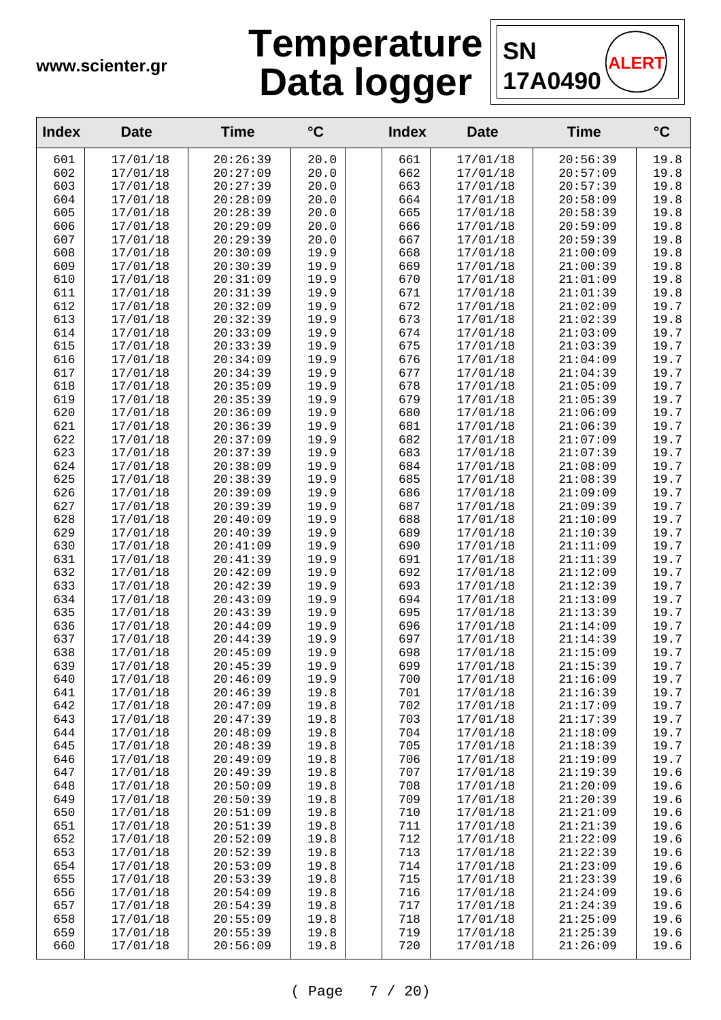

| <b>Index</b> | <b>Date</b>          | <b>Time</b>          | $\rm ^{\circ}C$ | <b>Index</b> | <b>Date</b>          | <b>Time</b>          | $\rm ^{\circ}C$ |
|--------------|----------------------|----------------------|-----------------|--------------|----------------------|----------------------|-----------------|
| 601          | 17/01/18             | 20:26:39             | 20.0            | 661          | 17/01/18             | 20:56:39             | 19.8            |
| 602          | 17/01/18             | 20:27:09             | 20.0            | 662          | 17/01/18             | 20:57:09             | 19.8            |
| 603          | 17/01/18             | 20:27:39             | 20.0            | 663          | 17/01/18             | 20:57:39             | 19.8            |
| 604          | 17/01/18             | 20:28:09             | 20.0            | 664          | 17/01/18             | 20:58:09             | 19.8            |
| 605          | 17/01/18             | 20:28:39             | 20.0            | 665          | 17/01/18             | 20:58:39             | 19.8            |
| 606          | 17/01/18             | 20:29:09             | 20.0            | 666          | 17/01/18             | 20:59:09             | 19.8            |
| 607          | 17/01/18             | 20:29:39             | 20.0            | 667          | 17/01/18             | 20:59:39             | 19.8            |
| 608          | 17/01/18             | 20:30:09             | 19.9            | 668          | 17/01/18             | 21:00:09             | 19.8            |
| 609          | 17/01/18             | 20:30:39             | 19.9            | 669          | 17/01/18             | 21:00:39             | 19.8            |
| 610<br>611   | 17/01/18<br>17/01/18 | 20:31:09<br>20:31:39 | 19.9<br>19.9    | 670<br>671   | 17/01/18<br>17/01/18 | 21:01:09<br>21:01:39 | 19.8<br>19.8    |
| 612          | 17/01/18             | 20:32:09             | 19.9            | 672          | 17/01/18             | 21:02:09             | 19.7            |
| 613          | 17/01/18             | 20:32:39             | 19.9            | 673          | 17/01/18             | 21:02:39             | 19.8            |
| 614          | 17/01/18             | 20:33:09             | 19.9            | 674          | 17/01/18             | 21:03:09             | 19.7            |
| 615          | 17/01/18             | 20:33:39             | 19.9            | 675          | 17/01/18             | 21:03:39             | 19.7            |
| 616          | 17/01/18             | 20:34:09             | 19.9            | 676          | 17/01/18             | 21:04:09             | 19.7            |
| 617          | 17/01/18             | 20:34:39             | 19.9            | 677          | 17/01/18             | 21:04:39             | 19.7            |
| 618          | 17/01/18             | 20:35:09             | 19.9            | 678          | 17/01/18             | 21:05:09             | 19.7            |
| 619          | 17/01/18             | 20:35:39             | 19.9            | 679          | 17/01/18             | 21:05:39             | 19.7            |
| 620          | 17/01/18             | 20:36:09             | 19.9            | 680          | 17/01/18             | 21:06:09             | 19.7            |
| 621          | 17/01/18             | 20:36:39             | 19.9            | 681          | 17/01/18             | 21:06:39             | 19.7            |
| 622          | 17/01/18             | 20:37:09             | 19.9            | 682          | 17/01/18             | 21:07:09             | 19.7            |
| 623          | 17/01/18             | 20:37:39             | 19.9            | 683          | 17/01/18             | 21:07:39             | 19.7            |
| 624          | 17/01/18             | 20:38:09             | 19.9            | 684          | 17/01/18             | 21:08:09             | 19.7            |
| 625          | 17/01/18             | 20:38:39             | 19.9            | 685          | 17/01/18             | 21:08:39             | 19.7            |
| 626<br>627   | 17/01/18             | 20:39:09             | 19.9<br>19.9    | 686          | 17/01/18             | 21:09:09             | 19.7<br>19.7    |
| 628          | 17/01/18<br>17/01/18 | 20:39:39<br>20:40:09 | 19.9            | 687<br>688   | 17/01/18<br>17/01/18 | 21:09:39<br>21:10:09 | 19.7            |
| 629          | 17/01/18             | 20:40:39             | 19.9            | 689          | 17/01/18             | 21:10:39             | 19.7            |
| 630          | 17/01/18             | 20:41:09             | 19.9            | 690          | 17/01/18             | 21:11:09             | 19.7            |
| 631          | 17/01/18             | 20:41:39             | 19.9            | 691          | 17/01/18             | 21:11:39             | 19.7            |
| 632          | 17/01/18             | 20:42:09             | 19.9            | 692          | 17/01/18             | 21:12:09             | 19.7            |
| 633          | 17/01/18             | 20:42:39             | 19.9            | 693          | 17/01/18             | 21:12:39             | 19.7            |
| 634          | 17/01/18             | 20:43:09             | 19.9            | 694          | 17/01/18             | 21:13:09             | 19.7            |
| 635          | 17/01/18             | 20:43:39             | 19.9            | 695          | 17/01/18             | 21:13:39             | 19.7            |
| 636          | 17/01/18             | 20:44:09             | 19.9            | 696          | 17/01/18             | 21:14:09             | 19.7            |
| 637          | 17/01/18             | 20:44:39             | 19.9            | 697          | 17/01/18             | 21:14:39             | 19.7            |
| 638          | 17/01/18             | 20:45:09             | 19.9            | 698          | 17/01/18             | 21:15:09             | 19.7            |
| 639          | 17/01/18             | 20:45:39             | 19.9            | 699          | 17/01/18             | 21:15:39             | 19.7            |
| 640          | 17/01/18             | 20:46:09             | 19.9            | 700          | 17/01/18             | 21:16:09             | 19.7            |
| 641          | 17/01/18             | 20:46:39<br>20:47:09 | 19.8            | 701          | 17/01/18             | 21:16:39             | 19.7            |
| 642<br>643   | 17/01/18<br>17/01/18 | 20:47:39             | 19.8<br>19.8    | 702<br>703   | 17/01/18<br>17/01/18 | 21:17:09<br>21:17:39 | 19.7<br>19.7    |
| 644          | 17/01/18             | 20:48:09             | 19.8            | 704          | 17/01/18             | 21:18:09             | 19.7            |
| 645          | 17/01/18             | 20:48:39             | 19.8            | 705          | 17/01/18             | 21:18:39             | 19.7            |
| 646          | 17/01/18             | 20:49:09             | 19.8            | 706          | 17/01/18             | 21:19:09             | 19.7            |
| 647          | 17/01/18             | 20:49:39             | 19.8            | 707          | 17/01/18             | 21:19:39             | 19.6            |
| 648          | 17/01/18             | 20:50:09             | 19.8            | 708          | 17/01/18             | 21:20:09             | 19.6            |
| 649          | 17/01/18             | 20:50:39             | 19.8            | 709          | 17/01/18             | 21:20:39             | 19.6            |
| 650          | 17/01/18             | 20:51:09             | 19.8            | 710          | 17/01/18             | 21:21:09             | 19.6            |
| 651          | 17/01/18             | 20:51:39             | 19.8            | 711          | 17/01/18             | 21:21:39             | 19.6            |
| 652          | 17/01/18             | 20:52:09             | 19.8            | 712          | 17/01/18             | 21:22:09             | 19.6            |
| 653          | 17/01/18             | 20:52:39             | 19.8            | 713          | 17/01/18             | 21:22:39             | 19.6            |
| 654          | 17/01/18             | 20:53:09             | 19.8            | 714          | 17/01/18             | 21:23:09             | 19.6            |
| 655          | 17/01/18             | 20:53:39             | 19.8            | 715          | 17/01/18             | 21:23:39             | 19.6            |
| 656          | 17/01/18             | 20:54:09             | 19.8            | 716          | 17/01/18             | 21:24:09             | 19.6            |
| 657          | 17/01/18             | 20:54:39             | 19.8            | 717          | 17/01/18             | 21:24:39             | 19.6<br>19.6    |
| 658<br>659   | 17/01/18<br>17/01/18 | 20:55:09<br>20:55:39 | 19.8<br>19.8    | 718<br>719   | 17/01/18<br>17/01/18 | 21:25:09<br>21:25:39 | 19.6            |
| 660          | 17/01/18             | 20:56:09             | 19.8            | 720          | 17/01/18             | 21:26:09             | 19.6            |
|              |                      |                      |                 |              |                      |                      |                 |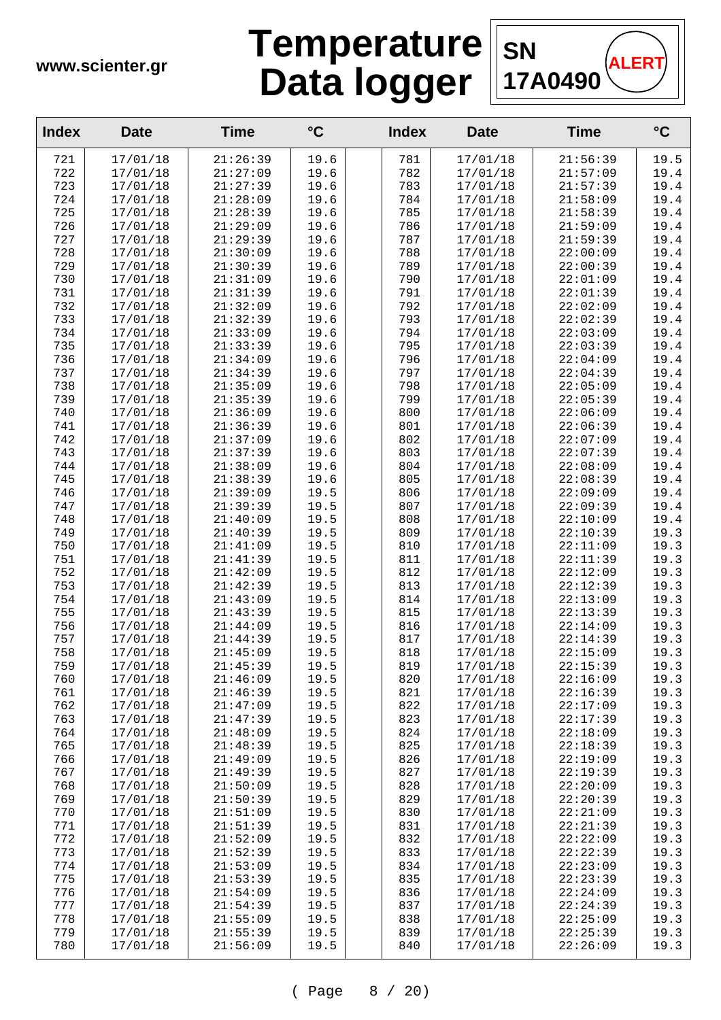

| <b>Index</b> | <b>Date</b>          | <b>Time</b>          | $\rm ^{\circ}C$ | <b>Index</b> | <b>Date</b>          | <b>Time</b>          | $\rm ^{\circ}C$ |
|--------------|----------------------|----------------------|-----------------|--------------|----------------------|----------------------|-----------------|
| 721          | 17/01/18             | 21:26:39             | 19.6            | 781          | 17/01/18             | 21:56:39             | 19.5            |
| 722          | 17/01/18             | 21:27:09             | 19.6            | 782          | 17/01/18             | 21:57:09             | 19.4            |
| 723          | 17/01/18             | 21:27:39             | 19.6            | 783          | 17/01/18             | 21:57:39             | 19.4            |
| 724          | 17/01/18             | 21:28:09             | 19.6            | 784          | 17/01/18             | 21:58:09             | 19.4            |
| 725          | 17/01/18             | 21:28:39             | 19.6            | 785          | 17/01/18             | 21:58:39             | 19.4            |
| 726          | 17/01/18             | 21:29:09             | 19.6            | 786          | 17/01/18             | 21:59:09             | 19.4            |
| 727          | 17/01/18             | 21:29:39             | 19.6            | 787          | 17/01/18             | 21:59:39             | 19.4            |
| 728          | 17/01/18             | 21:30:09             | 19.6            | 788          | 17/01/18             | 22:00:09             | 19.4            |
| 729          | 17/01/18             | 21:30:39             | 19.6            | 789          | 17/01/18             | 22:00:39             | 19.4            |
| 730          | 17/01/18             | 21:31:09             | 19.6            | 790          | 17/01/18             | 22:01:09             | 19.4            |
| 731          | 17/01/18             | 21:31:39             | 19.6            | 791          | 17/01/18             | 22:01:39             | 19.4            |
| 732          | 17/01/18             | 21:32:09             | 19.6            | 792          | 17/01/18             | 22:02:09             | 19.4            |
| 733          | 17/01/18             | 21:32:39             | 19.6            | 793          | 17/01/18             | 22:02:39             | 19.4            |
| 734          | 17/01/18             | 21:33:09             | 19.6            | 794          | 17/01/18             | 22:03:09             | 19.4            |
| 735<br>736   | 17/01/18             | 21:33:39             | 19.6            | 795<br>796   | 17/01/18             | 22:03:39             | 19.4<br>19.4    |
| 737          | 17/01/18<br>17/01/18 | 21:34:09<br>21:34:39 | 19.6<br>19.6    | 797          | 17/01/18<br>17/01/18 | 22:04:09<br>22:04:39 | 19.4            |
| 738          | 17/01/18             | 21:35:09             | 19.6            | 798          | 17/01/18             | 22:05:09             | 19.4            |
| 739          | 17/01/18             | 21:35:39             | 19.6            | 799          | 17/01/18             | 22:05:39             | 19.4            |
| 740          | 17/01/18             | 21:36:09             | 19.6            | 800          | 17/01/18             | 22:06:09             | 19.4            |
| 741          | 17/01/18             | 21:36:39             | 19.6            | 801          | 17/01/18             | 22:06:39             | 19.4            |
| 742          | 17/01/18             | 21:37:09             | 19.6            | 802          | 17/01/18             | 22:07:09             | 19.4            |
| 743          | 17/01/18             | 21:37:39             | 19.6            | 803          | 17/01/18             | 22:07:39             | 19.4            |
| 744          | 17/01/18             | 21:38:09             | 19.6            | 804          | 17/01/18             | 22:08:09             | 19.4            |
| 745          | 17/01/18             | 21:38:39             | 19.6            | 805          | 17/01/18             | 22:08:39             | 19.4            |
| 746          | 17/01/18             | 21:39:09             | 19.5            | 806          | 17/01/18             | 22:09:09             | 19.4            |
| 747          | 17/01/18             | 21:39:39             | 19.5            | 807          | 17/01/18             | 22:09:39             | 19.4            |
| 748          | 17/01/18             | 21:40:09             | 19.5            | 808          | 17/01/18             | 22:10:09             | 19.4            |
| 749          | 17/01/18             | 21:40:39             | 19.5            | 809          | 17/01/18             | 22:10:39             | 19.3            |
| 750          | 17/01/18             | 21:41:09             | 19.5            | 810          | 17/01/18             | 22:11:09             | 19.3            |
| 751          | 17/01/18             | 21:41:39             | 19.5            | 811          | 17/01/18             | 22:11:39             | 19.3            |
| 752          | 17/01/18             | 21:42:09             | 19.5            | 812          | 17/01/18             | 22:12:09             | 19.3            |
| 753<br>754   | 17/01/18<br>17/01/18 | 21:42:39<br>21:43:09 | 19.5<br>19.5    | 813<br>814   | 17/01/18<br>17/01/18 | 22:12:39<br>22:13:09 | 19.3<br>19.3    |
| 755          | 17/01/18             | 21:43:39             | 19.5            | 815          | 17/01/18             | 22:13:39             | 19.3            |
| 756          | 17/01/18             | 21:44:09             | 19.5            | 816          | 17/01/18             | 22:14:09             | 19.3            |
| 757          | 17/01/18             | 21:44:39             | 19.5            | 817          | 17/01/18             | 22:14:39             | 19.3            |
| 758          | 17/01/18             | 21:45:09             | 19.5            | 818          | 17/01/18             | 22:15:09             | 19.3            |
| 759          | 17/01/18             | 21:45:39             | 19.5            | 819          | 17/01/18             | 22:15:39             | 19.3            |
| 760          | 17/01/18             | 21:46:09             | 19.5            | 820          | 17/01/18             | 22:16:09             | 19.3            |
| 761          | 17/01/18             | 21:46:39             | 19.5            | 821          | 17/01/18             | 22:16:39             | 19.3            |
| 762          | 17/01/18             | 21:47:09             | 19.5            | 822          | 17/01/18             | 22:17:09             | 19.3            |
| 763          | 17/01/18             | 21:47:39             | 19.5            | 823          | 17/01/18             | 22:17:39             | 19.3            |
| 764          | 17/01/18             | 21:48:09             | 19.5            | 824          | 17/01/18             | 22:18:09             | 19.3            |
| 765          | 17/01/18             | 21:48:39             | 19.5            | 825          | 17/01/18             | 22:18:39             | 19.3            |
| 766          | 17/01/18             | 21:49:09             | 19.5            | 826          | 17/01/18             | 22:19:09             | 19.3            |
| 767          | 17/01/18             | 21:49:39             | 19.5            | 827          | 17/01/18             | 22:19:39             | 19.3            |
| 768          | 17/01/18             | 21:50:09             | 19.5            | 828          | 17/01/18             | 22:20:09             | 19.3            |
| 769<br>770   | 17/01/18             | 21:50:39             | 19.5            | 829          | 17/01/18             | 22:20:39             | 19.3            |
| $771$        | 17/01/18<br>17/01/18 | 21:51:09<br>21:51:39 | 19.5<br>19.5    | 830<br>831   | 17/01/18<br>17/01/18 | 22:21:09<br>22:21:39 | 19.3<br>19.3    |
| 772          | 17/01/18             | 21:52:09             | 19.5            | 832          | 17/01/18             | 22:22:09             | 19.3            |
| 773          | 17/01/18             | 21:52:39             | 19.5            | 833          | 17/01/18             | 22:22:39             | 19.3            |
| 774          | 17/01/18             | 21:53:09             | 19.5            | 834          | 17/01/18             | 22:23:09             | 19.3            |
| 775          | 17/01/18             | 21:53:39             | 19.5            | 835          | 17/01/18             | 22:23:39             | 19.3            |
| 776          | 17/01/18             | 21:54:09             | 19.5            | 836          | 17/01/18             | 22:24:09             | 19.3            |
| 777          | 17/01/18             | 21:54:39             | 19.5            | 837          | 17/01/18             | 22:24:39             | 19.3            |
| 778          | 17/01/18             | 21:55:09             | 19.5            | 838          | 17/01/18             | 22:25:09             | 19.3            |
| 779          | 17/01/18             | 21:55:39             | 19.5            | 839          | 17/01/18             | 22:25:39             | 19.3            |
| 780          | 17/01/18             | 21:56:09             | 19.5            | 840          | 17/01/18             | 22:26:09             | 19.3            |
|              |                      |                      |                 |              |                      |                      |                 |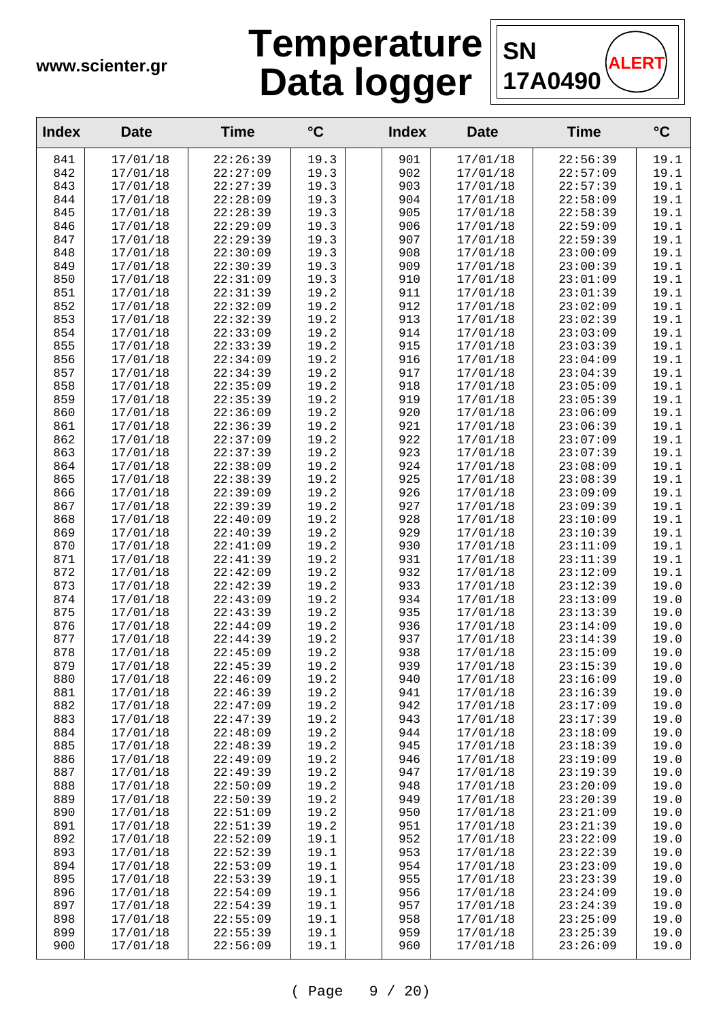

| <b>Index</b> | <b>Date</b>          | <b>Time</b>          | $\rm ^{\circ}C$ | <b>Index</b> | <b>Date</b>          | <b>Time</b>          | $\rm ^{\circ}C$ |
|--------------|----------------------|----------------------|-----------------|--------------|----------------------|----------------------|-----------------|
| 841          | 17/01/18             | 22:26:39             | 19.3            | 901          | 17/01/18             | 22:56:39             | 19.1            |
| 842          | 17/01/18             | 22:27:09             | 19.3            | 902          | 17/01/18             | 22:57:09             | 19.1            |
| 843          | 17/01/18             | 22:27:39             | 19.3            | 903          | 17/01/18             | 22:57:39             | 19.1            |
| 844          | 17/01/18             | 22:28:09             | 19.3            | 904          | 17/01/18             | 22:58:09             | 19.1            |
| 845          | 17/01/18             | 22:28:39             | 19.3            | 905          | 17/01/18             | 22:58:39             | 19.1            |
| 846          | 17/01/18             | 22:29:09             | 19.3            | 906          | 17/01/18             | 22:59:09             | 19.1            |
| 847          | 17/01/18             | 22:29:39             | 19.3            | 907          | 17/01/18             | 22:59:39             | 19.1            |
| 848          | 17/01/18             | 22:30:09             | 19.3            | 908          | 17/01/18             | 23:00:09             | 19.1            |
| 849          | 17/01/18             | 22:30:39             | 19.3            | 909          | 17/01/18             | 23:00:39             | 19.1            |
| 850          | 17/01/18             | 22:31:09             | 19.3            | 910          | 17/01/18             | 23:01:09             | 19.1            |
| 851          | 17/01/18             | 22:31:39             | 19.2            | 911          | 17/01/18             | 23:01:39             | 19.1            |
| 852<br>853   | 17/01/18             | 22:32:09             | 19.2            | 912<br>913   | 17/01/18             | 23:02:09             | 19.1<br>19.1    |
| 854          | 17/01/18<br>17/01/18 | 22:32:39<br>22:33:09 | 19.2<br>19.2    | 914          | 17/01/18<br>17/01/18 | 23:02:39<br>23:03:09 | 19.1            |
| 855          | 17/01/18             | 22:33:39             | 19.2            | 915          | 17/01/18             | 23:03:39             | 19.1            |
| 856          | 17/01/18             | 22:34:09             | 19.2            | 916          | 17/01/18             | 23:04:09             | 19.1            |
| 857          | 17/01/18             | 22:34:39             | 19.2            | 917          | 17/01/18             | 23:04:39             | 19.1            |
| 858          | 17/01/18             | 22:35:09             | 19.2            | 918          | 17/01/18             | 23:05:09             | 19.1            |
| 859          | 17/01/18             | 22:35:39             | 19.2            | 919          | 17/01/18             | 23:05:39             | 19.1            |
| 860          | 17/01/18             | 22:36:09             | 19.2            | 920          | 17/01/18             | 23:06:09             | 19.1            |
| 861          | 17/01/18             | 22:36:39             | 19.2            | 921          | 17/01/18             | 23:06:39             | 19.1            |
| 862          | 17/01/18             | 22:37:09             | 19.2            | 922          | 17/01/18             | 23:07:09             | 19.1            |
| 863          | 17/01/18             | 22:37:39             | 19.2            | 923          | 17/01/18             | 23:07:39             | 19.1            |
| 864          | 17/01/18             | 22:38:09             | 19.2            | 924          | 17/01/18             | 23:08:09             | 19.1            |
| 865          | 17/01/18             | 22:38:39             | 19.2            | 925          | 17/01/18             | 23:08:39             | 19.1            |
| 866          | 17/01/18             | 22:39:09             | 19.2            | 926          | 17/01/18             | 23:09:09             | 19.1            |
| 867          | 17/01/18             | 22:39:39             | 19.2            | 927          | 17/01/18             | 23:09:39             | 19.1            |
| 868          | 17/01/18             | 22:40:09             | 19.2            | 928          | 17/01/18             | 23:10:09             | 19.1            |
| 869          | 17/01/18             | 22:40:39             | 19.2            | 929          | 17/01/18             | 23:10:39             | 19.1            |
| 870          | 17/01/18             | 22:41:09             | 19.2            | 930          | 17/01/18             | 23:11:09             | 19.1            |
| 871          | 17/01/18             | 22:41:39             | 19.2            | 931          | 17/01/18             | 23:11:39             | 19.1            |
| 872          | 17/01/18             | 22:42:09             | 19.2            | 932          | 17/01/18             | 23:12:09             | 19.1            |
| 873          | 17/01/18             | 22:42:39             | 19.2            | 933          | 17/01/18             | 23:12:39             | 19.0            |
| 874<br>875   | 17/01/18             | 22:43:09<br>22:43:39 | 19.2            | 934<br>935   | 17/01/18             | 23:13:09             | 19.0<br>19.0    |
| 876          | 17/01/18<br>17/01/18 | 22:44:09             | 19.2<br>19.2    | 936          | 17/01/18<br>17/01/18 | 23:13:39<br>23:14:09 | 19.0            |
| 877          | 17/01/18             | 22:44:39             | 19.2            | 937          | 17/01/18             | 23:14:39             | 19.0            |
| 878          | 17/01/18             | 22:45:09             | 19.2            | 938          | 17/01/18             | 23:15:09             | 19.0            |
| 879          | 17/01/18             | 22:45:39             | 19.2            | 939          | 17/01/18             | 23:15:39             | 19.0            |
| 880          | 17/01/18             | 22:46:09             | 19.2            | 940          | 17/01/18             | 23:16:09             | 19.0            |
| 881          | 17/01/18             | 22:46:39             | 19.2            | 941          | 17/01/18             | 23:16:39             | 19.0            |
| 882          | 17/01/18             | 22:47:09             | 19.2            | 942          | 17/01/18             | 23:17:09             | 19.0            |
| 883          | 17/01/18             | 22:47:39             | 19.2            | 943          | 17/01/18             | 23:17:39             | 19.0            |
| 884          | 17/01/18             | 22:48:09             | 19.2            | 944          | 17/01/18             | 23:18:09             | 19.0            |
| 885          | 17/01/18             | 22:48:39             | 19.2            | 945          | 17/01/18             | 23:18:39             | 19.0            |
| 886          | 17/01/18             | 22:49:09             | 19.2            | 946          | 17/01/18             | 23:19:09             | 19.0            |
| 887          | 17/01/18             | 22:49:39             | 19.2            | 947          | 17/01/18             | 23:19:39             | 19.0            |
| 888          | 17/01/18             | 22:50:09             | 19.2            | 948          | 17/01/18             | 23:20:09             | 19.0            |
| 889          | 17/01/18             | 22:50:39             | 19.2            | 949          | 17/01/18             | 23:20:39             | 19.0            |
| 890          | 17/01/18             | 22:51:09             | 19.2            | 950          | 17/01/18             | 23:21:09             | 19.0            |
| 891          | 17/01/18             | 22:51:39             | 19.2            | 951          | 17/01/18             | 23:21:39             | 19.0            |
| 892          | 17/01/18             | 22:52:09             | 19.1            | 952          | 17/01/18             | 23:22:09             | 19.0            |
| 893          | 17/01/18             | 22:52:39             | 19.1            | 953          | 17/01/18             | 23:22:39             | 19.0            |
| 894          | 17/01/18             | 22:53:09             | 19.1            | 954          | 17/01/18             | 23:23:09             | 19.0            |
| 895          | 17/01/18             | 22:53:39             | 19.1            | 955          | 17/01/18             | 23:23:39             | 19.0            |
| 896          | 17/01/18             | 22:54:09             | 19.1            | 956          | 17/01/18             | 23:24:09             | 19.0            |
| 897          | 17/01/18             | 22:54:39             | 19.1            | 957          | 17/01/18             | 23:24:39             | 19.0<br>19.0    |
| 898<br>899   | 17/01/18<br>17/01/18 | 22:55:09<br>22:55:39 | 19.1<br>19.1    | 958<br>959   | 17/01/18<br>17/01/18 | 23:25:09<br>23:25:39 | 19.0            |
| 900          | 17/01/18             | 22:56:09             | 19.1            | 960          | 17/01/18             | 23:26:09             | 19.0            |
|              |                      |                      |                 |              |                      |                      |                 |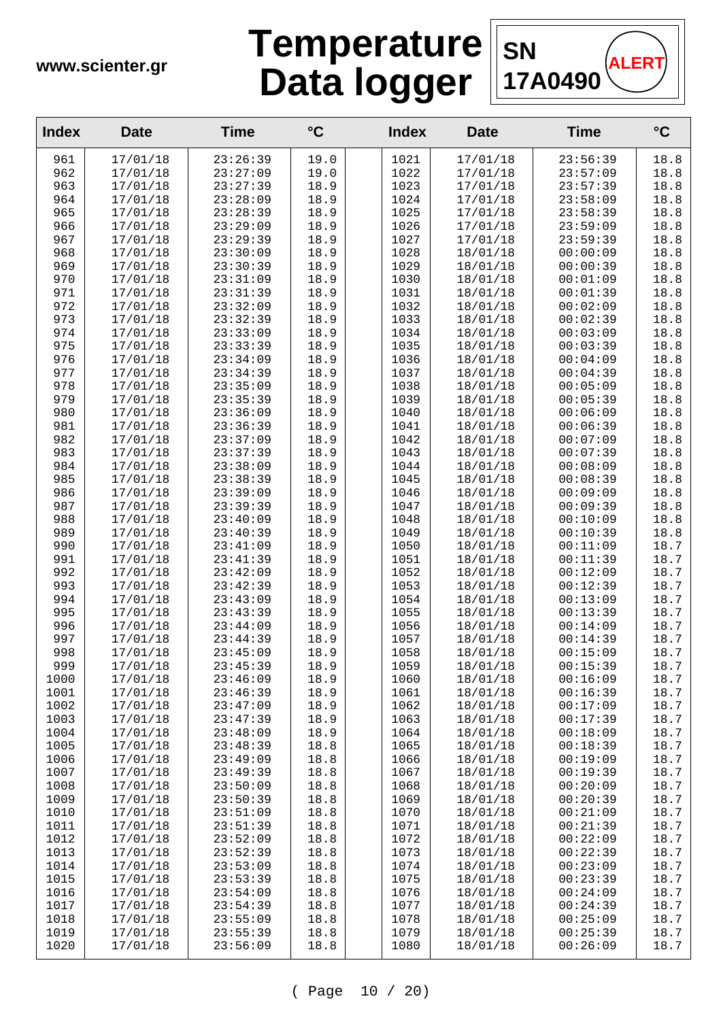

| <b>Index</b> | <b>Date</b>          | <b>Time</b>          | $\rm ^{\circ}C$ | <b>Index</b> | <b>Date</b>          | <b>Time</b>          | $\rm ^{\circ}C$ |
|--------------|----------------------|----------------------|-----------------|--------------|----------------------|----------------------|-----------------|
| 961          | 17/01/18             | 23:26:39             | 19.0            | 1021         | 17/01/18             | 23:56:39             | 18.8            |
| 962          | 17/01/18             | 23:27:09             | 19.0            | 1022         | 17/01/18             | 23:57:09             | 18.8            |
| 963          | 17/01/18             | 23:27:39             | 18.9            | 1023         | 17/01/18             | 23:57:39             | 18.8            |
| 964          | 17/01/18             | 23:28:09             | 18.9            | 1024         | 17/01/18             | 23:58:09             | 18.8            |
| 965          | 17/01/18             | 23:28:39             | 18.9            | 1025         | 17/01/18             | 23:58:39             | 18.8            |
| 966          | 17/01/18             | 23:29:09             | 18.9            | 1026         | 17/01/18             | 23:59:09             | 18.8            |
| 967          | 17/01/18             | 23:29:39<br>23:30:09 | 18.9            | 1027         | 17/01/18             | 23:59:39             | 18.8            |
| 968<br>969   | 17/01/18<br>17/01/18 | 23:30:39             | 18.9<br>18.9    | 1028<br>1029 | 18/01/18<br>18/01/18 | 00:00:09<br>00:00:39 | 18.8<br>18.8    |
| 970          | 17/01/18             | 23:31:09             | 18.9            | 1030         | 18/01/18             | 00:01:09             | 18.8            |
| 971          | 17/01/18             | 23:31:39             | 18.9            | 1031         | 18/01/18             | 00:01:39             | 18.8            |
| 972          | 17/01/18             | 23:32:09             | 18.9            | 1032         | 18/01/18             | 00:02:09             | 18.8            |
| 973          | 17/01/18             | 23:32:39             | 18.9            | 1033         | 18/01/18             | 00:02:39             | 18.8            |
| 974          | 17/01/18             | 23:33:09             | 18.9            | 1034         | 18/01/18             | 00:03:09             | 18.8            |
| 975          | 17/01/18             | 23:33:39             | 18.9            | 1035         | 18/01/18             | 00:03:39             | 18.8            |
| 976          | 17/01/18             | 23:34:09             | 18.9            | 1036         | 18/01/18             | 00:04:09             | 18.8            |
| 977          | 17/01/18             | 23:34:39             | 18.9            | 1037         | 18/01/18             | 00:04:39             | 18.8            |
| 978          | 17/01/18             | 23:35:09             | 18.9            | 1038         | 18/01/18             | 00:05:09             | 18.8            |
| 979          | 17/01/18             | 23:35:39             | 18.9            | 1039         | 18/01/18             | 00:05:39             | 18.8            |
| 980<br>981   | 17/01/18             | 23:36:09<br>23:36:39 | 18.9            | 1040         | 18/01/18             | 00:06:09             | 18.8<br>18.8    |
| 982          | 17/01/18<br>17/01/18 | 23:37:09             | 18.9<br>18.9    | 1041<br>1042 | 18/01/18<br>18/01/18 | 00:06:39<br>00:07:09 | 18.8            |
| 983          | 17/01/18             | 23:37:39             | 18.9            | 1043         | 18/01/18             | 00:07:39             | 18.8            |
| 984          | 17/01/18             | 23:38:09             | 18.9            | 1044         | 18/01/18             | 00:08:09             | 18.8            |
| 985          | 17/01/18             | 23:38:39             | 18.9            | 1045         | 18/01/18             | 00:08:39             | 18.8            |
| 986          | 17/01/18             | 23:39:09             | 18.9            | 1046         | 18/01/18             | 00:09:09             | 18.8            |
| 987          | 17/01/18             | 23:39:39             | 18.9            | 1047         | 18/01/18             | 00:09:39             | 18.8            |
| 988          | 17/01/18             | 23:40:09             | 18.9            | 1048         | 18/01/18             | 00:10:09             | 18.8            |
| 989          | 17/01/18             | 23:40:39             | 18.9            | 1049         | 18/01/18             | 00:10:39             | 18.8            |
| 990          | 17/01/18             | 23:41:09             | 18.9            | 1050         | 18/01/18             | 00:11:09             | 18.7            |
| 991          | 17/01/18             | 23:41:39             | 18.9            | 1051         | 18/01/18             | 00:11:39             | 18.7            |
| 992<br>993   | 17/01/18             | 23:42:09             | 18.9<br>18.9    | 1052<br>1053 | 18/01/18             | 00:12:09             | 18.7            |
| 994          | 17/01/18<br>17/01/18 | 23:42:39<br>23:43:09 | 18.9            | 1054         | 18/01/18<br>18/01/18 | 00:12:39<br>00:13:09 | 18.7<br>18.7    |
| 995          | 17/01/18             | 23:43:39             | 18.9            | 1055         | 18/01/18             | 00:13:39             | 18.7            |
| 996          | 17/01/18             | 23:44:09             | 18.9            | 1056         | 18/01/18             | 00:14:09             | 18.7            |
| 997          | 17/01/18             | 23:44:39             | 18.9            | 1057         | 18/01/18             | 00:14:39             | 18.7            |
| 998          | 17/01/18             | 23:45:09             | 18.9            | 1058         | 18/01/18             | 00:15:09             | 18.7            |
| 999          | 17/01/18             | 23:45:39             | 18.9            | 1059         | 18/01/18             | 00:15:39             | 18.7            |
| 1000         | 17/01/18             | 23:46:09             | 18.9            | 1060         | 18/01/18             | 00:16:09             | 18.7            |
| 1001         | 17/01/18             | 23:46:39             | 18.9            | 1061         | 18/01/18             | 00:16:39             | 18.7            |
| 1002         | 17/01/18             | 23:47:09             | 18.9            | 1062         | 18/01/18             | 00:17:09             | 18.7            |
| 1003         | 17/01/18             | 23:47:39             | 18.9            | 1063         | 18/01/18             | 00:17:39             | 18.7            |
| 1004<br>1005 | 17/01/18<br>17/01/18 | 23:48:09<br>23:48:39 | 18.9<br>18.8    | 1064<br>1065 | 18/01/18<br>18/01/18 | 00:18:09<br>00:18:39 | 18.7<br>18.7    |
| 1006         | 17/01/18             | 23:49:09             | 18.8            | 1066         | 18/01/18             | 00:19:09             | 18.7            |
| 1007         | 17/01/18             | 23:49:39             | 18.8            | 1067         | 18/01/18             | 00:19:39             | 18.7            |
| 1008         | 17/01/18             | 23:50:09             | 18.8            | 1068         | 18/01/18             | 00:20:09             | 18.7            |
| 1009         | 17/01/18             | 23:50:39             | 18.8            | 1069         | 18/01/18             | 00:20:39             | 18.7            |
| 1010         | 17/01/18             | 23:51:09             | 18.8            | 1070         | 18/01/18             | 00:21:09             | 18.7            |
| 1011         | 17/01/18             | 23:51:39             | 18.8            | 1071         | 18/01/18             | 00:21:39             | 18.7            |
| 1012         | 17/01/18             | 23:52:09             | 18.8            | 1072         | 18/01/18             | 00:22:09             | 18.7            |
| 1013         | 17/01/18             | 23:52:39             | 18.8            | 1073         | 18/01/18             | 00:22:39             | 18.7            |
| 1014         | 17/01/18             | 23:53:09             | 18.8            | 1074         | 18/01/18             | 00:23:09             | 18.7            |
| 1015         | 17/01/18             | 23:53:39             | 18.8            | 1075         | 18/01/18             | 00:23:39             | 18.7            |
| 1016         | 17/01/18             | 23:54:09             | 18.8            | 1076         | 18/01/18             | 00:24:09             | 18.7            |
| 1017<br>1018 | 17/01/18<br>17/01/18 | 23:54:39<br>23:55:09 | 18.8<br>18.8    | 1077<br>1078 | 18/01/18<br>18/01/18 | 00:24:39<br>00:25:09 | 18.7<br>18.7    |
| 1019         | 17/01/18             | 23:55:39             | 18.8            | 1079         | 18/01/18             | 00:25:39             | 18.7            |
| 1020         | 17/01/18             | 23:56:09             | 18.8            | 1080         | 18/01/18             | 00:26:09             | 18.7            |
|              |                      |                      |                 |              |                      |                      |                 |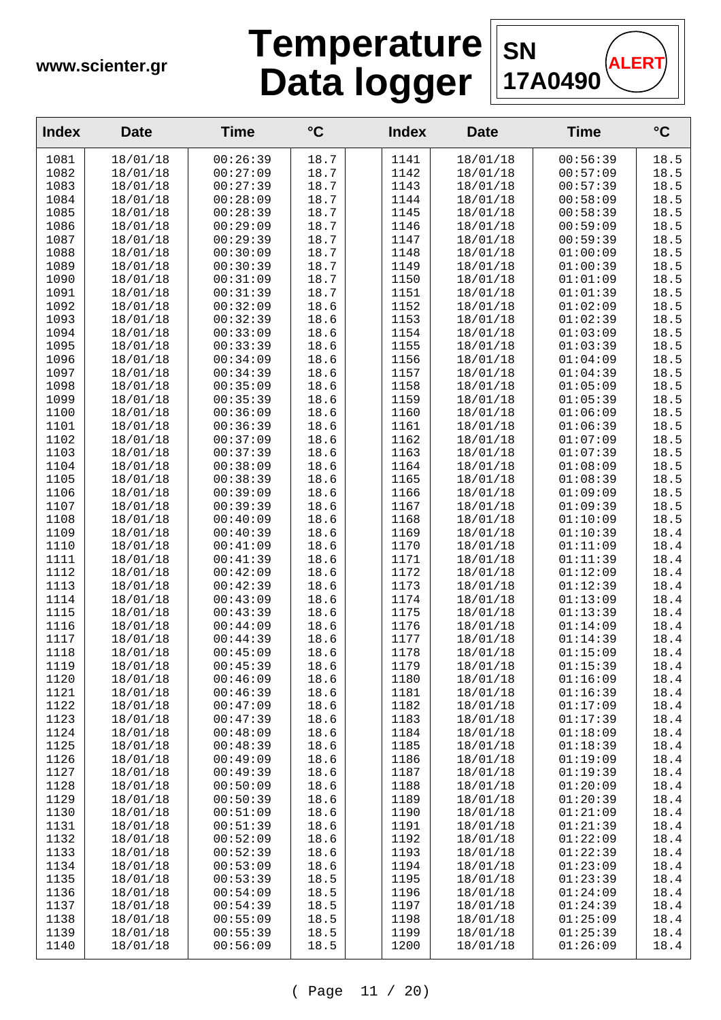

| <b>Index</b> | <b>Date</b>          | <b>Time</b>          | $\rm ^{\circ}C$ | <b>Index</b> | <b>Date</b>          | <b>Time</b>          | $\rm ^{\circ}C$ |
|--------------|----------------------|----------------------|-----------------|--------------|----------------------|----------------------|-----------------|
| 1081         | 18/01/18             | 00:26:39             | 18.7            | 1141         | 18/01/18             | 00:56:39             | 18.5            |
| 1082         | 18/01/18             | 00:27:09             | 18.7            | 1142         | 18/01/18             | 00:57:09             | 18.5            |
| 1083         | 18/01/18             | 00:27:39             | 18.7            | 1143         | 18/01/18             | 00:57:39             | 18.5            |
| 1084         | 18/01/18             | 00:28:09             | 18.7            | 1144         | 18/01/18             | 00:58:09             | 18.5            |
| 1085         | 18/01/18             | 00:28:39             | 18.7            | 1145         | 18/01/18             | 00:58:39             | 18.5            |
| 1086         | 18/01/18             | 00:29:09             | 18.7            | 1146         | 18/01/18             | 00:59:09             | 18.5            |
| 1087         | 18/01/18             | 00:29:39<br>00:30:09 | 18.7            | 1147         | 18/01/18             | 00:59:39             | 18.5<br>18.5    |
| 1088<br>1089 | 18/01/18<br>18/01/18 | 00:30:39             | 18.7<br>18.7    | 1148<br>1149 | 18/01/18<br>18/01/18 | 01:00:09<br>01:00:39 | 18.5            |
| 1090         | 18/01/18             | 00:31:09             | 18.7            | 1150         | 18/01/18             | 01:01:09             | 18.5            |
| 1091         | 18/01/18             | 00:31:39             | 18.7            | 1151         | 18/01/18             | 01:01:39             | 18.5            |
| 1092         | 18/01/18             | 00:32:09             | 18.6            | 1152         | 18/01/18             | 01:02:09             | 18.5            |
| 1093         | 18/01/18             | 00:32:39             | 18.6            | 1153         | 18/01/18             | 01:02:39             | 18.5            |
| 1094         | 18/01/18             | 00:33:09             | 18.6            | 1154         | 18/01/18             | 01:03:09             | 18.5            |
| 1095         | 18/01/18             | 00:33:39             | 18.6            | 1155         | 18/01/18             | 01:03:39             | 18.5            |
| 1096         | 18/01/18             | 00:34:09             | 18.6            | 1156         | 18/01/18             | 01:04:09             | 18.5            |
| 1097         | 18/01/18             | 00:34:39             | 18.6            | 1157         | 18/01/18             | 01:04:39             | 18.5            |
| 1098         | 18/01/18             | 00:35:09             | 18.6            | 1158         | 18/01/18             | 01:05:09             | 18.5            |
| 1099         | 18/01/18             | 00:35:39             | 18.6            | 1159         | 18/01/18             | 01:05:39             | 18.5            |
| 1100         | 18/01/18             | 00:36:09             | 18.6            | 1160         | 18/01/18             | 01:06:09             | 18.5            |
| 1101         | 18/01/18             | 00:36:39<br>00:37:09 | 18.6<br>18.6    | 1161         | 18/01/18             | 01:06:39             | 18.5            |
| 1102<br>1103 | 18/01/18<br>18/01/18 | 00:37:39             | 18.6            | 1162<br>1163 | 18/01/18<br>18/01/18 | 01:07:09<br>01:07:39 | 18.5<br>18.5    |
| 1104         | 18/01/18             | 00:38:09             | 18.6            | 1164         | 18/01/18             | 01:08:09             | 18.5            |
| 1105         | 18/01/18             | 00:38:39             | 18.6            | 1165         | 18/01/18             | 01:08:39             | 18.5            |
| 1106         | 18/01/18             | 00:39:09             | 18.6            | 1166         | 18/01/18             | 01:09:09             | 18.5            |
| 1107         | 18/01/18             | 00:39:39             | 18.6            | 1167         | 18/01/18             | 01:09:39             | 18.5            |
| 1108         | 18/01/18             | 00:40:09             | 18.6            | 1168         | 18/01/18             | 01:10:09             | 18.5            |
| 1109         | 18/01/18             | 00:40:39             | 18.6            | 1169         | 18/01/18             | 01:10:39             | 18.4            |
| 1110         | 18/01/18             | 00:41:09             | 18.6            | 1170         | 18/01/18             | 01:11:09             | 18.4            |
| 1111         | 18/01/18             | 00:41:39             | 18.6            | 1171         | 18/01/18             | 01:11:39             | 18.4            |
| 1112         | 18/01/18             | 00:42:09             | 18.6            | 1172         | 18/01/18             | 01:12:09             | 18.4            |
| 1113         | 18/01/18             | 00:42:39             | 18.6            | 1173         | 18/01/18             | 01:12:39             | 18.4            |
| 1114         | 18/01/18             | 00:43:09             | 18.6            | 1174         | 18/01/18             | 01:13:09             | 18.4<br>18.4    |
| 1115<br>1116 | 18/01/18<br>18/01/18 | 00:43:39<br>00:44:09 | 18.6<br>18.6    | 1175<br>1176 | 18/01/18<br>18/01/18 | 01:13:39<br>01:14:09 | 18.4            |
| 1117         | 18/01/18             | 00:44:39             | 18.6            | 1177         | 18/01/18             | 01:14:39             | 18.4            |
| 1118         | 18/01/18             | 00:45:09             | 18.6            | 1178         | 18/01/18             | 01:15:09             | 18.4            |
| 1119         | 18/01/18             | 00:45:39             | 18.6            | 1179         | 18/01/18             | 01:15:39             | 18.4            |
| 1120         | 18/01/18             | 00:46:09             | 18.6            | 1180         | 18/01/18             | 01:16:09             | 18.4            |
| 1121         | 18/01/18             | 00:46:39             | 18.6            | 1181         | 18/01/18             | 01:16:39             | 18.4            |
| 1122         | 18/01/18             | 00:47:09             | 18.6            | 1182         | 18/01/18             | 01:17:09             | 18.4            |
| 1123         | 18/01/18             | 00:47:39             | 18.6            | 1183         | 18/01/18             | 01:17:39             | 18.4            |
| 1124         | 18/01/18             | 00:48:09             | 18.6            | 1184         | 18/01/18             | 01:18:09             | 18.4            |
| 1125         | 18/01/18             | 00:48:39             | 18.6            | 1185         | 18/01/18             | 01:18:39             | 18.4            |
| 1126         | 18/01/18             | 00:49:09             | 18.6            | 1186         | 18/01/18             | 01:19:09             | 18.4            |
| 1127         | 18/01/18             | 00:49:39             | 18.6            | 1187         | 18/01/18             | 01:19:39             | 18.4            |
| 1128<br>1129 | 18/01/18<br>18/01/18 | 00:50:09<br>00:50:39 | 18.6<br>18.6    | 1188<br>1189 | 18/01/18<br>18/01/18 | 01:20:09<br>01:20:39 | 18.4<br>18.4    |
| 1130         | 18/01/18             | 00:51:09             | 18.6            | 1190         | 18/01/18             | 01:21:09             | 18.4            |
| 1131         | 18/01/18             | 00:51:39             | 18.6            | 1191         | 18/01/18             | 01:21:39             | 18.4            |
| 1132         | 18/01/18             | 00:52:09             | 18.6            | 1192         | 18/01/18             | 01:22:09             | 18.4            |
| 1133         | 18/01/18             | 00:52:39             | 18.6            | 1193         | 18/01/18             | 01:22:39             | 18.4            |
| 1134         | 18/01/18             | 00:53:09             | 18.6            | 1194         | 18/01/18             | 01:23:09             | 18.4            |
| 1135         | 18/01/18             | 00:53:39             | 18.5            | 1195         | 18/01/18             | 01:23:39             | 18.4            |
| 1136         | 18/01/18             | 00:54:09             | 18.5            | 1196         | 18/01/18             | 01:24:09             | 18.4            |
| 1137         | 18/01/18             | 00:54:39             | 18.5            | 1197         | 18/01/18             | 01:24:39             | 18.4            |
| 1138         | 18/01/18             | 00:55:09             | 18.5            | 1198         | 18/01/18             | 01:25:09             | 18.4            |
| 1139<br>1140 | 18/01/18             | 00:55:39<br>00:56:09 | 18.5            | 1199<br>1200 | 18/01/18             | 01:25:39<br>01:26:09 | 18.4            |
|              | 18/01/18             |                      | 18.5            |              | 18/01/18             |                      | 18.4            |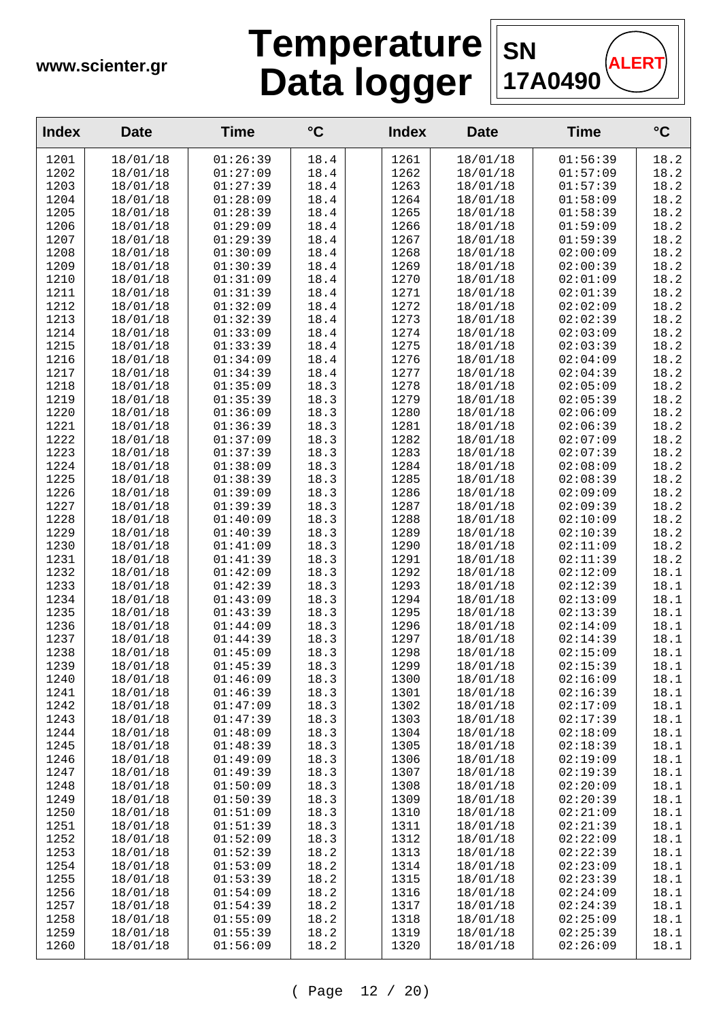

| <b>Index</b> | <b>Date</b>          | <b>Time</b>          | $\rm ^{\circ}C$ | <b>Index</b> | <b>Date</b>          | <b>Time</b>          | $\rm ^{\circ}C$ |
|--------------|----------------------|----------------------|-----------------|--------------|----------------------|----------------------|-----------------|
| 1201         | 18/01/18             | 01:26:39             | 18.4            | 1261         | 18/01/18             | 01:56:39             | 18.2            |
| 1202         | 18/01/18             | 01:27:09             | 18.4            | 1262         | 18/01/18             | 01:57:09             | 18.2            |
| 1203         | 18/01/18             | 01:27:39             | 18.4            | 1263         | 18/01/18             | 01:57:39             | 18.2            |
| 1204         | 18/01/18             | 01:28:09             | 18.4            | 1264         | 18/01/18             | 01:58:09             | 18.2            |
| 1205         | 18/01/18             | 01:28:39             | 18.4            | 1265         | 18/01/18             | 01:58:39             | 18.2            |
| 1206         | 18/01/18             | 01:29:09             | 18.4            | 1266         | 18/01/18             | 01:59:09             | 18.2            |
| 1207         | 18/01/18             | 01:29:39             | 18.4            | 1267         | 18/01/18             | 01:59:39             | 18.2            |
| 1208         | 18/01/18             | 01:30:09             | 18.4            | 1268         | 18/01/18             | 02:00:09             | 18.2            |
| 1209         | 18/01/18             | 01:30:39             | 18.4            | 1269         | 18/01/18             | 02:00:39             | 18.2            |
| 1210         | 18/01/18             | 01:31:09             | 18.4            | 1270         | 18/01/18             | 02:01:09             | 18.2            |
| 1211         | 18/01/18             | 01:31:39             | 18.4            | 1271         | 18/01/18             | 02:01:39             | 18.2            |
| 1212         | 18/01/18             | 01:32:09             | 18.4            | 1272         | 18/01/18             | 02:02:09             | 18.2            |
| 1213<br>1214 | 18/01/18             | 01:32:39<br>01:33:09 | 18.4            | 1273<br>1274 | 18/01/18<br>18/01/18 | 02:02:39<br>02:03:09 | 18.2<br>18.2    |
| 1215         | 18/01/18<br>18/01/18 | 01:33:39             | 18.4<br>18.4    | 1275         | 18/01/18             | 02:03:39             | 18.2            |
| 1216         | 18/01/18             | 01:34:09             | 18.4            | 1276         | 18/01/18             | 02:04:09             | 18.2            |
| 1217         | 18/01/18             | 01:34:39             | 18.4            | 1277         | 18/01/18             | 02:04:39             | 18.2            |
| 1218         | 18/01/18             | 01:35:09             | 18.3            | 1278         | 18/01/18             | 02:05:09             | 18.2            |
| 1219         | 18/01/18             | 01:35:39             | 18.3            | 1279         | 18/01/18             | 02:05:39             | 18.2            |
| 1220         | 18/01/18             | 01:36:09             | 18.3            | 1280         | 18/01/18             | 02:06:09             | 18.2            |
| 1221         | 18/01/18             | 01:36:39             | 18.3            | 1281         | 18/01/18             | 02:06:39             | 18.2            |
| 1222         | 18/01/18             | 01:37:09             | 18.3            | 1282         | 18/01/18             | 02:07:09             | 18.2            |
| 1223         | 18/01/18             | 01:37:39             | 18.3            | 1283         | 18/01/18             | 02:07:39             | 18.2            |
| 1224         | 18/01/18             | 01:38:09             | 18.3            | 1284         | 18/01/18             | 02:08:09             | 18.2            |
| 1225         | 18/01/18             | 01:38:39             | 18.3            | 1285         | 18/01/18             | 02:08:39             | 18.2            |
| 1226         | 18/01/18             | 01:39:09             | 18.3            | 1286         | 18/01/18             | 02:09:09             | 18.2            |
| 1227         | 18/01/18             | 01:39:39             | 18.3            | 1287         | 18/01/18             | 02:09:39             | 18.2            |
| 1228         | 18/01/18             | 01:40:09             | 18.3            | 1288         | 18/01/18             | 02:10:09             | 18.2            |
| 1229         | 18/01/18             | 01:40:39             | 18.3            | 1289         | 18/01/18             | 02:10:39             | 18.2            |
| 1230         | 18/01/18             | 01:41:09             | 18.3            | 1290         | 18/01/18             | 02:11:09             | 18.2            |
| 1231         | 18/01/18             | 01:41:39             | 18.3            | 1291         | 18/01/18             | 02:11:39             | 18.2            |
| 1232         | 18/01/18             | 01:42:09             | 18.3            | 1292         | 18/01/18             | 02:12:09             | 18.1            |
| 1233         | 18/01/18             | 01:42:39             | 18.3            | 1293         | 18/01/18             | 02:12:39             | 18.1            |
| 1234         | 18/01/18             | 01:43:09             | 18.3            | 1294         | 18/01/18             | 02:13:09             | 18.1            |
| 1235         | 18/01/18             | 01:43:39             | 18.3            | 1295         | 18/01/18             | 02:13:39             | 18.1            |
| 1236         | 18/01/18             | 01:44:09             | 18.3            | 1296         | 18/01/18             | 02:14:09             | 18.1            |
| 1237         | 18/01/18             | 01:44:39             | 18.3            | 1297         | 18/01/18             | 02:14:39             | 18.1            |
| 1238         | 18/01/18             | 01:45:09             | 18.3            | 1298         | 18/01/18             | 02:15:09             | 18.1            |
| 1239         | 18/01/18             | 01:45:39             | 18.3            | 1299         | 18/01/18             | 02:15:39             | $18.1\,$        |
| 1240         | 18/01/18             | 01:46:09             | 18.3            | 1300         | 18/01/18             | 02:16:09             | 18.1            |
| 1241         | 18/01/18             | 01:46:39             | 18.3            | 1301         | 18/01/18             | 02:16:39             | 18.1            |
| 1242         | 18/01/18             | 01:47:09             | 18.3            | 1302         | 18/01/18             | 02:17:09             | 18.1            |
| 1243<br>1244 | 18/01/18             | 01:47:39<br>01:48:09 | 18.3            | 1303         | 18/01/18             | 02:17:39             | 18.1            |
| 1245         | 18/01/18<br>18/01/18 | 01:48:39             | 18.3<br>18.3    | 1304<br>1305 | 18/01/18<br>18/01/18 | 02:18:09<br>02:18:39 | 18.1<br>18.1    |
| 1246         | 18/01/18             | 01:49:09             | 18.3            | 1306         | 18/01/18             | 02:19:09             | 18.1            |
| 1247         | 18/01/18             | 01:49:39             | 18.3            | 1307         | 18/01/18             | 02:19:39             | 18.1            |
| 1248         | 18/01/18             | 01:50:09             | 18.3            | 1308         | 18/01/18             | 02:20:09             | 18.1            |
| 1249         | 18/01/18             | 01:50:39             | 18.3            | 1309         | 18/01/18             | 02:20:39             | 18.1            |
| 1250         | 18/01/18             | 01:51:09             | 18.3            | 1310         | 18/01/18             | 02:21:09             | 18.1            |
| 1251         | 18/01/18             | 01:51:39             | 18.3            | 1311         | 18/01/18             | 02:21:39             | 18.1            |
| 1252         | 18/01/18             | 01:52:09             | 18.3            | 1312         | 18/01/18             | 02:22:09             | 18.1            |
| 1253         | 18/01/18             | 01:52:39             | 18.2            | 1313         | 18/01/18             | 02:22:39             | 18.1            |
| 1254         | 18/01/18             | 01:53:09             | 18.2            | 1314         | 18/01/18             | 02:23:09             | 18.1            |
| 1255         | 18/01/18             | 01:53:39             | 18.2            | 1315         | 18/01/18             | 02:23:39             | 18.1            |
| 1256         | 18/01/18             | 01:54:09             | 18.2            | 1316         | 18/01/18             | 02:24:09             | 18.1            |
| 1257         | 18/01/18             | 01:54:39             | 18.2            | 1317         | 18/01/18             | 02:24:39             | 18.1            |
| 1258         | 18/01/18             | 01:55:09             | 18.2            | 1318         | 18/01/18             | 02:25:09             | 18.1            |
| 1259         | 18/01/18             | 01:55:39             | 18.2            | 1319         | 18/01/18             | 02:25:39             | 18.1            |
| 1260         | 18/01/18             | 01:56:09             | 18.2            | 1320         | 18/01/18             | 02:26:09             | 18.1            |
|              |                      |                      |                 |              |                      |                      |                 |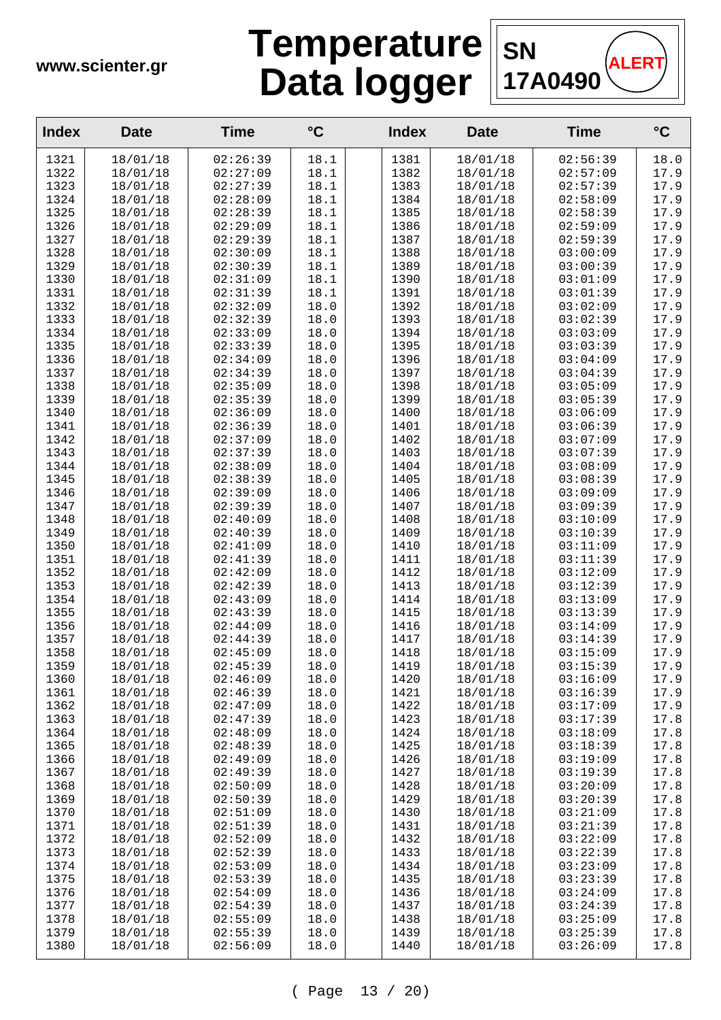

| <b>Index</b> | <b>Date</b>          | <b>Time</b>          | $\rm ^{\circ}C$ | <b>Index</b> | <b>Date</b>          | <b>Time</b>          | $\rm ^{\circ}C$ |
|--------------|----------------------|----------------------|-----------------|--------------|----------------------|----------------------|-----------------|
| 1321         | 18/01/18             | 02:26:39             | 18.1            | 1381         | 18/01/18             | 02:56:39             | 18.0            |
| 1322         | 18/01/18             | 02:27:09             | 18.1            | 1382         | 18/01/18             | 02:57:09             | 17.9            |
| 1323         | 18/01/18             | 02:27:39             | 18.1            | 1383         | 18/01/18             | 02:57:39             | 17.9            |
| 1324         | 18/01/18             | 02:28:09             | 18.1            | 1384         | 18/01/18             | 02:58:09             | 17.9            |
| 1325         | 18/01/18             | 02:28:39             | 18.1            | 1385         | 18/01/18             | 02:58:39             | 17.9            |
| 1326         | 18/01/18             | 02:29:09             | 18.1            | 1386         | 18/01/18             | 02:59:09             | 17.9            |
| 1327         | 18/01/18             | 02:29:39             | 18.1            | 1387         | 18/01/18             | 02:59:39             | 17.9            |
| 1328         | 18/01/18             | 02:30:09             | 18.1            | 1388         | 18/01/18             | 03:00:09             | 17.9            |
| 1329         | 18/01/18             | 02:30:39             | 18.1            | 1389         | 18/01/18             | 03:00:39             | 17.9            |
| 1330         | 18/01/18             | 02:31:09             | 18.1            | 1390         | 18/01/18             | 03:01:09             | 17.9            |
| 1331         | 18/01/18             | 02:31:39             | 18.1            | 1391         | 18/01/18             | 03:01:39             | 17.9            |
| 1332         | 18/01/18             | 02:32:09             | 18.0            | 1392         | 18/01/18             | 03:02:09             | 17.9            |
| 1333         | 18/01/18             | 02:32:39             | 18.0            | 1393         | 18/01/18             | 03:02:39             | 17.9            |
| 1334         | 18/01/18             | 02:33:09             | 18.0            | 1394         | 18/01/18             | 03:03:09             | 17.9            |
| 1335         | 18/01/18             | 02:33:39             | 18.0            | 1395         | 18/01/18             | 03:03:39             | 17.9            |
| 1336         | 18/01/18             | 02:34:09             | 18.0            | 1396         | 18/01/18             | 03:04:09             | 17.9            |
| 1337         | 18/01/18             | 02:34:39             | 18.0            | 1397         | 18/01/18             | 03:04:39             | 17.9            |
| 1338         | 18/01/18             | 02:35:09             | 18.0            | 1398         | 18/01/18             | 03:05:09             | 17.9            |
| 1339         | 18/01/18             | 02:35:39             | 18.0            | 1399         | 18/01/18             | 03:05:39             | 17.9            |
| 1340         | 18/01/18             | 02:36:09             | 18.0            | 1400         | 18/01/18             | 03:06:09             | 17.9            |
| 1341         | 18/01/18             | 02:36:39             | 18.0            | 1401         | 18/01/18             | 03:06:39             | 17.9            |
| 1342         | 18/01/18             | 02:37:09<br>02:37:39 | 18.0            | 1402         | 18/01/18             | 03:07:09             | 17.9            |
| 1343         | 18/01/18             |                      | 18.0            | 1403         | 18/01/18             | 03:07:39             | 17.9            |
| 1344<br>1345 | 18/01/18<br>18/01/18 | 02:38:09<br>02:38:39 | 18.0<br>18.0    | 1404<br>1405 | 18/01/18<br>18/01/18 | 03:08:09<br>03:08:39 | 17.9<br>17.9    |
| 1346         | 18/01/18             | 02:39:09             | 18.0            | 1406         | 18/01/18             | 03:09:09             | 17.9            |
| 1347         | 18/01/18             | 02:39:39             | 18.0            | 1407         | 18/01/18             | 03:09:39             | 17.9            |
| 1348         | 18/01/18             | 02:40:09             | 18.0            | 1408         | 18/01/18             | 03:10:09             | 17.9            |
| 1349         | 18/01/18             | 02:40:39             | 18.0            | 1409         | 18/01/18             | 03:10:39             | 17.9            |
| 1350         | 18/01/18             | 02:41:09             | 18.0            | 1410         | 18/01/18             | 03:11:09             | 17.9            |
| 1351         | 18/01/18             | 02:41:39             | 18.0            | 1411         | 18/01/18             | 03:11:39             | 17.9            |
| 1352         | 18/01/18             | 02:42:09             | 18.0            | 1412         | 18/01/18             | 03:12:09             | 17.9            |
| 1353         | 18/01/18             | 02:42:39             | 18.0            | 1413         | 18/01/18             | 03:12:39             | 17.9            |
| 1354         | 18/01/18             | 02:43:09             | 18.0            | 1414         | 18/01/18             | 03:13:09             | 17.9            |
| 1355         | 18/01/18             | 02:43:39             | 18.0            | 1415         | 18/01/18             | 03:13:39             | 17.9            |
| 1356         | 18/01/18             | 02:44:09             | 18.0            | 1416         | 18/01/18             | 03:14:09             | 17.9            |
| 1357         | 18/01/18             | 02:44:39             | 18.0            | 1417         | 18/01/18             | 03:14:39             | 17.9            |
| 1358         | 18/01/18             | 02:45:09             | 18.0            | 1418         | 18/01/18             | 03:15:09             | 17.9            |
| 1359         | 18/01/18             | 02:45:39             | 18.0            | 1419         | 18/01/18             | 03:15:39             | 17.9            |
| 1360         | 18/01/18             | 02:46:09             | 18.0            | 1420         | 18/01/18             | 03:16:09             | 17.9            |
| 1361         | 18/01/18             | 02:46:39             | 18.0            | 1421         | 18/01/18             | 03:16:39             | 17.9            |
| 1362         | 18/01/18             | 02:47:09             | 18.0            | 1422         | 18/01/18             | 03:17:09             | 17.9            |
| 1363         | 18/01/18             | 02:47:39             | 18.0            | 1423         | 18/01/18             | 03:17:39             | 17.8            |
| 1364         | 18/01/18             | 02:48:09             | 18.0            | 1424         | 18/01/18             | 03:18:09             | 17.8            |
| 1365         | 18/01/18             | 02:48:39             | 18.0            | 1425         | 18/01/18             | 03:18:39             | 17.8            |
| 1366         | 18/01/18             | 02:49:09             | 18.0            | 1426         | 18/01/18             | 03:19:09             | 17.8            |
| 1367         | 18/01/18             | 02:49:39             | 18.0            | 1427         | 18/01/18             | 03:19:39             | 17.8            |
| 1368         | 18/01/18             | 02:50:09             | 18.0            | 1428         | 18/01/18             | 03:20:09             | 17.8            |
| 1369         | 18/01/18             | 02:50:39             | 18.0            | 1429         | 18/01/18             | 03:20:39             | 17.8            |
| 1370         | 18/01/18             | 02:51:09             | 18.0            | 1430         | 18/01/18             | 03:21:09             | 17.8            |
| 1371         | 18/01/18             | 02:51:39             | 18.0            | 1431         | 18/01/18             | 03:21:39             | 17.8            |
| 1372         | 18/01/18             | 02:52:09             | 18.0            | 1432         | 18/01/18             | 03:22:09             | 17.8            |
| 1373         | 18/01/18             | 02:52:39             | 18.0            | 1433         | 18/01/18             | 03:22:39             | 17.8            |
| 1374         | 18/01/18             | 02:53:09             | 18.0            | 1434         | 18/01/18             | 03:23:09             | 17.8            |
| 1375         | 18/01/18             | 02:53:39             | 18.0            | 1435         | 18/01/18             | 03:23:39             | 17.8            |
| 1376         | 18/01/18             | 02:54:09             | 18.0            | 1436         | 18/01/18             | 03:24:09             | 17.8            |
| 1377         | 18/01/18             | 02:54:39             | 18.0            | 1437         | 18/01/18             | 03:24:39             | 17.8            |
| 1378         | 18/01/18             | 02:55:09             | 18.0            | 1438         | 18/01/18             | 03:25:09             | 17.8            |
| 1379         | 18/01/18             | 02:55:39             | 18.0            | 1439         | 18/01/18             | 03:25:39             | 17.8            |
| 1380         | 18/01/18             | 02:56:09             | 18.0            | 1440         | 18/01/18             | 03:26:09             | 17.8            |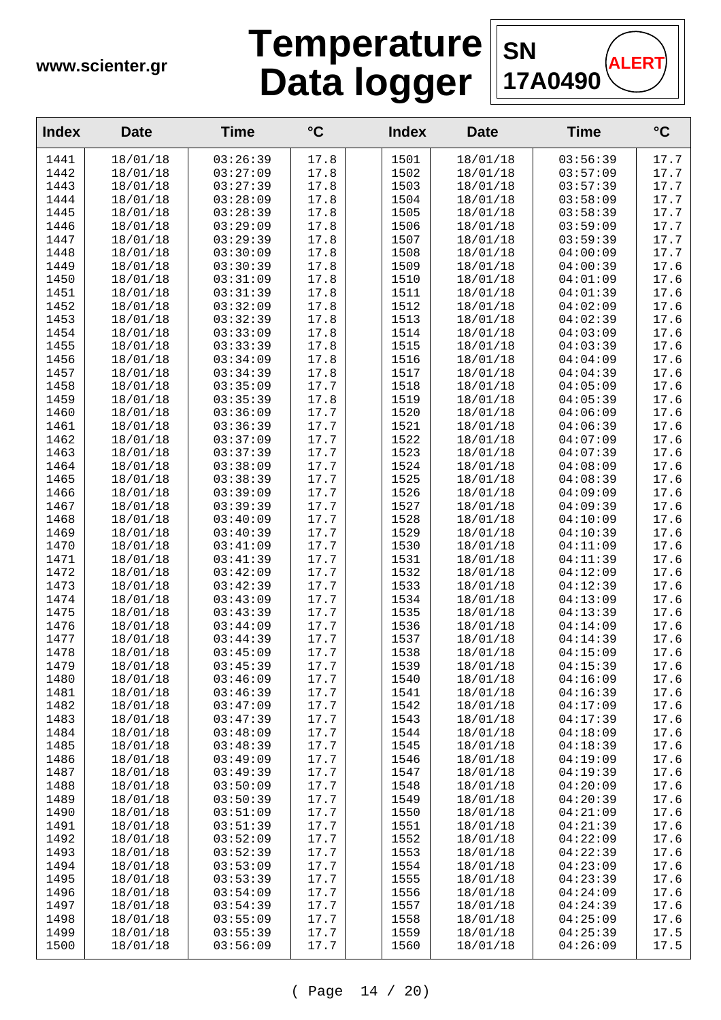

| <b>Index</b> | <b>Date</b>          | <b>Time</b>          | $\rm ^{\circ}C$ | <b>Index</b> | <b>Date</b>          | <b>Time</b>          | $\rm ^{\circ}C$ |
|--------------|----------------------|----------------------|-----------------|--------------|----------------------|----------------------|-----------------|
| 1441         | 18/01/18             | 03:26:39             | 17.8            | 1501         | 18/01/18             | 03:56:39             | 17.7            |
| 1442         | 18/01/18             | 03:27:09             | 17.8            | 1502         | 18/01/18             | 03:57:09             | 17.7            |
| 1443         | 18/01/18             | 03:27:39             | 17.8            | 1503         | 18/01/18             | 03:57:39             | 17.7            |
| 1444         | 18/01/18             | 03:28:09             | 17.8            | 1504         | 18/01/18             | 03:58:09             | 17.7            |
| 1445         | 18/01/18             | 03:28:39             | 17.8            | 1505         | 18/01/18             | 03:58:39             | 17.7            |
| 1446         | 18/01/18             | 03:29:09             | 17.8            | 1506         | 18/01/18             | 03:59:09             | 17.7            |
| 1447         | 18/01/18             | 03:29:39             | 17.8            | 1507         | 18/01/18             | 03:59:39             | 17.7            |
| 1448         | 18/01/18             | 03:30:09             | 17.8            | 1508         | 18/01/18             | 04:00:09             | 17.7            |
| 1449         | 18/01/18             | 03:30:39             | 17.8            | 1509         | 18/01/18             | 04:00:39             | 17.6            |
| 1450         | 18/01/18             | 03:31:09             | 17.8            | 1510         | 18/01/18             | 04:01:09             | 17.6            |
| 1451         | 18/01/18             | 03:31:39             | 17.8            | 1511         | 18/01/18             | 04:01:39             | 17.6            |
| 1452         | 18/01/18             | 03:32:09             | 17.8            | 1512         | 18/01/18             | 04:02:09             | 17.6            |
| 1453         | 18/01/18             | 03:32:39             | 17.8            | 1513         | 18/01/18             | 04:02:39             | 17.6            |
| 1454         | 18/01/18             | 03:33:09             | 17.8            | 1514         | 18/01/18             | 04:03:09             | 17.6            |
| 1455         | 18/01/18             | 03:33:39             | 17.8            | 1515         | 18/01/18             | 04:03:39             | 17.6            |
| 1456         | 18/01/18             | 03:34:09             | 17.8            | 1516         | 18/01/18             | 04:04:09             | 17.6            |
| 1457         | 18/01/18             | 03:34:39             | 17.8            | 1517         | 18/01/18             | 04:04:39             | 17.6            |
| 1458<br>1459 | 18/01/18             | 03:35:09             | 17.7            | 1518         | 18/01/18             | 04:05:09             | 17.6            |
|              | 18/01/18             | 03:35:39             | 17.8            | 1519         | 18/01/18             | 04:05:39             | 17.6            |
| 1460         | 18/01/18             | 03:36:09             | 17.7            | 1520         | 18/01/18             | 04:06:09             | 17.6            |
| 1461         | 18/01/18             | 03:36:39             | 17.7            | 1521         | 18/01/18             | 04:06:39             | 17.6<br>17.6    |
| 1462<br>1463 | 18/01/18<br>18/01/18 | 03:37:09<br>03:37:39 | 17.7<br>17.7    | 1522<br>1523 | 18/01/18<br>18/01/18 | 04:07:09<br>04:07:39 | 17.6            |
| 1464         | 18/01/18             | 03:38:09             | 17.7            | 1524         | 18/01/18             | 04:08:09             | 17.6            |
| 1465         | 18/01/18             | 03:38:39             | 17.7            | 1525         | 18/01/18             | 04:08:39             | 17.6            |
| 1466         | 18/01/18             | 03:39:09             | 17.7            | 1526         | 18/01/18             | 04:09:09             | 17.6            |
| 1467         | 18/01/18             | 03:39:39             | 17.7            | 1527         | 18/01/18             | 04:09:39             | 17.6            |
| 1468         | 18/01/18             | 03:40:09             | 17.7            | 1528         | 18/01/18             | 04:10:09             | 17.6            |
| 1469         | 18/01/18             | 03:40:39             | 17.7            | 1529         | 18/01/18             | 04:10:39             | 17.6            |
| 1470         | 18/01/18             | 03:41:09             | 17.7            | 1530         | 18/01/18             | 04:11:09             | 17.6            |
| 1471         | 18/01/18             | 03:41:39             | 17.7            | 1531         | 18/01/18             | 04:11:39             | 17.6            |
| 1472         | 18/01/18             | 03:42:09             | 17.7            | 1532         | 18/01/18             | 04:12:09             | 17.6            |
| 1473         | 18/01/18             | 03:42:39             | 17.7            | 1533         | 18/01/18             | 04:12:39             | 17.6            |
| 1474         | 18/01/18             | 03:43:09             | 17.7            | 1534         | 18/01/18             | 04:13:09             | 17.6            |
| 1475         | 18/01/18             | 03:43:39             | 17.7            | 1535         | 18/01/18             | 04:13:39             | 17.6            |
| 1476         | 18/01/18             | 03:44:09             | 17.7            | 1536         | 18/01/18             | 04:14:09             | 17.6            |
| 1477         | 18/01/18             | 03:44:39             | 17.7            | 1537         | 18/01/18             | 04:14:39             | 17.6            |
| 1478         | 18/01/18             | 03:45:09             | 17.7            | 1538         | 18/01/18             | 04:15:09             | 17.6            |
| 1479         | 18/01/18             | 03:45:39             | 17.7            | 1539         | 18/01/18             | 04:15:39             | 17.6            |
| 1480         | 18/01/18             | 03:46:09             | 17.7            | 1540         | 18/01/18             | 04:16:09             | 17.6            |
| 1481         | 18/01/18             | 03:46:39             | 17.7            | 1541         | 18/01/18             | 04:16:39             | 17.6            |
| 1482         | 18/01/18             | 03:47:09             | 17.7            | 1542         | 18/01/18             | 04:17:09             | 17.6            |
| 1483         | 18/01/18             | 03:47:39             | 17.7            | 1543         | 18/01/18             | 04:17:39             | 17.6            |
| 1484         | 18/01/18             | 03:48:09             | 17.7            | 1544         | 18/01/18             | 04:18:09             | 17.6            |
| 1485         | 18/01/18             | 03:48:39             | 17.7            | 1545         | 18/01/18             | 04:18:39             | 17.6            |
| 1486         | 18/01/18             | 03:49:09             | 17.7            | 1546         | 18/01/18             | 04:19:09             | 17.6            |
| 1487         | 18/01/18             | 03:49:39             | 17.7            | 1547         | 18/01/18             | 04:19:39             | 17.6            |
| 1488         | 18/01/18             | 03:50:09             | 17.7            | 1548         | 18/01/18             | 04:20:09             | 17.6            |
| 1489         | 18/01/18             | 03:50:39             | 17.7            | 1549         | 18/01/18             | 04:20:39             | 17.6            |
| 1490         | 18/01/18             | 03:51:09             | 17.7            | 1550         | 18/01/18             | 04:21:09             | 17.6            |
| 1491         | 18/01/18             | 03:51:39             | 17.7            | 1551         | 18/01/18             | 04:21:39             | 17.6            |
| 1492         | 18/01/18             | 03:52:09             | 17.7            | 1552         | 18/01/18             | 04:22:09             | 17.6            |
| 1493         | 18/01/18             | 03:52:39             | 17.7            | 1553         | 18/01/18             | 04:22:39             | 17.6            |
| 1494         | 18/01/18             | 03:53:09             | 17.7            | 1554         | 18/01/18             | 04:23:09             | 17.6            |
| 1495         | 18/01/18             | 03:53:39             | 17.7            | 1555         | 18/01/18             | 04:23:39             | 17.6            |
| 1496         | 18/01/18             | 03:54:09             | 17.7            | 1556         | 18/01/18             | 04:24:09             | 17.6            |
| 1497<br>1498 | 18/01/18<br>18/01/18 | 03:54:39<br>03:55:09 | 17.7            | 1557         | 18/01/18<br>18/01/18 | 04:24:39<br>04:25:09 | 17.6<br>17.6    |
| 1499         | 18/01/18             | 03:55:39             | 17.7<br>17.7    | 1558<br>1559 | 18/01/18             | 04:25:39             | 17.5            |
| 1500         | 18/01/18             | 03:56:09             | 17.7            | 1560         | 18/01/18             | 04:26:09             | 17.5            |
|              |                      |                      |                 |              |                      |                      |                 |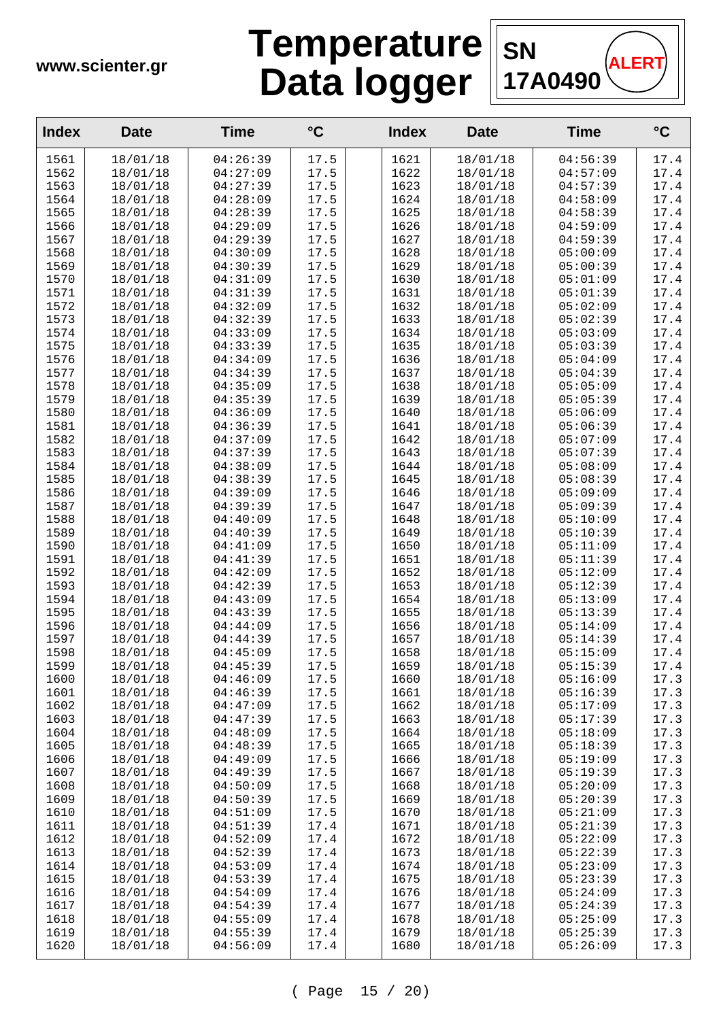

| 18/01/18<br>04:26:39<br>18/01/18<br>04:56:39<br>1561<br>17.5<br>1621<br>17.4<br>04:27:09<br>1622<br>04:57:09<br>1562<br>18/01/18<br>17.5<br>18/01/18<br>17.4<br>1563<br>18/01/18<br>04:27:39<br>17.5<br>1623<br>18/01/18<br>04:57:39<br>17.4<br>04:28:09<br>17.4<br>1564<br>18/01/18<br>17.5<br>1624<br>18/01/18<br>04:58:09<br>04:28:39<br>04:58:39<br>17.4<br>1565<br>18/01/18<br>17.5<br>1625<br>18/01/18<br>1566<br>17.4<br>18/01/18<br>04:29:09<br>17.5<br>1626<br>18/01/18<br>04:59:09<br>17.4<br>1567<br>18/01/18<br>04:29:39<br>17.5<br>1627<br>18/01/18<br>04:59:39<br>1568<br>04:30:09<br>17.5<br>1628<br>18/01/18<br>17.4<br>18/01/18<br>05:00:09<br>17.4<br>1569<br>18/01/18<br>04:30:39<br>17.5<br>1629<br>18/01/18<br>05:00:39<br>17.4<br>1570<br>18/01/18<br>04:31:09<br>17.5<br>1630<br>18/01/18<br>05:01:09<br>1571<br>04:31:39<br>05:01:39<br>17.4<br>18/01/18<br>17.5<br>1631<br>18/01/18<br>1572<br>18/01/18<br>04:32:09<br>17.5<br>1632<br>18/01/18<br>05:02:09<br>17.4<br>1573<br>17.4<br>18/01/18<br>04:32:39<br>17.5<br>1633<br>18/01/18<br>05:02:39<br>1574<br>18/01/18<br>04:33:09<br>17.5<br>1634<br>18/01/18<br>05:03:09<br>17.4<br>17.4<br>1575<br>18/01/18<br>04:33:39<br>17.5<br>1635<br>18/01/18<br>05:03:39<br>17.4<br>1576<br>18/01/18<br>04:34:09<br>17.5<br>1636<br>18/01/18<br>05:04:09<br>1577<br>18/01/18<br>04:34:39<br>18/01/18<br>05:04:39<br>17.4<br>17.5<br>1637<br>1578<br>17.4<br>18/01/18<br>04:35:09<br>17.5<br>1638<br>18/01/18<br>05:05:09<br>1579<br>17.4<br>18/01/18<br>04:35:39<br>17.5<br>1639<br>18/01/18<br>05:05:39<br>1580<br>04:36:09<br>17.5<br>18/01/18<br>17.4<br>18/01/18<br>1640<br>05:06:09<br>1581<br>17.4<br>18/01/18<br>04:36:39<br>17.5<br>1641<br>18/01/18<br>05:06:39<br>17.4<br>1582<br>18/01/18<br>04:37:09<br>17.5<br>1642<br>18/01/18<br>05:07:09<br>04:37:39<br>05:07:39<br>17.4<br>1583<br>18/01/18<br>17.5<br>1643<br>18/01/18<br>1584<br>18/01/18<br>04:38:09<br>17.5<br>1644<br>18/01/18<br>05:08:09<br>17.4<br>17.4<br>1585<br>18/01/18<br>04:38:39<br>17.5<br>1645<br>18/01/18<br>05:08:39<br>1586<br>18/01/18<br>04:39:09<br>17.5<br>1646<br>18/01/18<br>05:09:09<br>17.4<br>1587<br>05:09:39<br>17.4<br>18/01/18<br>04:39:39<br>17.5<br>1647<br>18/01/18<br>17.4<br>1588<br>18/01/18<br>04:40:09<br>17.5<br>1648<br>18/01/18<br>05:10:09<br>18/01/18<br>04:40:39<br>18/01/18<br>05:10:39<br>17.4<br>1589<br>17.5<br>1649<br>1590<br>17.4<br>18/01/18<br>04:41:09<br>17.5<br>1650<br>18/01/18<br>05:11:09<br>17.4<br>1591<br>18/01/18<br>04:41:39<br>17.5<br>1651<br>18/01/18<br>05:11:39<br>1592<br>04:42:09<br>17.5<br>18/01/18<br>05:12:09<br>17.4<br>18/01/18<br>1652<br>1593<br>17.4<br>18/01/18<br>04:42:39<br>17.5<br>1653<br>18/01/18<br>05:12:39<br>17.4<br>1594<br>18/01/18<br>04:43:09<br>17.5<br>1654<br>18/01/18<br>05:13:09<br>17.4<br>1595<br>18/01/18<br>04:43:39<br>17.5<br>1655<br>18/01/18<br>05:13:39<br>1596<br>18/01/18<br>04:44:09<br>17.5<br>1656<br>18/01/18<br>05:14:09<br>17.4<br>1597<br>18/01/18<br>04:44:39<br>17.5<br>1657<br>18/01/18<br>05:14:39<br>17.4<br>1598<br>18/01/18<br>04:45:09<br>18/01/18<br>05:15:09<br>17.4<br>17.5<br>1658<br>1599<br>04:45:39<br>17.5<br>1659<br>05:15:39<br>17.4<br>18/01/18<br>18/01/18<br>18/01/18<br>04:46:09<br>18/01/18<br>05:16:09<br>1600<br>17.5<br>1660<br>17.3<br>1601<br>18/01/18<br>04:46:39<br>17.5<br>1661<br>18/01/18<br>05:16:39<br>17.3<br>1602<br>04:47:09<br>1662<br>05:17:09<br>18/01/18<br>17.5<br>18/01/18<br>17.3<br>1603<br>04:47:39<br>1663<br>17.3<br>18/01/18<br>17.5<br>18/01/18<br>05:17:39<br>1604<br>18/01/18<br>04:48:09<br>17.5<br>1664<br>18/01/18<br>05:18:09<br>17.3<br>1605<br>18/01/18<br>04:48:39<br>17.5<br>1665<br>18/01/18<br>05:18:39<br>17.3<br>1606<br>18/01/18<br>05:19:09<br>17.3<br>18/01/18<br>04:49:09<br>17.5<br>1666<br>1607<br>18/01/18<br>04:49:39<br>17.5<br>1667<br>18/01/18<br>05:19:39<br>17.3<br>1608<br>04:50:09<br>05:20:09<br>17.3<br>18/01/18<br>17.5<br>1668<br>18/01/18<br>1609<br>04:50:39<br>17.5<br>1669<br>18/01/18<br>05:20:39<br>17.3<br>18/01/18<br>1610<br>04:51:09<br>17.5<br>1670<br>05:21:09<br>17.3<br>18/01/18<br>18/01/18<br>1671<br>05:21:39<br>17.3<br>1611<br>18/01/18<br>04:51:39<br>17.4<br>18/01/18<br>1612<br>04:52:09<br>1672<br>18/01/18<br>05:22:09<br>17.3<br>18/01/18<br>17.4<br>1613<br>04:52:39<br>1673<br>18/01/18<br>05:22:39<br>18/01/18<br>17.4<br>17.3<br>1614<br>18/01/18<br>04:53:09<br>17.4<br>1674<br>18/01/18<br>05:23:09<br>17.3<br>1615<br>04:53:39<br>17.4<br>1675<br>18/01/18<br>05:23:39<br>17.3<br>18/01/18<br>1676<br>1616<br>18/01/18<br>04:54:09<br>17.4<br>18/01/18<br>05:24:09<br>17.3<br>1617<br>17.4<br>1677<br>18/01/18<br>05:24:39<br>17.3<br>18/01/18<br>04:54:39<br>1618<br>18/01/18<br>04:55:09<br>17.4<br>1678<br>18/01/18<br>05:25:09<br>17.3<br>1619<br>18/01/18<br>04:55:39<br>17.4<br>1679<br>18/01/18<br>05:25:39<br>17.3<br>1620<br>04:56:09<br>1680<br>18/01/18<br>05:26:09<br>18/01/18<br>17.4<br>17.3 | <b>Index</b> | <b>Date</b> | <b>Time</b> | $\rm ^{\circ}C$ | <b>Index</b> | <b>Date</b> | <b>Time</b> | $\rm ^{\circ}C$ |
|----------------------------------------------------------------------------------------------------------------------------------------------------------------------------------------------------------------------------------------------------------------------------------------------------------------------------------------------------------------------------------------------------------------------------------------------------------------------------------------------------------------------------------------------------------------------------------------------------------------------------------------------------------------------------------------------------------------------------------------------------------------------------------------------------------------------------------------------------------------------------------------------------------------------------------------------------------------------------------------------------------------------------------------------------------------------------------------------------------------------------------------------------------------------------------------------------------------------------------------------------------------------------------------------------------------------------------------------------------------------------------------------------------------------------------------------------------------------------------------------------------------------------------------------------------------------------------------------------------------------------------------------------------------------------------------------------------------------------------------------------------------------------------------------------------------------------------------------------------------------------------------------------------------------------------------------------------------------------------------------------------------------------------------------------------------------------------------------------------------------------------------------------------------------------------------------------------------------------------------------------------------------------------------------------------------------------------------------------------------------------------------------------------------------------------------------------------------------------------------------------------------------------------------------------------------------------------------------------------------------------------------------------------------------------------------------------------------------------------------------------------------------------------------------------------------------------------------------------------------------------------------------------------------------------------------------------------------------------------------------------------------------------------------------------------------------------------------------------------------------------------------------------------------------------------------------------------------------------------------------------------------------------------------------------------------------------------------------------------------------------------------------------------------------------------------------------------------------------------------------------------------------------------------------------------------------------------------------------------------------------------------------------------------------------------------------------------------------------------------------------------------------------------------------------------------------------------------------------------------------------------------------------------------------------------------------------------------------------------------------------------------------------------------------------------------------------------------------------------------------------------------------------------------------------------------------------------------------------------------------------------------------------------------------------------------------------------------------------------------------------------------------------------------------------------------------------------------------------------------------------------------------------------------------------------------------------------------------------------------------------------------------------------------------------------------------------------------------------------------------------------------------------------------------------------------------------------------------------------------------------------------------------------------------------------------------------------------------------------------------|--------------|-------------|-------------|-----------------|--------------|-------------|-------------|-----------------|
|                                                                                                                                                                                                                                                                                                                                                                                                                                                                                                                                                                                                                                                                                                                                                                                                                                                                                                                                                                                                                                                                                                                                                                                                                                                                                                                                                                                                                                                                                                                                                                                                                                                                                                                                                                                                                                                                                                                                                                                                                                                                                                                                                                                                                                                                                                                                                                                                                                                                                                                                                                                                                                                                                                                                                                                                                                                                                                                                                                                                                                                                                                                                                                                                                                                                                                                                                                                                                                                                                                                                                                                                                                                                                                                                                                                                                                                                                                                                                                                                                                                                                                                                                                                                                                                                                                                                                                                                                                                                                                                                                                                                                                                                                                                                                                                                                                                                                                                                                                                              |              |             |             |                 |              |             |             |                 |
|                                                                                                                                                                                                                                                                                                                                                                                                                                                                                                                                                                                                                                                                                                                                                                                                                                                                                                                                                                                                                                                                                                                                                                                                                                                                                                                                                                                                                                                                                                                                                                                                                                                                                                                                                                                                                                                                                                                                                                                                                                                                                                                                                                                                                                                                                                                                                                                                                                                                                                                                                                                                                                                                                                                                                                                                                                                                                                                                                                                                                                                                                                                                                                                                                                                                                                                                                                                                                                                                                                                                                                                                                                                                                                                                                                                                                                                                                                                                                                                                                                                                                                                                                                                                                                                                                                                                                                                                                                                                                                                                                                                                                                                                                                                                                                                                                                                                                                                                                                                              |              |             |             |                 |              |             |             |                 |
|                                                                                                                                                                                                                                                                                                                                                                                                                                                                                                                                                                                                                                                                                                                                                                                                                                                                                                                                                                                                                                                                                                                                                                                                                                                                                                                                                                                                                                                                                                                                                                                                                                                                                                                                                                                                                                                                                                                                                                                                                                                                                                                                                                                                                                                                                                                                                                                                                                                                                                                                                                                                                                                                                                                                                                                                                                                                                                                                                                                                                                                                                                                                                                                                                                                                                                                                                                                                                                                                                                                                                                                                                                                                                                                                                                                                                                                                                                                                                                                                                                                                                                                                                                                                                                                                                                                                                                                                                                                                                                                                                                                                                                                                                                                                                                                                                                                                                                                                                                                              |              |             |             |                 |              |             |             |                 |
|                                                                                                                                                                                                                                                                                                                                                                                                                                                                                                                                                                                                                                                                                                                                                                                                                                                                                                                                                                                                                                                                                                                                                                                                                                                                                                                                                                                                                                                                                                                                                                                                                                                                                                                                                                                                                                                                                                                                                                                                                                                                                                                                                                                                                                                                                                                                                                                                                                                                                                                                                                                                                                                                                                                                                                                                                                                                                                                                                                                                                                                                                                                                                                                                                                                                                                                                                                                                                                                                                                                                                                                                                                                                                                                                                                                                                                                                                                                                                                                                                                                                                                                                                                                                                                                                                                                                                                                                                                                                                                                                                                                                                                                                                                                                                                                                                                                                                                                                                                                              |              |             |             |                 |              |             |             |                 |
|                                                                                                                                                                                                                                                                                                                                                                                                                                                                                                                                                                                                                                                                                                                                                                                                                                                                                                                                                                                                                                                                                                                                                                                                                                                                                                                                                                                                                                                                                                                                                                                                                                                                                                                                                                                                                                                                                                                                                                                                                                                                                                                                                                                                                                                                                                                                                                                                                                                                                                                                                                                                                                                                                                                                                                                                                                                                                                                                                                                                                                                                                                                                                                                                                                                                                                                                                                                                                                                                                                                                                                                                                                                                                                                                                                                                                                                                                                                                                                                                                                                                                                                                                                                                                                                                                                                                                                                                                                                                                                                                                                                                                                                                                                                                                                                                                                                                                                                                                                                              |              |             |             |                 |              |             |             |                 |
|                                                                                                                                                                                                                                                                                                                                                                                                                                                                                                                                                                                                                                                                                                                                                                                                                                                                                                                                                                                                                                                                                                                                                                                                                                                                                                                                                                                                                                                                                                                                                                                                                                                                                                                                                                                                                                                                                                                                                                                                                                                                                                                                                                                                                                                                                                                                                                                                                                                                                                                                                                                                                                                                                                                                                                                                                                                                                                                                                                                                                                                                                                                                                                                                                                                                                                                                                                                                                                                                                                                                                                                                                                                                                                                                                                                                                                                                                                                                                                                                                                                                                                                                                                                                                                                                                                                                                                                                                                                                                                                                                                                                                                                                                                                                                                                                                                                                                                                                                                                              |              |             |             |                 |              |             |             |                 |
|                                                                                                                                                                                                                                                                                                                                                                                                                                                                                                                                                                                                                                                                                                                                                                                                                                                                                                                                                                                                                                                                                                                                                                                                                                                                                                                                                                                                                                                                                                                                                                                                                                                                                                                                                                                                                                                                                                                                                                                                                                                                                                                                                                                                                                                                                                                                                                                                                                                                                                                                                                                                                                                                                                                                                                                                                                                                                                                                                                                                                                                                                                                                                                                                                                                                                                                                                                                                                                                                                                                                                                                                                                                                                                                                                                                                                                                                                                                                                                                                                                                                                                                                                                                                                                                                                                                                                                                                                                                                                                                                                                                                                                                                                                                                                                                                                                                                                                                                                                                              |              |             |             |                 |              |             |             |                 |
|                                                                                                                                                                                                                                                                                                                                                                                                                                                                                                                                                                                                                                                                                                                                                                                                                                                                                                                                                                                                                                                                                                                                                                                                                                                                                                                                                                                                                                                                                                                                                                                                                                                                                                                                                                                                                                                                                                                                                                                                                                                                                                                                                                                                                                                                                                                                                                                                                                                                                                                                                                                                                                                                                                                                                                                                                                                                                                                                                                                                                                                                                                                                                                                                                                                                                                                                                                                                                                                                                                                                                                                                                                                                                                                                                                                                                                                                                                                                                                                                                                                                                                                                                                                                                                                                                                                                                                                                                                                                                                                                                                                                                                                                                                                                                                                                                                                                                                                                                                                              |              |             |             |                 |              |             |             |                 |
|                                                                                                                                                                                                                                                                                                                                                                                                                                                                                                                                                                                                                                                                                                                                                                                                                                                                                                                                                                                                                                                                                                                                                                                                                                                                                                                                                                                                                                                                                                                                                                                                                                                                                                                                                                                                                                                                                                                                                                                                                                                                                                                                                                                                                                                                                                                                                                                                                                                                                                                                                                                                                                                                                                                                                                                                                                                                                                                                                                                                                                                                                                                                                                                                                                                                                                                                                                                                                                                                                                                                                                                                                                                                                                                                                                                                                                                                                                                                                                                                                                                                                                                                                                                                                                                                                                                                                                                                                                                                                                                                                                                                                                                                                                                                                                                                                                                                                                                                                                                              |              |             |             |                 |              |             |             |                 |
|                                                                                                                                                                                                                                                                                                                                                                                                                                                                                                                                                                                                                                                                                                                                                                                                                                                                                                                                                                                                                                                                                                                                                                                                                                                                                                                                                                                                                                                                                                                                                                                                                                                                                                                                                                                                                                                                                                                                                                                                                                                                                                                                                                                                                                                                                                                                                                                                                                                                                                                                                                                                                                                                                                                                                                                                                                                                                                                                                                                                                                                                                                                                                                                                                                                                                                                                                                                                                                                                                                                                                                                                                                                                                                                                                                                                                                                                                                                                                                                                                                                                                                                                                                                                                                                                                                                                                                                                                                                                                                                                                                                                                                                                                                                                                                                                                                                                                                                                                                                              |              |             |             |                 |              |             |             |                 |
|                                                                                                                                                                                                                                                                                                                                                                                                                                                                                                                                                                                                                                                                                                                                                                                                                                                                                                                                                                                                                                                                                                                                                                                                                                                                                                                                                                                                                                                                                                                                                                                                                                                                                                                                                                                                                                                                                                                                                                                                                                                                                                                                                                                                                                                                                                                                                                                                                                                                                                                                                                                                                                                                                                                                                                                                                                                                                                                                                                                                                                                                                                                                                                                                                                                                                                                                                                                                                                                                                                                                                                                                                                                                                                                                                                                                                                                                                                                                                                                                                                                                                                                                                                                                                                                                                                                                                                                                                                                                                                                                                                                                                                                                                                                                                                                                                                                                                                                                                                                              |              |             |             |                 |              |             |             |                 |
|                                                                                                                                                                                                                                                                                                                                                                                                                                                                                                                                                                                                                                                                                                                                                                                                                                                                                                                                                                                                                                                                                                                                                                                                                                                                                                                                                                                                                                                                                                                                                                                                                                                                                                                                                                                                                                                                                                                                                                                                                                                                                                                                                                                                                                                                                                                                                                                                                                                                                                                                                                                                                                                                                                                                                                                                                                                                                                                                                                                                                                                                                                                                                                                                                                                                                                                                                                                                                                                                                                                                                                                                                                                                                                                                                                                                                                                                                                                                                                                                                                                                                                                                                                                                                                                                                                                                                                                                                                                                                                                                                                                                                                                                                                                                                                                                                                                                                                                                                                                              |              |             |             |                 |              |             |             |                 |
|                                                                                                                                                                                                                                                                                                                                                                                                                                                                                                                                                                                                                                                                                                                                                                                                                                                                                                                                                                                                                                                                                                                                                                                                                                                                                                                                                                                                                                                                                                                                                                                                                                                                                                                                                                                                                                                                                                                                                                                                                                                                                                                                                                                                                                                                                                                                                                                                                                                                                                                                                                                                                                                                                                                                                                                                                                                                                                                                                                                                                                                                                                                                                                                                                                                                                                                                                                                                                                                                                                                                                                                                                                                                                                                                                                                                                                                                                                                                                                                                                                                                                                                                                                                                                                                                                                                                                                                                                                                                                                                                                                                                                                                                                                                                                                                                                                                                                                                                                                                              |              |             |             |                 |              |             |             |                 |
|                                                                                                                                                                                                                                                                                                                                                                                                                                                                                                                                                                                                                                                                                                                                                                                                                                                                                                                                                                                                                                                                                                                                                                                                                                                                                                                                                                                                                                                                                                                                                                                                                                                                                                                                                                                                                                                                                                                                                                                                                                                                                                                                                                                                                                                                                                                                                                                                                                                                                                                                                                                                                                                                                                                                                                                                                                                                                                                                                                                                                                                                                                                                                                                                                                                                                                                                                                                                                                                                                                                                                                                                                                                                                                                                                                                                                                                                                                                                                                                                                                                                                                                                                                                                                                                                                                                                                                                                                                                                                                                                                                                                                                                                                                                                                                                                                                                                                                                                                                                              |              |             |             |                 |              |             |             |                 |
|                                                                                                                                                                                                                                                                                                                                                                                                                                                                                                                                                                                                                                                                                                                                                                                                                                                                                                                                                                                                                                                                                                                                                                                                                                                                                                                                                                                                                                                                                                                                                                                                                                                                                                                                                                                                                                                                                                                                                                                                                                                                                                                                                                                                                                                                                                                                                                                                                                                                                                                                                                                                                                                                                                                                                                                                                                                                                                                                                                                                                                                                                                                                                                                                                                                                                                                                                                                                                                                                                                                                                                                                                                                                                                                                                                                                                                                                                                                                                                                                                                                                                                                                                                                                                                                                                                                                                                                                                                                                                                                                                                                                                                                                                                                                                                                                                                                                                                                                                                                              |              |             |             |                 |              |             |             |                 |
|                                                                                                                                                                                                                                                                                                                                                                                                                                                                                                                                                                                                                                                                                                                                                                                                                                                                                                                                                                                                                                                                                                                                                                                                                                                                                                                                                                                                                                                                                                                                                                                                                                                                                                                                                                                                                                                                                                                                                                                                                                                                                                                                                                                                                                                                                                                                                                                                                                                                                                                                                                                                                                                                                                                                                                                                                                                                                                                                                                                                                                                                                                                                                                                                                                                                                                                                                                                                                                                                                                                                                                                                                                                                                                                                                                                                                                                                                                                                                                                                                                                                                                                                                                                                                                                                                                                                                                                                                                                                                                                                                                                                                                                                                                                                                                                                                                                                                                                                                                                              |              |             |             |                 |              |             |             |                 |
|                                                                                                                                                                                                                                                                                                                                                                                                                                                                                                                                                                                                                                                                                                                                                                                                                                                                                                                                                                                                                                                                                                                                                                                                                                                                                                                                                                                                                                                                                                                                                                                                                                                                                                                                                                                                                                                                                                                                                                                                                                                                                                                                                                                                                                                                                                                                                                                                                                                                                                                                                                                                                                                                                                                                                                                                                                                                                                                                                                                                                                                                                                                                                                                                                                                                                                                                                                                                                                                                                                                                                                                                                                                                                                                                                                                                                                                                                                                                                                                                                                                                                                                                                                                                                                                                                                                                                                                                                                                                                                                                                                                                                                                                                                                                                                                                                                                                                                                                                                                              |              |             |             |                 |              |             |             |                 |
|                                                                                                                                                                                                                                                                                                                                                                                                                                                                                                                                                                                                                                                                                                                                                                                                                                                                                                                                                                                                                                                                                                                                                                                                                                                                                                                                                                                                                                                                                                                                                                                                                                                                                                                                                                                                                                                                                                                                                                                                                                                                                                                                                                                                                                                                                                                                                                                                                                                                                                                                                                                                                                                                                                                                                                                                                                                                                                                                                                                                                                                                                                                                                                                                                                                                                                                                                                                                                                                                                                                                                                                                                                                                                                                                                                                                                                                                                                                                                                                                                                                                                                                                                                                                                                                                                                                                                                                                                                                                                                                                                                                                                                                                                                                                                                                                                                                                                                                                                                                              |              |             |             |                 |              |             |             |                 |
|                                                                                                                                                                                                                                                                                                                                                                                                                                                                                                                                                                                                                                                                                                                                                                                                                                                                                                                                                                                                                                                                                                                                                                                                                                                                                                                                                                                                                                                                                                                                                                                                                                                                                                                                                                                                                                                                                                                                                                                                                                                                                                                                                                                                                                                                                                                                                                                                                                                                                                                                                                                                                                                                                                                                                                                                                                                                                                                                                                                                                                                                                                                                                                                                                                                                                                                                                                                                                                                                                                                                                                                                                                                                                                                                                                                                                                                                                                                                                                                                                                                                                                                                                                                                                                                                                                                                                                                                                                                                                                                                                                                                                                                                                                                                                                                                                                                                                                                                                                                              |              |             |             |                 |              |             |             |                 |
|                                                                                                                                                                                                                                                                                                                                                                                                                                                                                                                                                                                                                                                                                                                                                                                                                                                                                                                                                                                                                                                                                                                                                                                                                                                                                                                                                                                                                                                                                                                                                                                                                                                                                                                                                                                                                                                                                                                                                                                                                                                                                                                                                                                                                                                                                                                                                                                                                                                                                                                                                                                                                                                                                                                                                                                                                                                                                                                                                                                                                                                                                                                                                                                                                                                                                                                                                                                                                                                                                                                                                                                                                                                                                                                                                                                                                                                                                                                                                                                                                                                                                                                                                                                                                                                                                                                                                                                                                                                                                                                                                                                                                                                                                                                                                                                                                                                                                                                                                                                              |              |             |             |                 |              |             |             |                 |
|                                                                                                                                                                                                                                                                                                                                                                                                                                                                                                                                                                                                                                                                                                                                                                                                                                                                                                                                                                                                                                                                                                                                                                                                                                                                                                                                                                                                                                                                                                                                                                                                                                                                                                                                                                                                                                                                                                                                                                                                                                                                                                                                                                                                                                                                                                                                                                                                                                                                                                                                                                                                                                                                                                                                                                                                                                                                                                                                                                                                                                                                                                                                                                                                                                                                                                                                                                                                                                                                                                                                                                                                                                                                                                                                                                                                                                                                                                                                                                                                                                                                                                                                                                                                                                                                                                                                                                                                                                                                                                                                                                                                                                                                                                                                                                                                                                                                                                                                                                                              |              |             |             |                 |              |             |             |                 |
|                                                                                                                                                                                                                                                                                                                                                                                                                                                                                                                                                                                                                                                                                                                                                                                                                                                                                                                                                                                                                                                                                                                                                                                                                                                                                                                                                                                                                                                                                                                                                                                                                                                                                                                                                                                                                                                                                                                                                                                                                                                                                                                                                                                                                                                                                                                                                                                                                                                                                                                                                                                                                                                                                                                                                                                                                                                                                                                                                                                                                                                                                                                                                                                                                                                                                                                                                                                                                                                                                                                                                                                                                                                                                                                                                                                                                                                                                                                                                                                                                                                                                                                                                                                                                                                                                                                                                                                                                                                                                                                                                                                                                                                                                                                                                                                                                                                                                                                                                                                              |              |             |             |                 |              |             |             |                 |
|                                                                                                                                                                                                                                                                                                                                                                                                                                                                                                                                                                                                                                                                                                                                                                                                                                                                                                                                                                                                                                                                                                                                                                                                                                                                                                                                                                                                                                                                                                                                                                                                                                                                                                                                                                                                                                                                                                                                                                                                                                                                                                                                                                                                                                                                                                                                                                                                                                                                                                                                                                                                                                                                                                                                                                                                                                                                                                                                                                                                                                                                                                                                                                                                                                                                                                                                                                                                                                                                                                                                                                                                                                                                                                                                                                                                                                                                                                                                                                                                                                                                                                                                                                                                                                                                                                                                                                                                                                                                                                                                                                                                                                                                                                                                                                                                                                                                                                                                                                                              |              |             |             |                 |              |             |             |                 |
|                                                                                                                                                                                                                                                                                                                                                                                                                                                                                                                                                                                                                                                                                                                                                                                                                                                                                                                                                                                                                                                                                                                                                                                                                                                                                                                                                                                                                                                                                                                                                                                                                                                                                                                                                                                                                                                                                                                                                                                                                                                                                                                                                                                                                                                                                                                                                                                                                                                                                                                                                                                                                                                                                                                                                                                                                                                                                                                                                                                                                                                                                                                                                                                                                                                                                                                                                                                                                                                                                                                                                                                                                                                                                                                                                                                                                                                                                                                                                                                                                                                                                                                                                                                                                                                                                                                                                                                                                                                                                                                                                                                                                                                                                                                                                                                                                                                                                                                                                                                              |              |             |             |                 |              |             |             |                 |
|                                                                                                                                                                                                                                                                                                                                                                                                                                                                                                                                                                                                                                                                                                                                                                                                                                                                                                                                                                                                                                                                                                                                                                                                                                                                                                                                                                                                                                                                                                                                                                                                                                                                                                                                                                                                                                                                                                                                                                                                                                                                                                                                                                                                                                                                                                                                                                                                                                                                                                                                                                                                                                                                                                                                                                                                                                                                                                                                                                                                                                                                                                                                                                                                                                                                                                                                                                                                                                                                                                                                                                                                                                                                                                                                                                                                                                                                                                                                                                                                                                                                                                                                                                                                                                                                                                                                                                                                                                                                                                                                                                                                                                                                                                                                                                                                                                                                                                                                                                                              |              |             |             |                 |              |             |             |                 |
|                                                                                                                                                                                                                                                                                                                                                                                                                                                                                                                                                                                                                                                                                                                                                                                                                                                                                                                                                                                                                                                                                                                                                                                                                                                                                                                                                                                                                                                                                                                                                                                                                                                                                                                                                                                                                                                                                                                                                                                                                                                                                                                                                                                                                                                                                                                                                                                                                                                                                                                                                                                                                                                                                                                                                                                                                                                                                                                                                                                                                                                                                                                                                                                                                                                                                                                                                                                                                                                                                                                                                                                                                                                                                                                                                                                                                                                                                                                                                                                                                                                                                                                                                                                                                                                                                                                                                                                                                                                                                                                                                                                                                                                                                                                                                                                                                                                                                                                                                                                              |              |             |             |                 |              |             |             |                 |
|                                                                                                                                                                                                                                                                                                                                                                                                                                                                                                                                                                                                                                                                                                                                                                                                                                                                                                                                                                                                                                                                                                                                                                                                                                                                                                                                                                                                                                                                                                                                                                                                                                                                                                                                                                                                                                                                                                                                                                                                                                                                                                                                                                                                                                                                                                                                                                                                                                                                                                                                                                                                                                                                                                                                                                                                                                                                                                                                                                                                                                                                                                                                                                                                                                                                                                                                                                                                                                                                                                                                                                                                                                                                                                                                                                                                                                                                                                                                                                                                                                                                                                                                                                                                                                                                                                                                                                                                                                                                                                                                                                                                                                                                                                                                                                                                                                                                                                                                                                                              |              |             |             |                 |              |             |             |                 |
|                                                                                                                                                                                                                                                                                                                                                                                                                                                                                                                                                                                                                                                                                                                                                                                                                                                                                                                                                                                                                                                                                                                                                                                                                                                                                                                                                                                                                                                                                                                                                                                                                                                                                                                                                                                                                                                                                                                                                                                                                                                                                                                                                                                                                                                                                                                                                                                                                                                                                                                                                                                                                                                                                                                                                                                                                                                                                                                                                                                                                                                                                                                                                                                                                                                                                                                                                                                                                                                                                                                                                                                                                                                                                                                                                                                                                                                                                                                                                                                                                                                                                                                                                                                                                                                                                                                                                                                                                                                                                                                                                                                                                                                                                                                                                                                                                                                                                                                                                                                              |              |             |             |                 |              |             |             |                 |
|                                                                                                                                                                                                                                                                                                                                                                                                                                                                                                                                                                                                                                                                                                                                                                                                                                                                                                                                                                                                                                                                                                                                                                                                                                                                                                                                                                                                                                                                                                                                                                                                                                                                                                                                                                                                                                                                                                                                                                                                                                                                                                                                                                                                                                                                                                                                                                                                                                                                                                                                                                                                                                                                                                                                                                                                                                                                                                                                                                                                                                                                                                                                                                                                                                                                                                                                                                                                                                                                                                                                                                                                                                                                                                                                                                                                                                                                                                                                                                                                                                                                                                                                                                                                                                                                                                                                                                                                                                                                                                                                                                                                                                                                                                                                                                                                                                                                                                                                                                                              |              |             |             |                 |              |             |             |                 |
|                                                                                                                                                                                                                                                                                                                                                                                                                                                                                                                                                                                                                                                                                                                                                                                                                                                                                                                                                                                                                                                                                                                                                                                                                                                                                                                                                                                                                                                                                                                                                                                                                                                                                                                                                                                                                                                                                                                                                                                                                                                                                                                                                                                                                                                                                                                                                                                                                                                                                                                                                                                                                                                                                                                                                                                                                                                                                                                                                                                                                                                                                                                                                                                                                                                                                                                                                                                                                                                                                                                                                                                                                                                                                                                                                                                                                                                                                                                                                                                                                                                                                                                                                                                                                                                                                                                                                                                                                                                                                                                                                                                                                                                                                                                                                                                                                                                                                                                                                                                              |              |             |             |                 |              |             |             |                 |
|                                                                                                                                                                                                                                                                                                                                                                                                                                                                                                                                                                                                                                                                                                                                                                                                                                                                                                                                                                                                                                                                                                                                                                                                                                                                                                                                                                                                                                                                                                                                                                                                                                                                                                                                                                                                                                                                                                                                                                                                                                                                                                                                                                                                                                                                                                                                                                                                                                                                                                                                                                                                                                                                                                                                                                                                                                                                                                                                                                                                                                                                                                                                                                                                                                                                                                                                                                                                                                                                                                                                                                                                                                                                                                                                                                                                                                                                                                                                                                                                                                                                                                                                                                                                                                                                                                                                                                                                                                                                                                                                                                                                                                                                                                                                                                                                                                                                                                                                                                                              |              |             |             |                 |              |             |             |                 |
|                                                                                                                                                                                                                                                                                                                                                                                                                                                                                                                                                                                                                                                                                                                                                                                                                                                                                                                                                                                                                                                                                                                                                                                                                                                                                                                                                                                                                                                                                                                                                                                                                                                                                                                                                                                                                                                                                                                                                                                                                                                                                                                                                                                                                                                                                                                                                                                                                                                                                                                                                                                                                                                                                                                                                                                                                                                                                                                                                                                                                                                                                                                                                                                                                                                                                                                                                                                                                                                                                                                                                                                                                                                                                                                                                                                                                                                                                                                                                                                                                                                                                                                                                                                                                                                                                                                                                                                                                                                                                                                                                                                                                                                                                                                                                                                                                                                                                                                                                                                              |              |             |             |                 |              |             |             |                 |
|                                                                                                                                                                                                                                                                                                                                                                                                                                                                                                                                                                                                                                                                                                                                                                                                                                                                                                                                                                                                                                                                                                                                                                                                                                                                                                                                                                                                                                                                                                                                                                                                                                                                                                                                                                                                                                                                                                                                                                                                                                                                                                                                                                                                                                                                                                                                                                                                                                                                                                                                                                                                                                                                                                                                                                                                                                                                                                                                                                                                                                                                                                                                                                                                                                                                                                                                                                                                                                                                                                                                                                                                                                                                                                                                                                                                                                                                                                                                                                                                                                                                                                                                                                                                                                                                                                                                                                                                                                                                                                                                                                                                                                                                                                                                                                                                                                                                                                                                                                                              |              |             |             |                 |              |             |             |                 |
|                                                                                                                                                                                                                                                                                                                                                                                                                                                                                                                                                                                                                                                                                                                                                                                                                                                                                                                                                                                                                                                                                                                                                                                                                                                                                                                                                                                                                                                                                                                                                                                                                                                                                                                                                                                                                                                                                                                                                                                                                                                                                                                                                                                                                                                                                                                                                                                                                                                                                                                                                                                                                                                                                                                                                                                                                                                                                                                                                                                                                                                                                                                                                                                                                                                                                                                                                                                                                                                                                                                                                                                                                                                                                                                                                                                                                                                                                                                                                                                                                                                                                                                                                                                                                                                                                                                                                                                                                                                                                                                                                                                                                                                                                                                                                                                                                                                                                                                                                                                              |              |             |             |                 |              |             |             |                 |
|                                                                                                                                                                                                                                                                                                                                                                                                                                                                                                                                                                                                                                                                                                                                                                                                                                                                                                                                                                                                                                                                                                                                                                                                                                                                                                                                                                                                                                                                                                                                                                                                                                                                                                                                                                                                                                                                                                                                                                                                                                                                                                                                                                                                                                                                                                                                                                                                                                                                                                                                                                                                                                                                                                                                                                                                                                                                                                                                                                                                                                                                                                                                                                                                                                                                                                                                                                                                                                                                                                                                                                                                                                                                                                                                                                                                                                                                                                                                                                                                                                                                                                                                                                                                                                                                                                                                                                                                                                                                                                                                                                                                                                                                                                                                                                                                                                                                                                                                                                                              |              |             |             |                 |              |             |             |                 |
|                                                                                                                                                                                                                                                                                                                                                                                                                                                                                                                                                                                                                                                                                                                                                                                                                                                                                                                                                                                                                                                                                                                                                                                                                                                                                                                                                                                                                                                                                                                                                                                                                                                                                                                                                                                                                                                                                                                                                                                                                                                                                                                                                                                                                                                                                                                                                                                                                                                                                                                                                                                                                                                                                                                                                                                                                                                                                                                                                                                                                                                                                                                                                                                                                                                                                                                                                                                                                                                                                                                                                                                                                                                                                                                                                                                                                                                                                                                                                                                                                                                                                                                                                                                                                                                                                                                                                                                                                                                                                                                                                                                                                                                                                                                                                                                                                                                                                                                                                                                              |              |             |             |                 |              |             |             |                 |
|                                                                                                                                                                                                                                                                                                                                                                                                                                                                                                                                                                                                                                                                                                                                                                                                                                                                                                                                                                                                                                                                                                                                                                                                                                                                                                                                                                                                                                                                                                                                                                                                                                                                                                                                                                                                                                                                                                                                                                                                                                                                                                                                                                                                                                                                                                                                                                                                                                                                                                                                                                                                                                                                                                                                                                                                                                                                                                                                                                                                                                                                                                                                                                                                                                                                                                                                                                                                                                                                                                                                                                                                                                                                                                                                                                                                                                                                                                                                                                                                                                                                                                                                                                                                                                                                                                                                                                                                                                                                                                                                                                                                                                                                                                                                                                                                                                                                                                                                                                                              |              |             |             |                 |              |             |             |                 |
|                                                                                                                                                                                                                                                                                                                                                                                                                                                                                                                                                                                                                                                                                                                                                                                                                                                                                                                                                                                                                                                                                                                                                                                                                                                                                                                                                                                                                                                                                                                                                                                                                                                                                                                                                                                                                                                                                                                                                                                                                                                                                                                                                                                                                                                                                                                                                                                                                                                                                                                                                                                                                                                                                                                                                                                                                                                                                                                                                                                                                                                                                                                                                                                                                                                                                                                                                                                                                                                                                                                                                                                                                                                                                                                                                                                                                                                                                                                                                                                                                                                                                                                                                                                                                                                                                                                                                                                                                                                                                                                                                                                                                                                                                                                                                                                                                                                                                                                                                                                              |              |             |             |                 |              |             |             |                 |
|                                                                                                                                                                                                                                                                                                                                                                                                                                                                                                                                                                                                                                                                                                                                                                                                                                                                                                                                                                                                                                                                                                                                                                                                                                                                                                                                                                                                                                                                                                                                                                                                                                                                                                                                                                                                                                                                                                                                                                                                                                                                                                                                                                                                                                                                                                                                                                                                                                                                                                                                                                                                                                                                                                                                                                                                                                                                                                                                                                                                                                                                                                                                                                                                                                                                                                                                                                                                                                                                                                                                                                                                                                                                                                                                                                                                                                                                                                                                                                                                                                                                                                                                                                                                                                                                                                                                                                                                                                                                                                                                                                                                                                                                                                                                                                                                                                                                                                                                                                                              |              |             |             |                 |              |             |             |                 |
|                                                                                                                                                                                                                                                                                                                                                                                                                                                                                                                                                                                                                                                                                                                                                                                                                                                                                                                                                                                                                                                                                                                                                                                                                                                                                                                                                                                                                                                                                                                                                                                                                                                                                                                                                                                                                                                                                                                                                                                                                                                                                                                                                                                                                                                                                                                                                                                                                                                                                                                                                                                                                                                                                                                                                                                                                                                                                                                                                                                                                                                                                                                                                                                                                                                                                                                                                                                                                                                                                                                                                                                                                                                                                                                                                                                                                                                                                                                                                                                                                                                                                                                                                                                                                                                                                                                                                                                                                                                                                                                                                                                                                                                                                                                                                                                                                                                                                                                                                                                              |              |             |             |                 |              |             |             |                 |
|                                                                                                                                                                                                                                                                                                                                                                                                                                                                                                                                                                                                                                                                                                                                                                                                                                                                                                                                                                                                                                                                                                                                                                                                                                                                                                                                                                                                                                                                                                                                                                                                                                                                                                                                                                                                                                                                                                                                                                                                                                                                                                                                                                                                                                                                                                                                                                                                                                                                                                                                                                                                                                                                                                                                                                                                                                                                                                                                                                                                                                                                                                                                                                                                                                                                                                                                                                                                                                                                                                                                                                                                                                                                                                                                                                                                                                                                                                                                                                                                                                                                                                                                                                                                                                                                                                                                                                                                                                                                                                                                                                                                                                                                                                                                                                                                                                                                                                                                                                                              |              |             |             |                 |              |             |             |                 |
|                                                                                                                                                                                                                                                                                                                                                                                                                                                                                                                                                                                                                                                                                                                                                                                                                                                                                                                                                                                                                                                                                                                                                                                                                                                                                                                                                                                                                                                                                                                                                                                                                                                                                                                                                                                                                                                                                                                                                                                                                                                                                                                                                                                                                                                                                                                                                                                                                                                                                                                                                                                                                                                                                                                                                                                                                                                                                                                                                                                                                                                                                                                                                                                                                                                                                                                                                                                                                                                                                                                                                                                                                                                                                                                                                                                                                                                                                                                                                                                                                                                                                                                                                                                                                                                                                                                                                                                                                                                                                                                                                                                                                                                                                                                                                                                                                                                                                                                                                                                              |              |             |             |                 |              |             |             |                 |
|                                                                                                                                                                                                                                                                                                                                                                                                                                                                                                                                                                                                                                                                                                                                                                                                                                                                                                                                                                                                                                                                                                                                                                                                                                                                                                                                                                                                                                                                                                                                                                                                                                                                                                                                                                                                                                                                                                                                                                                                                                                                                                                                                                                                                                                                                                                                                                                                                                                                                                                                                                                                                                                                                                                                                                                                                                                                                                                                                                                                                                                                                                                                                                                                                                                                                                                                                                                                                                                                                                                                                                                                                                                                                                                                                                                                                                                                                                                                                                                                                                                                                                                                                                                                                                                                                                                                                                                                                                                                                                                                                                                                                                                                                                                                                                                                                                                                                                                                                                                              |              |             |             |                 |              |             |             |                 |
|                                                                                                                                                                                                                                                                                                                                                                                                                                                                                                                                                                                                                                                                                                                                                                                                                                                                                                                                                                                                                                                                                                                                                                                                                                                                                                                                                                                                                                                                                                                                                                                                                                                                                                                                                                                                                                                                                                                                                                                                                                                                                                                                                                                                                                                                                                                                                                                                                                                                                                                                                                                                                                                                                                                                                                                                                                                                                                                                                                                                                                                                                                                                                                                                                                                                                                                                                                                                                                                                                                                                                                                                                                                                                                                                                                                                                                                                                                                                                                                                                                                                                                                                                                                                                                                                                                                                                                                                                                                                                                                                                                                                                                                                                                                                                                                                                                                                                                                                                                                              |              |             |             |                 |              |             |             |                 |
|                                                                                                                                                                                                                                                                                                                                                                                                                                                                                                                                                                                                                                                                                                                                                                                                                                                                                                                                                                                                                                                                                                                                                                                                                                                                                                                                                                                                                                                                                                                                                                                                                                                                                                                                                                                                                                                                                                                                                                                                                                                                                                                                                                                                                                                                                                                                                                                                                                                                                                                                                                                                                                                                                                                                                                                                                                                                                                                                                                                                                                                                                                                                                                                                                                                                                                                                                                                                                                                                                                                                                                                                                                                                                                                                                                                                                                                                                                                                                                                                                                                                                                                                                                                                                                                                                                                                                                                                                                                                                                                                                                                                                                                                                                                                                                                                                                                                                                                                                                                              |              |             |             |                 |              |             |             |                 |
|                                                                                                                                                                                                                                                                                                                                                                                                                                                                                                                                                                                                                                                                                                                                                                                                                                                                                                                                                                                                                                                                                                                                                                                                                                                                                                                                                                                                                                                                                                                                                                                                                                                                                                                                                                                                                                                                                                                                                                                                                                                                                                                                                                                                                                                                                                                                                                                                                                                                                                                                                                                                                                                                                                                                                                                                                                                                                                                                                                                                                                                                                                                                                                                                                                                                                                                                                                                                                                                                                                                                                                                                                                                                                                                                                                                                                                                                                                                                                                                                                                                                                                                                                                                                                                                                                                                                                                                                                                                                                                                                                                                                                                                                                                                                                                                                                                                                                                                                                                                              |              |             |             |                 |              |             |             |                 |
|                                                                                                                                                                                                                                                                                                                                                                                                                                                                                                                                                                                                                                                                                                                                                                                                                                                                                                                                                                                                                                                                                                                                                                                                                                                                                                                                                                                                                                                                                                                                                                                                                                                                                                                                                                                                                                                                                                                                                                                                                                                                                                                                                                                                                                                                                                                                                                                                                                                                                                                                                                                                                                                                                                                                                                                                                                                                                                                                                                                                                                                                                                                                                                                                                                                                                                                                                                                                                                                                                                                                                                                                                                                                                                                                                                                                                                                                                                                                                                                                                                                                                                                                                                                                                                                                                                                                                                                                                                                                                                                                                                                                                                                                                                                                                                                                                                                                                                                                                                                              |              |             |             |                 |              |             |             |                 |
|                                                                                                                                                                                                                                                                                                                                                                                                                                                                                                                                                                                                                                                                                                                                                                                                                                                                                                                                                                                                                                                                                                                                                                                                                                                                                                                                                                                                                                                                                                                                                                                                                                                                                                                                                                                                                                                                                                                                                                                                                                                                                                                                                                                                                                                                                                                                                                                                                                                                                                                                                                                                                                                                                                                                                                                                                                                                                                                                                                                                                                                                                                                                                                                                                                                                                                                                                                                                                                                                                                                                                                                                                                                                                                                                                                                                                                                                                                                                                                                                                                                                                                                                                                                                                                                                                                                                                                                                                                                                                                                                                                                                                                                                                                                                                                                                                                                                                                                                                                                              |              |             |             |                 |              |             |             |                 |
|                                                                                                                                                                                                                                                                                                                                                                                                                                                                                                                                                                                                                                                                                                                                                                                                                                                                                                                                                                                                                                                                                                                                                                                                                                                                                                                                                                                                                                                                                                                                                                                                                                                                                                                                                                                                                                                                                                                                                                                                                                                                                                                                                                                                                                                                                                                                                                                                                                                                                                                                                                                                                                                                                                                                                                                                                                                                                                                                                                                                                                                                                                                                                                                                                                                                                                                                                                                                                                                                                                                                                                                                                                                                                                                                                                                                                                                                                                                                                                                                                                                                                                                                                                                                                                                                                                                                                                                                                                                                                                                                                                                                                                                                                                                                                                                                                                                                                                                                                                                              |              |             |             |                 |              |             |             |                 |
|                                                                                                                                                                                                                                                                                                                                                                                                                                                                                                                                                                                                                                                                                                                                                                                                                                                                                                                                                                                                                                                                                                                                                                                                                                                                                                                                                                                                                                                                                                                                                                                                                                                                                                                                                                                                                                                                                                                                                                                                                                                                                                                                                                                                                                                                                                                                                                                                                                                                                                                                                                                                                                                                                                                                                                                                                                                                                                                                                                                                                                                                                                                                                                                                                                                                                                                                                                                                                                                                                                                                                                                                                                                                                                                                                                                                                                                                                                                                                                                                                                                                                                                                                                                                                                                                                                                                                                                                                                                                                                                                                                                                                                                                                                                                                                                                                                                                                                                                                                                              |              |             |             |                 |              |             |             |                 |
|                                                                                                                                                                                                                                                                                                                                                                                                                                                                                                                                                                                                                                                                                                                                                                                                                                                                                                                                                                                                                                                                                                                                                                                                                                                                                                                                                                                                                                                                                                                                                                                                                                                                                                                                                                                                                                                                                                                                                                                                                                                                                                                                                                                                                                                                                                                                                                                                                                                                                                                                                                                                                                                                                                                                                                                                                                                                                                                                                                                                                                                                                                                                                                                                                                                                                                                                                                                                                                                                                                                                                                                                                                                                                                                                                                                                                                                                                                                                                                                                                                                                                                                                                                                                                                                                                                                                                                                                                                                                                                                                                                                                                                                                                                                                                                                                                                                                                                                                                                                              |              |             |             |                 |              |             |             |                 |
|                                                                                                                                                                                                                                                                                                                                                                                                                                                                                                                                                                                                                                                                                                                                                                                                                                                                                                                                                                                                                                                                                                                                                                                                                                                                                                                                                                                                                                                                                                                                                                                                                                                                                                                                                                                                                                                                                                                                                                                                                                                                                                                                                                                                                                                                                                                                                                                                                                                                                                                                                                                                                                                                                                                                                                                                                                                                                                                                                                                                                                                                                                                                                                                                                                                                                                                                                                                                                                                                                                                                                                                                                                                                                                                                                                                                                                                                                                                                                                                                                                                                                                                                                                                                                                                                                                                                                                                                                                                                                                                                                                                                                                                                                                                                                                                                                                                                                                                                                                                              |              |             |             |                 |              |             |             |                 |
|                                                                                                                                                                                                                                                                                                                                                                                                                                                                                                                                                                                                                                                                                                                                                                                                                                                                                                                                                                                                                                                                                                                                                                                                                                                                                                                                                                                                                                                                                                                                                                                                                                                                                                                                                                                                                                                                                                                                                                                                                                                                                                                                                                                                                                                                                                                                                                                                                                                                                                                                                                                                                                                                                                                                                                                                                                                                                                                                                                                                                                                                                                                                                                                                                                                                                                                                                                                                                                                                                                                                                                                                                                                                                                                                                                                                                                                                                                                                                                                                                                                                                                                                                                                                                                                                                                                                                                                                                                                                                                                                                                                                                                                                                                                                                                                                                                                                                                                                                                                              |              |             |             |                 |              |             |             |                 |
|                                                                                                                                                                                                                                                                                                                                                                                                                                                                                                                                                                                                                                                                                                                                                                                                                                                                                                                                                                                                                                                                                                                                                                                                                                                                                                                                                                                                                                                                                                                                                                                                                                                                                                                                                                                                                                                                                                                                                                                                                                                                                                                                                                                                                                                                                                                                                                                                                                                                                                                                                                                                                                                                                                                                                                                                                                                                                                                                                                                                                                                                                                                                                                                                                                                                                                                                                                                                                                                                                                                                                                                                                                                                                                                                                                                                                                                                                                                                                                                                                                                                                                                                                                                                                                                                                                                                                                                                                                                                                                                                                                                                                                                                                                                                                                                                                                                                                                                                                                                              |              |             |             |                 |              |             |             |                 |
|                                                                                                                                                                                                                                                                                                                                                                                                                                                                                                                                                                                                                                                                                                                                                                                                                                                                                                                                                                                                                                                                                                                                                                                                                                                                                                                                                                                                                                                                                                                                                                                                                                                                                                                                                                                                                                                                                                                                                                                                                                                                                                                                                                                                                                                                                                                                                                                                                                                                                                                                                                                                                                                                                                                                                                                                                                                                                                                                                                                                                                                                                                                                                                                                                                                                                                                                                                                                                                                                                                                                                                                                                                                                                                                                                                                                                                                                                                                                                                                                                                                                                                                                                                                                                                                                                                                                                                                                                                                                                                                                                                                                                                                                                                                                                                                                                                                                                                                                                                                              |              |             |             |                 |              |             |             |                 |
|                                                                                                                                                                                                                                                                                                                                                                                                                                                                                                                                                                                                                                                                                                                                                                                                                                                                                                                                                                                                                                                                                                                                                                                                                                                                                                                                                                                                                                                                                                                                                                                                                                                                                                                                                                                                                                                                                                                                                                                                                                                                                                                                                                                                                                                                                                                                                                                                                                                                                                                                                                                                                                                                                                                                                                                                                                                                                                                                                                                                                                                                                                                                                                                                                                                                                                                                                                                                                                                                                                                                                                                                                                                                                                                                                                                                                                                                                                                                                                                                                                                                                                                                                                                                                                                                                                                                                                                                                                                                                                                                                                                                                                                                                                                                                                                                                                                                                                                                                                                              |              |             |             |                 |              |             |             |                 |
|                                                                                                                                                                                                                                                                                                                                                                                                                                                                                                                                                                                                                                                                                                                                                                                                                                                                                                                                                                                                                                                                                                                                                                                                                                                                                                                                                                                                                                                                                                                                                                                                                                                                                                                                                                                                                                                                                                                                                                                                                                                                                                                                                                                                                                                                                                                                                                                                                                                                                                                                                                                                                                                                                                                                                                                                                                                                                                                                                                                                                                                                                                                                                                                                                                                                                                                                                                                                                                                                                                                                                                                                                                                                                                                                                                                                                                                                                                                                                                                                                                                                                                                                                                                                                                                                                                                                                                                                                                                                                                                                                                                                                                                                                                                                                                                                                                                                                                                                                                                              |              |             |             |                 |              |             |             |                 |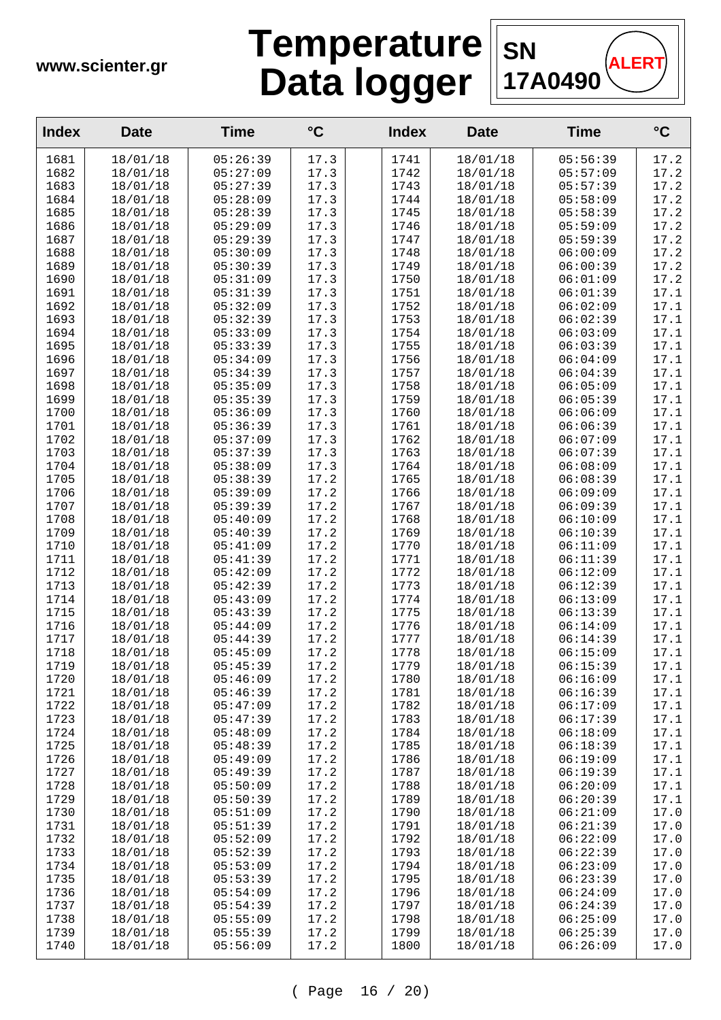

| <b>Index</b> | <b>Date</b>          | <b>Time</b>          | $\rm ^{\circ}C$ | <b>Index</b> | <b>Date</b>          | <b>Time</b>          | $\rm ^{\circ}C$ |
|--------------|----------------------|----------------------|-----------------|--------------|----------------------|----------------------|-----------------|
| 1681         | 18/01/18             | 05:26:39             | 17.3            | 1741         | 18/01/18             | 05:56:39             | 17.2            |
| 1682         | 18/01/18             | 05:27:09             | 17.3            | 1742         | 18/01/18             | 05:57:09             | 17.2            |
| 1683         | 18/01/18             | 05:27:39             | 17.3            | 1743         | 18/01/18             | 05:57:39             | 17.2            |
| 1684         | 18/01/18             | 05:28:09             | 17.3            | 1744         | 18/01/18             | 05:58:09             | 17.2            |
| 1685         | 18/01/18             | 05:28:39             | 17.3            | 1745         | 18/01/18             | 05:58:39             | 17.2            |
| 1686         | 18/01/18             | 05:29:09             | 17.3            | 1746         | 18/01/18             | 05:59:09             | 17.2            |
| 1687         | 18/01/18             | 05:29:39             | 17.3            | 1747         | 18/01/18             | 05:59:39             | 17.2            |
| 1688         | 18/01/18             | 05:30:09             | 17.3            | 1748         | 18/01/18             | 06:00:09             | 17.2            |
| 1689         | 18/01/18             | 05:30:39             | 17.3            | 1749         | 18/01/18             | 06:00:39             | 17.2            |
| 1690         | 18/01/18             | 05:31:09             | 17.3            | 1750         | 18/01/18             | 06:01:09             | 17.2            |
| 1691         | 18/01/18             | 05:31:39             | 17.3            | 1751         | 18/01/18             | 06:01:39             | 17.1            |
| 1692         | 18/01/18             | 05:32:09             | 17.3            | 1752         | 18/01/18             | 06:02:09             | 17.1<br>17.1    |
| 1693<br>1694 | 18/01/18<br>18/01/18 | 05:32:39<br>05:33:09 | 17.3<br>17.3    | 1753<br>1754 | 18/01/18<br>18/01/18 | 06:02:39<br>06:03:09 | 17.1            |
| 1695         | 18/01/18             | 05:33:39             | 17.3            | 1755         | 18/01/18             | 06:03:39             | 17.1            |
| 1696         | 18/01/18             | 05:34:09             | 17.3            | 1756         | 18/01/18             | 06:04:09             | 17.1            |
| 1697         | 18/01/18             | 05:34:39             | 17.3            | 1757         | 18/01/18             | 06:04:39             | 17.1            |
| 1698         | 18/01/18             | 05:35:09             | 17.3            | 1758         | 18/01/18             | 06:05:09             | 17.1            |
| 1699         | 18/01/18             | 05:35:39             | 17.3            | 1759         | 18/01/18             | 06:05:39             | 17.1            |
| 1700         | 18/01/18             | 05:36:09             | 17.3            | 1760         | 18/01/18             | 06:06:09             | 17.1            |
| 1701         | 18/01/18             | 05:36:39             | 17.3            | 1761         | 18/01/18             | 06:06:39             | 17.1            |
| 1702         | 18/01/18             | 05:37:09             | 17.3            | 1762         | 18/01/18             | 06:07:09             | 17.1            |
| 1703         | 18/01/18             | 05:37:39             | 17.3            | 1763         | 18/01/18             | 06:07:39             | 17.1            |
| 1704         | 18/01/18             | 05:38:09             | 17.3            | 1764         | 18/01/18             | 06:08:09             | 17.1            |
| 1705         | 18/01/18             | 05:38:39             | 17.2            | 1765         | 18/01/18             | 06:08:39             | 17.1            |
| 1706         | 18/01/18             | 05:39:09             | 17.2            | 1766         | 18/01/18             | 06:09:09             | 17.1            |
| 1707         | 18/01/18             | 05:39:39             | 17.2            | 1767         | 18/01/18             | 06:09:39             | 17.1            |
| 1708         | 18/01/18             | 05:40:09             | 17.2            | 1768         | 18/01/18             | 06:10:09             | 17.1            |
| 1709         | 18/01/18             | 05:40:39             | 17.2            | 1769         | 18/01/18             | 06:10:39             | 17.1            |
| 1710         | 18/01/18             | 05:41:09             | 17.2            | 1770         | 18/01/18             | 06:11:09             | 17.1            |
| 1711         | 18/01/18             | 05:41:39             | 17.2            | 1771         | 18/01/18             | 06:11:39             | 17.1            |
| 1712         | 18/01/18             | 05:42:09             | 17.2            | 1772         | 18/01/18             | 06:12:09             | 17.1            |
| 1713         | 18/01/18             | 05:42:39             | 17.2            | 1773         | 18/01/18             | 06:12:39             | 17.1            |
| 1714         | 18/01/18             | 05:43:09             | 17.2            | 1774         | 18/01/18             | 06:13:09             | 17.1            |
| 1715         | 18/01/18             | 05:43:39             | 17.2            | 1775         | 18/01/18             | 06:13:39             | 17.1            |
| 1716         | 18/01/18             | 05:44:09             | 17.2            | 1776         | 18/01/18             | 06:14:09             | 17.1            |
| 1717         | 18/01/18             | 05:44:39             | 17.2            | 1777         | 18/01/18             | 06:14:39             | 17.1            |
| 1718         | 18/01/18             | 05:45:09             | 17.2            | 1778         | 18/01/18             | 06:15:09             | 17.1            |
| 1719<br>1720 | 18/01/18<br>18/01/18 | 05:45:39<br>05:46:09 | 17.2<br>17.2    | 1779<br>1780 | 18/01/18<br>18/01/18 | 06:15:39<br>06:16:09 | 17.1<br>17.1    |
| 1721         | 18/01/18             | 05:46:39             | 17.2            | 1781         | 18/01/18             | 06:16:39             | 17.1            |
| 1722         | 18/01/18             | 05:47:09             | 17.2            | 1782         | 18/01/18             | 06:17:09             | 17.1            |
| 1723         | 18/01/18             | 05:47:39             | 17.2            | 1783         | 18/01/18             | 06:17:39             | 17.1            |
| 1724         | 18/01/18             | 05:48:09             | 17.2            | 1784         | 18/01/18             | 06:18:09             | 17.1            |
| 1725         | 18/01/18             | 05:48:39             | 17.2            | 1785         | 18/01/18             | 06:18:39             | 17.1            |
| 1726         | 18/01/18             | 05:49:09             | 17.2            | 1786         | 18/01/18             | 06:19:09             | 17.1            |
| 1727         | 18/01/18             | 05:49:39             | 17.2            | 1787         | 18/01/18             | 06:19:39             | 17.1            |
| 1728         | 18/01/18             | 05:50:09             | 17.2            | 1788         | 18/01/18             | 06:20:09             | 17.1            |
| 1729         | 18/01/18             | 05:50:39             | 17.2            | 1789         | 18/01/18             | 06:20:39             | 17.1            |
| 1730         | 18/01/18             | 05:51:09             | 17.2            | 1790         | 18/01/18             | 06:21:09             | 17.0            |
| 1731         | 18/01/18             | 05:51:39             | 17.2            | 1791         | 18/01/18             | 06:21:39             | 17.0            |
| 1732         | 18/01/18             | 05:52:09             | 17.2            | 1792         | 18/01/18             | 06:22:09             | 17.0            |
| 1733         | 18/01/18             | 05:52:39             | 17.2            | 1793         | 18/01/18             | 06:22:39             | 17.0            |
| 1734         | 18/01/18             | 05:53:09             | 17.2            | 1794         | 18/01/18             | 06:23:09             | 17.0            |
| 1735         | 18/01/18             | 05:53:39             | 17.2            | 1795         | 18/01/18             | 06:23:39             | 17.0            |
| 1736         | 18/01/18             | 05:54:09             | 17.2            | 1796         | 18/01/18             | 06:24:09             | 17.0            |
| 1737         | 18/01/18             | 05:54:39             | 17.2            | 1797         | 18/01/18             | 06:24:39             | 17.0            |
| 1738         | 18/01/18             | 05:55:09             | 17.2            | 1798         | 18/01/18             | 06:25:09             | 17.0            |
| 1739         | 18/01/18             | 05:55:39             | 17.2            | 1799         | 18/01/18             | 06:25:39             | 17.0            |
| 1740         | 18/01/18             | 05:56:09             | 17.2            | 1800         | 18/01/18             | 06:26:09             | 17.0            |
|              |                      |                      |                 |              |                      |                      |                 |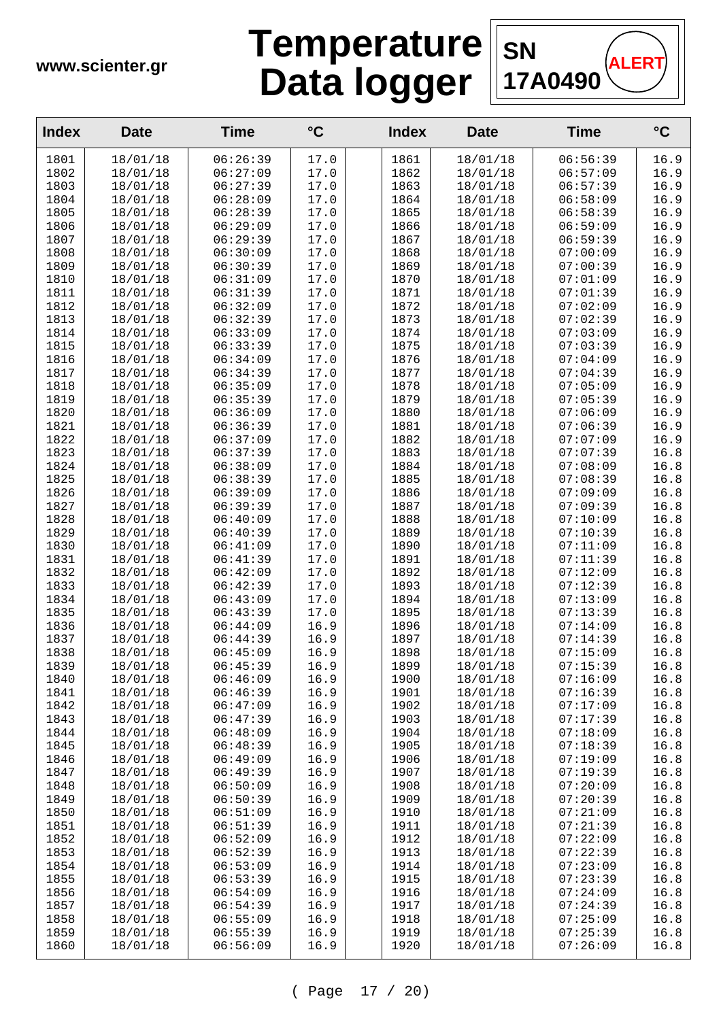

| <b>Index</b> | <b>Date</b>          | <b>Time</b>          | $\rm ^{\circ}C$ | <b>Index</b> | <b>Date</b>          | <b>Time</b>          | $\rm ^{\circ}C$ |
|--------------|----------------------|----------------------|-----------------|--------------|----------------------|----------------------|-----------------|
| 1801         | 18/01/18             | 06:26:39             | 17.0            | 1861         | 18/01/18             | 06:56:39             | 16.9            |
| 1802         | 18/01/18             | 06:27:09             | 17.0            | 1862         | 18/01/18             | 06:57:09             | 16.9            |
| 1803         | 18/01/18             | 06:27:39             | 17.0            | 1863         | 18/01/18             | 06:57:39             | 16.9            |
| 1804         | 18/01/18             | 06:28:09             | 17.0            | 1864         | 18/01/18             | 06:58:09             | 16.9            |
| 1805         | 18/01/18             | 06:28:39             | 17.0            | 1865         | 18/01/18             | 06:58:39             | 16.9            |
| 1806         | 18/01/18             | 06:29:09             | 17.0            | 1866         | 18/01/18             | 06:59:09             | 16.9            |
| 1807         | 18/01/18             | 06:29:39             | 17.0            | 1867         | 18/01/18             | 06:59:39             | 16.9            |
| 1808         | 18/01/18             | 06:30:09             | 17.0            | 1868         | 18/01/18             | 07:00:09             | 16.9            |
| 1809         | 18/01/18<br>18/01/18 | 06:30:39             | 17.0            | 1869         | 18/01/18             | 07:00:39<br>07:01:09 | 16.9<br>16.9    |
| 1810<br>1811 | 18/01/18             | 06:31:09<br>06:31:39 | 17.0<br>17.0    | 1870<br>1871 | 18/01/18<br>18/01/18 | 07:01:39             | 16.9            |
| 1812         | 18/01/18             | 06:32:09             | 17.0            | 1872         | 18/01/18             | 07:02:09             | 16.9            |
| 1813         | 18/01/18             | 06:32:39             | 17.0            | 1873         | 18/01/18             | 07:02:39             | 16.9            |
| 1814         | 18/01/18             | 06:33:09             | 17.0            | 1874         | 18/01/18             | 07:03:09             | 16.9            |
| 1815         | 18/01/18             | 06:33:39             | 17.0            | 1875         | 18/01/18             | 07:03:39             | 16.9            |
| 1816         | 18/01/18             | 06:34:09             | 17.0            | 1876         | 18/01/18             | 07:04:09             | 16.9            |
| 1817         | 18/01/18             | 06:34:39             | 17.0            | 1877         | 18/01/18             | 07:04:39             | 16.9            |
| 1818         | 18/01/18             | 06:35:09             | 17.0            | 1878         | 18/01/18             | 07:05:09             | 16.9            |
| 1819         | 18/01/18             | 06:35:39             | 17.0            | 1879         | 18/01/18             | 07:05:39             | 16.9            |
| 1820         | 18/01/18             | 06:36:09             | 17.0            | 1880         | 18/01/18             | 07:06:09             | 16.9            |
| 1821         | 18/01/18             | 06:36:39             | 17.0            | 1881         | 18/01/18             | 07:06:39             | 16.9            |
| 1822         | 18/01/18             | 06:37:09             | 17.0            | 1882         | 18/01/18             | 07:07:09             | 16.9            |
| 1823         | 18/01/18             | 06:37:39             | 17.0            | 1883         | 18/01/18             | 07:07:39             | 16.8            |
| 1824         | 18/01/18             | 06:38:09             | 17.0            | 1884         | 18/01/18             | 07:08:09             | 16.8            |
| 1825         | 18/01/18             | 06:38:39             | 17.0            | 1885         | 18/01/18             | 07:08:39             | 16.8            |
| 1826<br>1827 | 18/01/18<br>18/01/18 | 06:39:09<br>06:39:39 | 17.0<br>17.0    | 1886<br>1887 | 18/01/18<br>18/01/18 | 07:09:09<br>07:09:39 | 16.8<br>16.8    |
| 1828         | 18/01/18             | 06:40:09             | 17.0            | 1888         | 18/01/18             | 07:10:09             | 16.8            |
| 1829         | 18/01/18             | 06:40:39             | 17.0            | 1889         | 18/01/18             | 07:10:39             | 16.8            |
| 1830         | 18/01/18             | 06:41:09             | 17.0            | 1890         | 18/01/18             | 07:11:09             | 16.8            |
| 1831         | 18/01/18             | 06:41:39             | 17.0            | 1891         | 18/01/18             | 07:11:39             | 16.8            |
| 1832         | 18/01/18             | 06:42:09             | 17.0            | 1892         | 18/01/18             | 07:12:09             | 16.8            |
| 1833         | 18/01/18             | 06:42:39             | 17.0            | 1893         | 18/01/18             | 07:12:39             | 16.8            |
| 1834         | 18/01/18             | 06:43:09             | 17.0            | 1894         | 18/01/18             | 07:13:09             | 16.8            |
| 1835         | 18/01/18             | 06:43:39             | 17.0            | 1895         | 18/01/18             | 07:13:39             | 16.8            |
| 1836         | 18/01/18             | 06:44:09             | 16.9            | 1896         | 18/01/18             | 07:14:09             | 16.8            |
| 1837         | 18/01/18             | 06:44:39             | 16.9            | 1897         | 18/01/18             | 07:14:39             | 16.8            |
| 1838         | 18/01/18             | 06:45:09             | 16.9            | 1898         | 18/01/18             | 07:15:09             | 16.8            |
| 1839         | 18/01/18             | 06:45:39             | 16.9            | 1899         | 18/01/18             | 07:15:39             | 16.8            |
| 1840         | 18/01/18             | 06:46:09             | 16.9            | 1900         | 18/01/18             | 07:16:09             | 16.8            |
| 1841         | 18/01/18             | 06:46:39             | 16.9            | 1901<br>1902 | 18/01/18             | 07:16:39             | 16.8            |
| 1842<br>1843 | 18/01/18<br>18/01/18 | 06:47:09<br>06:47:39 | 16.9<br>16.9    | 1903         | 18/01/18<br>18/01/18 | 07:17:09<br>07:17:39 | 16.8<br>16.8    |
| 1844         | 18/01/18             | 06:48:09             | 16.9            | 1904         | 18/01/18             | 07:18:09             | 16.8            |
| 1845         | 18/01/18             | 06:48:39             | 16.9            | 1905         | 18/01/18             | 07:18:39             | 16.8            |
| 1846         | 18/01/18             | 06:49:09             | 16.9            | 1906         | 18/01/18             | 07:19:09             | 16.8            |
| 1847         | 18/01/18             | 06:49:39             | 16.9            | 1907         | 18/01/18             | 07:19:39             | 16.8            |
| 1848         | 18/01/18             | 06:50:09             | 16.9            | 1908         | 18/01/18             | 07:20:09             | 16.8            |
| 1849         | 18/01/18             | 06:50:39             | 16.9            | 1909         | 18/01/18             | 07:20:39             | 16.8            |
| 1850         | 18/01/18             | 06:51:09             | 16.9            | 1910         | 18/01/18             | 07:21:09             | 16.8            |
| 1851         | 18/01/18             | 06:51:39             | 16.9            | 1911         | 18/01/18             | 07:21:39             | 16.8            |
| 1852         | 18/01/18             | 06:52:09             | 16.9            | 1912         | 18/01/18             | 07:22:09             | 16.8            |
| 1853         | 18/01/18             | 06:52:39             | 16.9            | 1913         | 18/01/18             | 07:22:39             | 16.8            |
| 1854         | 18/01/18             | 06:53:09             | 16.9            | 1914         | 18/01/18             | 07:23:09             | 16.8            |
| 1855         | 18/01/18             | 06:53:39             | 16.9            | 1915         | 18/01/18             | 07:23:39             | 16.8            |
| 1856         | 18/01/18             | 06:54:09             | 16.9            | 1916         | 18/01/18             | 07:24:09             | 16.8            |
| 1857<br>1858 | 18/01/18<br>18/01/18 | 06:54:39<br>06:55:09 | 16.9<br>16.9    | 1917<br>1918 | 18/01/18<br>18/01/18 | 07:24:39<br>07:25:09 | 16.8<br>16.8    |
| 1859         | 18/01/18             | 06:55:39             | 16.9            | 1919         | 18/01/18             | 07:25:39             | 16.8            |
| 1860         | 18/01/18             | 06:56:09             | 16.9            | 1920         | 18/01/18             | 07:26:09             | 16.8            |
|              |                      |                      |                 |              |                      |                      |                 |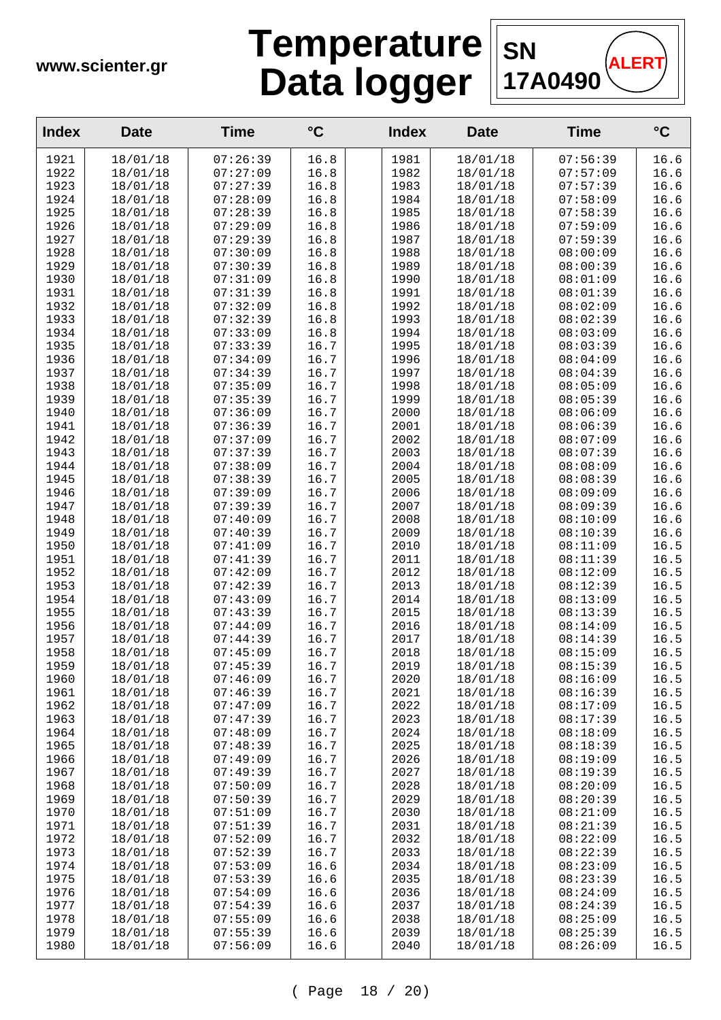

| <b>Index</b> | <b>Date</b>          | Time                 | $\rm ^{\circ}C$ | <b>Index</b> | <b>Date</b>          | <b>Time</b>          | $\rm ^{\circ}C$ |
|--------------|----------------------|----------------------|-----------------|--------------|----------------------|----------------------|-----------------|
| 1921         | 18/01/18             | 07:26:39             | 16.8            | 1981         | 18/01/18             | 07:56:39             | 16.6            |
| 1922         | 18/01/18             | 07:27:09             | 16.8            | 1982         | 18/01/18             | 07:57:09             | 16.6            |
| 1923         | 18/01/18             | 07:27:39             | 16.8            | 1983         | 18/01/18             | 07:57:39             | 16.6            |
| 1924         | 18/01/18             | 07:28:09             | 16.8            | 1984         | 18/01/18             | 07:58:09             | 16.6            |
| 1925         | 18/01/18             | 07:28:39             | 16.8            | 1985         | 18/01/18             | 07:58:39             | 16.6            |
| 1926         | 18/01/18             | 07:29:09             | 16.8            | 1986         | 18/01/18             | 07:59:09             | 16.6            |
| 1927         | 18/01/18             | 07:29:39             | 16.8            | 1987         | 18/01/18             | 07:59:39             | 16.6            |
| 1928         | 18/01/18             | 07:30:09             | 16.8            | 1988         | 18/01/18             | 08:00:09             | 16.6            |
| 1929         | 18/01/18             | 07:30:39             | 16.8            | 1989         | 18/01/18             | 08:00:39             | 16.6            |
| 1930         | 18/01/18             | 07:31:09             | 16.8            | 1990         | 18/01/18             | 08:01:09             | 16.6            |
| 1931         | 18/01/18             | 07:31:39             | 16.8            | 1991         | 18/01/18             | 08:01:39             | 16.6            |
| 1932         | 18/01/18             | 07:32:09             | 16.8            | 1992         | 18/01/18             | 08:02:09             | 16.6            |
| 1933<br>1934 | 18/01/18             | 07:32:39             | 16.8<br>16.8    | 1993<br>1994 | 18/01/18<br>18/01/18 | 08:02:39<br>08:03:09 | 16.6<br>16.6    |
| 1935         | 18/01/18<br>18/01/18 | 07:33:09<br>07:33:39 | 16.7            | 1995         | 18/01/18             | 08:03:39             | 16.6            |
| 1936         | 18/01/18             | 07:34:09             | 16.7            | 1996         | 18/01/18             | 08:04:09             | 16.6            |
| 1937         | 18/01/18             | 07:34:39             | 16.7            | 1997         | 18/01/18             | 08:04:39             | 16.6            |
| 1938         | 18/01/18             | 07:35:09             | 16.7            | 1998         | 18/01/18             | 08:05:09             | 16.6            |
| 1939         | 18/01/18             | 07:35:39             | 16.7            | 1999         | 18/01/18             | 08:05:39             | 16.6            |
| 1940         | 18/01/18             | 07:36:09             | 16.7            | 2000         | 18/01/18             | 08:06:09             | 16.6            |
| 1941         | 18/01/18             | 07:36:39             | 16.7            | 2001         | 18/01/18             | 08:06:39             | 16.6            |
| 1942         | 18/01/18             | 07:37:09             | 16.7            | 2002         | 18/01/18             | 08:07:09             | 16.6            |
| 1943         | 18/01/18             | 07:37:39             | 16.7            | 2003         | 18/01/18             | 08:07:39             | 16.6            |
| 1944         | 18/01/18             | 07:38:09             | 16.7            | 2004         | 18/01/18             | 08:08:09             | 16.6            |
| 1945         | 18/01/18             | 07:38:39             | 16.7            | 2005         | 18/01/18             | 08:08:39             | 16.6            |
| 1946         | 18/01/18             | 07:39:09             | 16.7            | 2006         | 18/01/18             | 08:09:09             | 16.6            |
| 1947         | 18/01/18             | 07:39:39             | 16.7            | 2007         | 18/01/18             | 08:09:39             | 16.6            |
| 1948         | 18/01/18             | 07:40:09             | 16.7            | 2008         | 18/01/18             | 08:10:09             | 16.6            |
| 1949         | 18/01/18             | 07:40:39             | 16.7            | 2009         | 18/01/18             | 08:10:39             | 16.6            |
| 1950         | 18/01/18             | 07:41:09             | 16.7            | 2010         | 18/01/18             | 08:11:09             | 16.5            |
| 1951<br>1952 | 18/01/18<br>18/01/18 | 07:41:39<br>07:42:09 | 16.7<br>16.7    | 2011<br>2012 | 18/01/18<br>18/01/18 | 08:11:39<br>08:12:09 | 16.5<br>16.5    |
| 1953         | 18/01/18             | 07:42:39             | 16.7            | 2013         | 18/01/18             | 08:12:39             | 16.5            |
| 1954         | 18/01/18             | 07:43:09             | 16.7            | 2014         | 18/01/18             | 08:13:09             | 16.5            |
| 1955         | 18/01/18             | 07:43:39             | 16.7            | 2015         | 18/01/18             | 08:13:39             | 16.5            |
| 1956         | 18/01/18             | 07:44:09             | 16.7            | 2016         | 18/01/18             | 08:14:09             | 16.5            |
| 1957         | 18/01/18             | 07:44:39             | 16.7            | 2017         | 18/01/18             | 08:14:39             | 16.5            |
| 1958         | 18/01/18             | 07:45:09             | 16.7            | 2018         | 18/01/18             | 08:15:09             | 16.5            |
| 1959         | 18/01/18             | 07:45:39             | 16.7            | 2019         | 18/01/18             | 08:15:39             | 16.5            |
| 1960         | 18/01/18             | 07:46:09             | 16.7            | 2020         | 18/01/18             | 08:16:09             | 16.5            |
| 1961         | 18/01/18             | 07:46:39             | 16.7            | 2021         | 18/01/18             | 08:16:39             | 16.5            |
| 1962         | 18/01/18             | 07:47:09             | 16.7            | 2022         | 18/01/18             | 08:17:09             | 16.5            |
| 1963         | 18/01/18             | 07:47:39             | 16.7            | 2023         | 18/01/18             | 08:17:39             | 16.5            |
| 1964         | 18/01/18             | 07:48:09             | 16.7            | 2024         | 18/01/18             | 08:18:09             | 16.5            |
| 1965         | 18/01/18             | 07:48:39             | 16.7            | 2025         | 18/01/18             | 08:18:39             | 16.5            |
| 1966         | 18/01/18             | 07:49:09             | 16.7            | 2026         | 18/01/18             | 08:19:09             | 16.5            |
| 1967         | 18/01/18             | 07:49:39             | 16.7            | 2027         | 18/01/18             | 08:19:39             | 16.5            |
| 1968         | 18/01/18             | 07:50:09             | 16.7            | 2028         | 18/01/18             | 08:20:09             | 16.5            |
| 1969<br>1970 | 18/01/18<br>18/01/18 | 07:50:39<br>07:51:09 | 16.7<br>16.7    | 2029<br>2030 | 18/01/18<br>18/01/18 | 08:20:39<br>08:21:09 | 16.5<br>16.5    |
| 1971         | 18/01/18             | 07:51:39             | 16.7            | 2031         | 18/01/18             | 08:21:39             | 16.5            |
| 1972         | 18/01/18             | 07:52:09             | 16.7            | 2032         | 18/01/18             | 08:22:09             | 16.5            |
| 1973         | 18/01/18             | 07:52:39             | 16.7            | 2033         | 18/01/18             | 08:22:39             | 16.5            |
| 1974         | 18/01/18             | 07:53:09             | 16.6            | 2034         | 18/01/18             | 08:23:09             | 16.5            |
| 1975         | 18/01/18             | 07:53:39             | 16.6            | 2035         | 18/01/18             | 08:23:39             | 16.5            |
| 1976         | 18/01/18             | 07:54:09             | 16.6            | 2036         | 18/01/18             | 08:24:09             | 16.5            |
| 1977         | 18/01/18             | 07:54:39             | 16.6            | 2037         | 18/01/18             | 08:24:39             | 16.5            |
| 1978         | 18/01/18             | 07:55:09             | 16.6            | 2038         | 18/01/18             | 08:25:09             | 16.5            |
| 1979         | 18/01/18             | 07:55:39             | 16.6            | 2039         | 18/01/18             | 08:25:39             | 16.5            |
| 1980         | 18/01/18             | 07:56:09             | 16.6            | 2040         | 18/01/18             | 08:26:09             | 16.5            |
|              |                      |                      |                 |              |                      |                      |                 |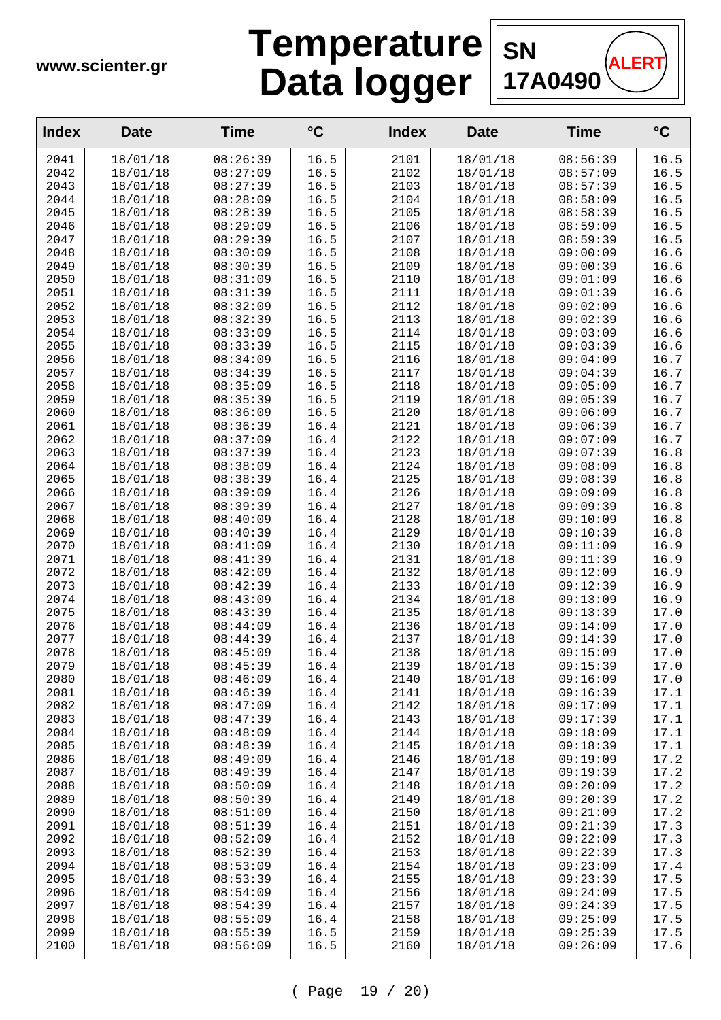

| <b>Index</b> | <b>Date</b>          | <b>Time</b>          | $\rm ^{\circ}C$ | <b>Index</b> | <b>Date</b>          | <b>Time</b>          | $\rm ^{\circ}C$ |
|--------------|----------------------|----------------------|-----------------|--------------|----------------------|----------------------|-----------------|
| 2041         | 18/01/18             | 08:26:39             | 16.5            | 2101         | 18/01/18             | 08:56:39             | 16.5            |
| 2042         | 18/01/18             | 08:27:09             | 16.5            | 2102         | 18/01/18             | 08:57:09             | 16.5            |
| 2043         | 18/01/18             | 08:27:39             | 16.5            | 2103         | 18/01/18             | 08:57:39             | 16.5            |
| 2044         | 18/01/18             | 08:28:09             | 16.5            | 2104         | 18/01/18             | 08:58:09             | 16.5            |
| 2045         | 18/01/18             | 08:28:39             | 16.5            | 2105         | 18/01/18             | 08:58:39             | 16.5            |
| 2046         | 18/01/18             | 08:29:09             | 16.5            | 2106         | 18/01/18             | 08:59:09             | 16.5            |
| 2047         | 18/01/18             | 08:29:39             | 16.5            | 2107         | 18/01/18             | 08:59:39             | 16.5            |
| 2048<br>2049 | 18/01/18<br>18/01/18 | 08:30:09<br>08:30:39 | 16.5<br>16.5    | 2108<br>2109 | 18/01/18<br>18/01/18 | 09:00:09<br>09:00:39 | 16.6<br>16.6    |
| 2050         | 18/01/18             | 08:31:09             | 16.5            | 2110         | 18/01/18             | 09:01:09             | 16.6            |
| 2051         | 18/01/18             | 08:31:39             | 16.5            | 2111         | 18/01/18             | 09:01:39             | 16.6            |
| 2052         | 18/01/18             | 08:32:09             | 16.5            | 2112         | 18/01/18             | 09:02:09             | 16.6            |
| 2053         | 18/01/18             | 08:32:39             | 16.5            | 2113         | 18/01/18             | 09:02:39             | 16.6            |
| 2054         | 18/01/18             | 08:33:09             | 16.5            | 2114         | 18/01/18             | 09:03:09             | 16.6            |
| 2055         | 18/01/18             | 08:33:39             | 16.5            | 2115         | 18/01/18             | 09:03:39             | 16.6            |
| 2056         | 18/01/18             | 08:34:09             | 16.5            | 2116         | 18/01/18             | 09:04:09             | 16.7            |
| 2057         | 18/01/18             | 08:34:39             | 16.5            | 2117         | 18/01/18             | 09:04:39             | 16.7            |
| 2058         | 18/01/18             | 08:35:09             | 16.5            | 2118         | 18/01/18             | 09:05:09             | 16.7            |
| 2059         | 18/01/18             | 08:35:39             | 16.5            | 2119         | 18/01/18             | 09:05:39             | 16.7            |
| 2060         | 18/01/18             | 08:36:09             | 16.5            | 2120         | 18/01/18             | 09:06:09             | 16.7            |
| 2061<br>2062 | 18/01/18<br>18/01/18 | 08:36:39<br>08:37:09 | 16.4<br>16.4    | 2121<br>2122 | 18/01/18<br>18/01/18 | 09:06:39<br>09:07:09 | 16.7<br>16.7    |
| 2063         | 18/01/18             | 08:37:39             | 16.4            | 2123         | 18/01/18             | 09:07:39             | 16.8            |
| 2064         | 18/01/18             | 08:38:09             | 16.4            | 2124         | 18/01/18             | 09:08:09             | 16.8            |
| 2065         | 18/01/18             | 08:38:39             | 16.4            | 2125         | 18/01/18             | 09:08:39             | 16.8            |
| 2066         | 18/01/18             | 08:39:09             | 16.4            | 2126         | 18/01/18             | 09:09:09             | 16.8            |
| 2067         | 18/01/18             | 08:39:39             | 16.4            | 2127         | 18/01/18             | 09:09:39             | 16.8            |
| 2068         | 18/01/18             | 08:40:09             | 16.4            | 2128         | 18/01/18             | 09:10:09             | 16.8            |
| 2069         | 18/01/18             | 08:40:39             | 16.4            | 2129         | 18/01/18             | 09:10:39             | 16.8            |
| 2070         | 18/01/18             | 08:41:09             | 16.4            | 2130         | 18/01/18             | 09:11:09             | 16.9            |
| 2071         | 18/01/18             | 08:41:39             | 16.4            | 2131         | 18/01/18             | 09:11:39             | 16.9            |
| 2072         | 18/01/18             | 08:42:09             | 16.4            | 2132         | 18/01/18             | 09:12:09             | 16.9            |
| 2073<br>2074 | 18/01/18<br>18/01/18 | 08:42:39<br>08:43:09 | 16.4<br>16.4    | 2133<br>2134 | 18/01/18<br>18/01/18 | 09:12:39<br>09:13:09 | 16.9<br>16.9    |
| 2075         | 18/01/18             | 08:43:39             | 16.4            | 2135         | 18/01/18             | 09:13:39             | 17.0            |
| 2076         | 18/01/18             | 08:44:09             | 16.4            | 2136         | 18/01/18             | 09:14:09             | 17.0            |
| 2077         | 18/01/18             | 08:44:39             | 16.4            | 2137         | 18/01/18             | 09:14:39             | 17.0            |
| 2078         | 18/01/18             | 08:45:09             | 16.4            | 2138         | 18/01/18             | 09:15:09             | 17.0            |
| 2079         | 18/01/18             | 08:45:39             | 16.4            | 2139         | 18/01/18             | 09:15:39             | 17.0            |
| 2080         | 18/01/18             | 08:46:09             | 16.4            | 2140         | 18/01/18             | 09:16:09             | 17.0            |
| 2081         | 18/01/18             | 08:46:39             | 16.4            | 2141         | 18/01/18             | 09:16:39             | 17.1            |
| 2082         | 18/01/18             | 08:47:09             | 16.4            | 2142         | 18/01/18             | 09:17:09             | 17.1            |
| 2083         | 18/01/18             | 08:47:39             | 16.4            | 2143         | 18/01/18             | 09:17:39             | 17.1            |
| 2084         | 18/01/18             | 08:48:09             | 16.4            | 2144         | 18/01/18             | 09:18:09             | 17.1            |
| 2085<br>2086 | 18/01/18             | 08:48:39<br>08:49:09 | 16.4<br>16.4    | 2145<br>2146 | 18/01/18             | 09:18:39<br>09:19:09 | 17.1<br>17.2    |
| 2087         | 18/01/18<br>18/01/18 | 08:49:39             | 16.4            | 2147         | 18/01/18<br>18/01/18 | 09:19:39             | 17.2            |
| 2088         | 18/01/18             | 08:50:09             | 16.4            | 2148         | 18/01/18             | 09:20:09             | 17.2            |
| 2089         | 18/01/18             | 08:50:39             | 16.4            | 2149         | 18/01/18             | 09:20:39             | 17.2            |
| 2090         | 18/01/18             | 08:51:09             | 16.4            | 2150         | 18/01/18             | 09:21:09             | 17.2            |
| 2091         | 18/01/18             | 08:51:39             | 16.4            | 2151         | 18/01/18             | 09:21:39             | 17.3            |
| 2092         | 18/01/18             | 08:52:09             | 16.4            | 2152         | 18/01/18             | 09:22:09             | 17.3            |
| 2093         | 18/01/18             | 08:52:39             | 16.4            | 2153         | 18/01/18             | 09:22:39             | 17.3            |
| 2094         | 18/01/18             | 08:53:09             | 16.4            | 2154         | 18/01/18             | 09:23:09             | 17.4            |
| 2095         | 18/01/18             | 08:53:39             | 16.4            | 2155         | 18/01/18             | 09:23:39             | 17.5            |
| 2096         | 18/01/18             | 08:54:09             | 16.4            | 2156         | 18/01/18             | 09:24:09             | 17.5            |
| 2097         | 18/01/18             | 08:54:39             | 16.4            | 2157         | 18/01/18             | 09:24:39             | 17.5            |
| 2098<br>2099 | 18/01/18<br>18/01/18 | 08:55:09<br>08:55:39 | 16.4<br>16.5    | 2158<br>2159 | 18/01/18<br>18/01/18 | 09:25:09<br>09:25:39 | 17.5<br>17.5    |
| 2100         | 18/01/18             | 08:56:09             | 16.5            | 2160         | 18/01/18             | 09:26:09             | 17.6            |
|              |                      |                      |                 |              |                      |                      |                 |